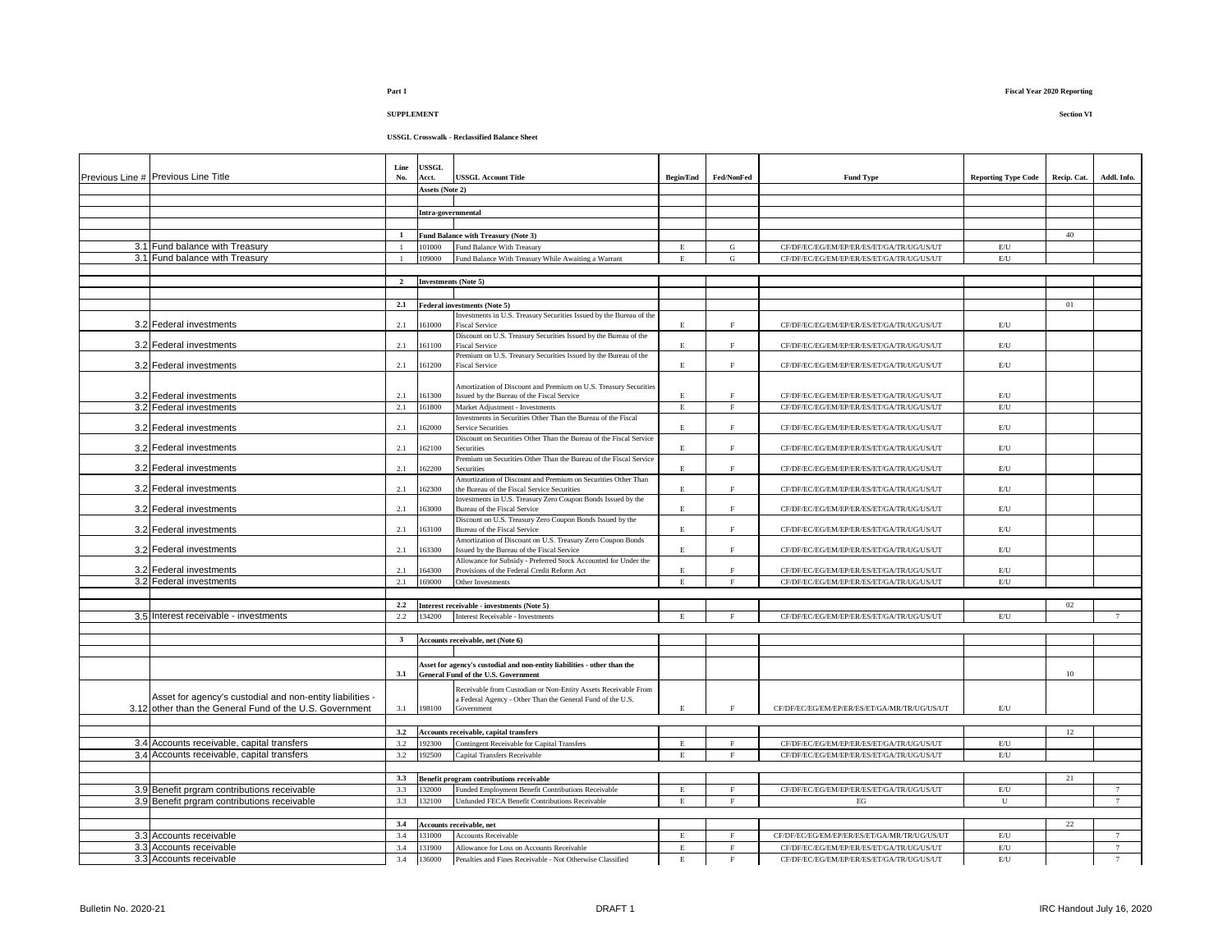# **USSGL Crosswalk - Reclassified Balance Sheet**

| Previous Line # Previous Line Title                       | Line<br>No.    | <b>JSSGL</b><br>Acct.       | <b>USSGL Account Title</b>                                                                                    | <b>Begin/End</b> | <b>Fed/NonFed</b>           | <b>Fund Type</b>                                                                       | <b>Reporting Type Code</b>     | Recip. Cat. | Addl. Info. |
|-----------------------------------------------------------|----------------|-----------------------------|---------------------------------------------------------------------------------------------------------------|------------------|-----------------------------|----------------------------------------------------------------------------------------|--------------------------------|-------------|-------------|
|                                                           |                | Assets (Note 2)             |                                                                                                               |                  |                             |                                                                                        |                                |             |             |
|                                                           |                | Intra-governmental          |                                                                                                               |                  |                             |                                                                                        |                                |             |             |
|                                                           |                |                             |                                                                                                               |                  |                             |                                                                                        |                                |             |             |
|                                                           | $\mathbf{1}$   |                             | Fund Balance with Treasury (Note 3)                                                                           |                  |                             |                                                                                        |                                | 40          |             |
| 3.1 Fund balance with Treasury                            | $\overline{1}$ | 101000                      | Fund Balance With Treasury                                                                                    | E                | G                           | CF/DF/EC/EG/EM/EP/ER/ES/ET/GA/TR/UG/US/UT                                              | E/U                            |             |             |
| 3.1 Fund balance with Treasury                            |                | 109000                      | Fund Balance With Treasury While Awaiting a Warrant                                                           | E                | ${\bf G}$                   | CF/DF/EC/EG/EM/EP/ER/ES/ET/GA/TR/UG/US/UT                                              | $\mathrm{E}/\mathrm{U}$        |             |             |
|                                                           |                |                             |                                                                                                               |                  |                             |                                                                                        |                                |             |             |
|                                                           | $\overline{2}$ | <b>Investments</b> (Note 5) |                                                                                                               |                  |                             |                                                                                        |                                |             |             |
|                                                           | 2.1            |                             |                                                                                                               |                  |                             |                                                                                        |                                | 01          |             |
|                                                           |                |                             | Federal investments (Note 5)<br>Investments in U.S. Treasury Securities Issued by the Bureau of the           |                  |                             |                                                                                        |                                |             |             |
| 3.2 Federal investments                                   | 2.1            | 61000                       | <b>Fiscal Service</b>                                                                                         | E                | $\mathbf{F}$                | CF/DF/EC/EG/EM/EP/ER/ES/ET/GA/TR/UG/US/UT                                              | $\mathrm{E}/\mathrm{U}$        |             |             |
|                                                           |                |                             | Discount on U.S. Treasury Securities Issued by the Bureau of the                                              |                  |                             |                                                                                        |                                |             |             |
| 3.2 Federal investments                                   | 2.1            | 161100                      | <b>Fiscal Service</b>                                                                                         | $\mathbf E$      | $\rm F$                     | CF/DF/EC/EG/EM/EP/ER/ES/ET/GA/TR/UG/US/UT                                              | E/U                            |             |             |
| 3.2 Federal investments                                   | 2.1            | 161200                      | Premium on U.S. Treasury Securities Issued by the Bureau of the<br><b>Fiscal Service</b>                      | E                | $\,$ F                      | CF/DF/EC/EG/EM/EP/ER/ES/ET/GA/TR/UG/US/UT                                              | $E$ U                          |             |             |
|                                                           |                |                             |                                                                                                               |                  |                             |                                                                                        |                                |             |             |
|                                                           |                |                             | Amortization of Discount and Premium on U.S. Treasury Securities                                              |                  |                             |                                                                                        |                                |             |             |
| 3.2 Federal investments<br>3.2 Federal investments        | 2.1<br>2.1     | 161300                      | Issued by the Bureau of the Fiscal Service                                                                    | $\mathbf E$<br>E | $\mathbf F$<br>$\mathbf{F}$ | CF/DF/EC/EG/EM/EP/ER/ES/ET/GA/TR/UG/US/UT<br>CF/DF/EC/EG/EM/EP/ER/ES/ET/GA/TR/UG/US/UT | E/U<br>E/U                     |             |             |
|                                                           |                | 161800                      | Market Adjustment - Investments<br>Investments in Securities Other Than the Bureau of the Fiscal              |                  |                             |                                                                                        |                                |             |             |
| 3.2 Federal investments                                   | 2.1            | 62000                       | Service Securities                                                                                            | E                | $\rm F$                     | CF/DF/EC/EG/EM/EP/ER/ES/ET/GA/TR/UG/US/UT                                              | $E$ U                          |             |             |
|                                                           |                |                             | Discount on Securities Other Than the Bureau of the Fiscal Service                                            |                  |                             |                                                                                        |                                |             |             |
| 3.2 Federal investments                                   | 2.1            | 62100                       | Securities<br>Premium on Securities Other Than the Bureau of the Fiscal Service                               | E                | $\rm F$                     | CF/DF/EC/EG/EM/EP/ER/ES/ET/GA/TR/UG/US/UT                                              | E/U                            |             |             |
| 3.2 Federal investments                                   | 2.1            | 62200                       | <b>Securities</b>                                                                                             | E                | $\mathbf F$                 | CF/DF/EC/EG/EM/EP/ER/ES/ET/GA/TR/UG/US/UT                                              | E/U                            |             |             |
|                                                           |                |                             | Amortization of Discount and Premium on Securities Other Than                                                 |                  |                             |                                                                                        |                                |             |             |
| 3.2 Federal investments                                   | 2.1            | 62300                       | the Bureau of the Fiscal Service Securities                                                                   | $\mathbf E$      | $\rm F$                     | CF/DF/EC/EG/EM/EP/ER/ES/ET/GA/TR/UG/US/UT                                              | E/U                            |             |             |
| 3.2 Federal investments                                   | 2.1            | 63000                       | Investments in U.S. Treasury Zero Coupon Bonds Issued by the<br>Bureau of the Fiscal Service                  | $\mathbf E$      | $\rm F$                     | CF/DF/EC/EG/EM/EP/ER/ES/ET/GA/TR/UG/US/UT                                              | $E$ U                          |             |             |
|                                                           |                |                             | Discount on U.S. Treasury Zero Coupon Bonds Issued by the                                                     |                  |                             |                                                                                        |                                |             |             |
| 3.2 Federal investments                                   | 2.1            | 63100                       | Bureau of the Fiscal Service                                                                                  | E                | $\rm F$                     | CF/DF/EC/EG/EM/EP/ER/ES/ET/GA/TR/UG/US/UT                                              | E/U                            |             |             |
|                                                           |                |                             | Amortization of Discount on U.S. Treasury Zero Coupon Bonds                                                   |                  |                             |                                                                                        |                                |             |             |
| 3.2 Federal investments                                   | 2.1            | 163300                      | Issued by the Bureau of the Fiscal Service<br>Allowance for Subsidy - Preferred Stock Accounted for Under the | $\mathbf E$      | F                           | CF/DF/EC/EG/EM/EP/ER/ES/ET/GA/TR/UG/US/UT                                              | E/U                            |             |             |
| 3.2 Federal investments                                   | 2.1            | 164300                      | Provisions of the Federal Credit Reform Act                                                                   | $\mathbf E$      | $\rm F$                     | CF/DF/EC/EG/EM/EP/ER/ES/ET/GA/TR/UG/US/UT                                              | E/U                            |             |             |
| 3.2 Federal investments                                   | $2.1\,$        | 169000                      | Other Investments                                                                                             | $\mathbf E$      | $\mathbf{F}$                | CF/DF/EC/EG/EM/EP/ER/ES/ET/GA/TR/UG/US/UT                                              | $\mathrm{E}/\mathrm{U}$        |             |             |
|                                                           |                |                             |                                                                                                               |                  |                             |                                                                                        |                                |             |             |
|                                                           | 2.2            |                             | Interest receivable - investments (Note 5)                                                                    |                  |                             |                                                                                        |                                | 02          |             |
| 3.5 Interest receivable - investments                     | 2.2            | 134200                      | Interest Receivable - Investments                                                                             | E                | $\mathbf{F}$                | CF/DF/EC/EG/EM/EP/ER/ES/ET/GA/TR/UG/US/UT                                              | E/U                            |             | 7           |
|                                                           | $\mathbf{3}$   |                             |                                                                                                               |                  |                             |                                                                                        |                                |             |             |
|                                                           |                |                             | Accounts receivable, net (Note 6)                                                                             |                  |                             |                                                                                        |                                |             |             |
|                                                           |                |                             | Asset for agency's custodial and non-entity liabilities - other than the                                      |                  |                             |                                                                                        |                                |             |             |
|                                                           | 3.1            |                             | General Fund of the U.S. Government                                                                           |                  |                             |                                                                                        |                                | 10          |             |
|                                                           |                |                             | Receivable from Custodian or Non-Entity Assets Receivable From                                                |                  |                             |                                                                                        |                                |             |             |
| Asset for agency's custodial and non-entity liabilities - |                |                             | a Federal Agency - Other Than the General Fund of the U.S.                                                    |                  |                             |                                                                                        |                                |             |             |
| 3.12 other than the General Fund of the U.S. Government   | 3.1            | 198100                      | Government                                                                                                    | $\mathbf E$      | $\mathbf{F}$                | CF/DF/EC/EG/EM/EP/ER/ES/ET/GA/MR/TR/UG/US/UT                                           | E/U                            |             |             |
|                                                           |                |                             |                                                                                                               |                  |                             |                                                                                        |                                |             |             |
| 3.4 Accounts receivable, capital transfers                | 3.2<br>3.2     | 192300                      | Accounts receivable, capital transfers<br>Contingent Receivable for Capital Transfers                         | E                | $\mathbf{F}$                | CF/DF/EC/EG/EM/EP/ER/ES/ET/GA/TR/UG/US/UT                                              | $\mathrm{E}/\mathrm{U}$        | 12          |             |
| 3.4 Accounts receivable, capital transfers                | 3.2            | 192500                      | Capital Transfers Receivable                                                                                  | E                | F                           | CF/DF/EC/EG/EM/EP/ER/ES/ET/GA/TR/UG/US/UT                                              | E/U                            |             |             |
|                                                           |                |                             |                                                                                                               |                  |                             |                                                                                        |                                |             |             |
|                                                           | 3.3            |                             | Benefit program contributions receivable                                                                      |                  |                             |                                                                                        |                                | 21          |             |
| 3.9 Benefit prgram contributions receivable               | 3.3            | 132000                      | Funded Employment Benefit Contributions Receivable                                                            | $\mathbf E$      | $\rm F$                     | CF/DF/EC/EG/EM/EP/ER/ES/ET/GA/TR/UG/US/UT                                              | $\mathrm{E}/\mathrm{U}$        |             | 7           |
| 3.9 Benefit prgram contributions receivable               | 3.3            | 132100                      | Unfunded FECA Benefit Contributions Receivable                                                                | $\mathbf E$      | $\mathbf{F}$                | EG                                                                                     | U                              |             | $\tau$      |
|                                                           |                |                             |                                                                                                               |                  |                             |                                                                                        |                                |             |             |
|                                                           | 3.4            |                             | <b>Accounts receivable, net</b>                                                                               |                  |                             |                                                                                        |                                | $22\,$      |             |
| 3.3 Accounts receivable                                   | 3.4            | 131000                      | <b>Accounts Receivable</b>                                                                                    | $\mathbf E$      | $\mathbf{F}$                | CF/DF/EC/EG/EM/EP/ER/ES/ET/GA/MR/TR/UG/US/UT                                           | E/U                            |             | $\tau$      |
| 3.3 Accounts receivable<br>3.3 Accounts receivable        | 3.4            | 131900<br>136000            | Allowance for Loss on Accounts Receivable                                                                     | $\mathbf E$      | $\,$ F                      | CF/DF/EC/EG/EM/EP/ER/ES/ET/GA/TR/UG/US/UT                                              | $\mathrm{E}/\mathrm{U}$<br>E/U |             | 7           |
|                                                           | 3.4            |                             | Penalties and Fines Receivable - Not Otherwise Classified                                                     | E                | $\mathbf{F}$                | CF/DF/EC/EG/EM/EP/ER/ES/ET/GA/TR/UG/US/UT                                              |                                |             | $\tau$      |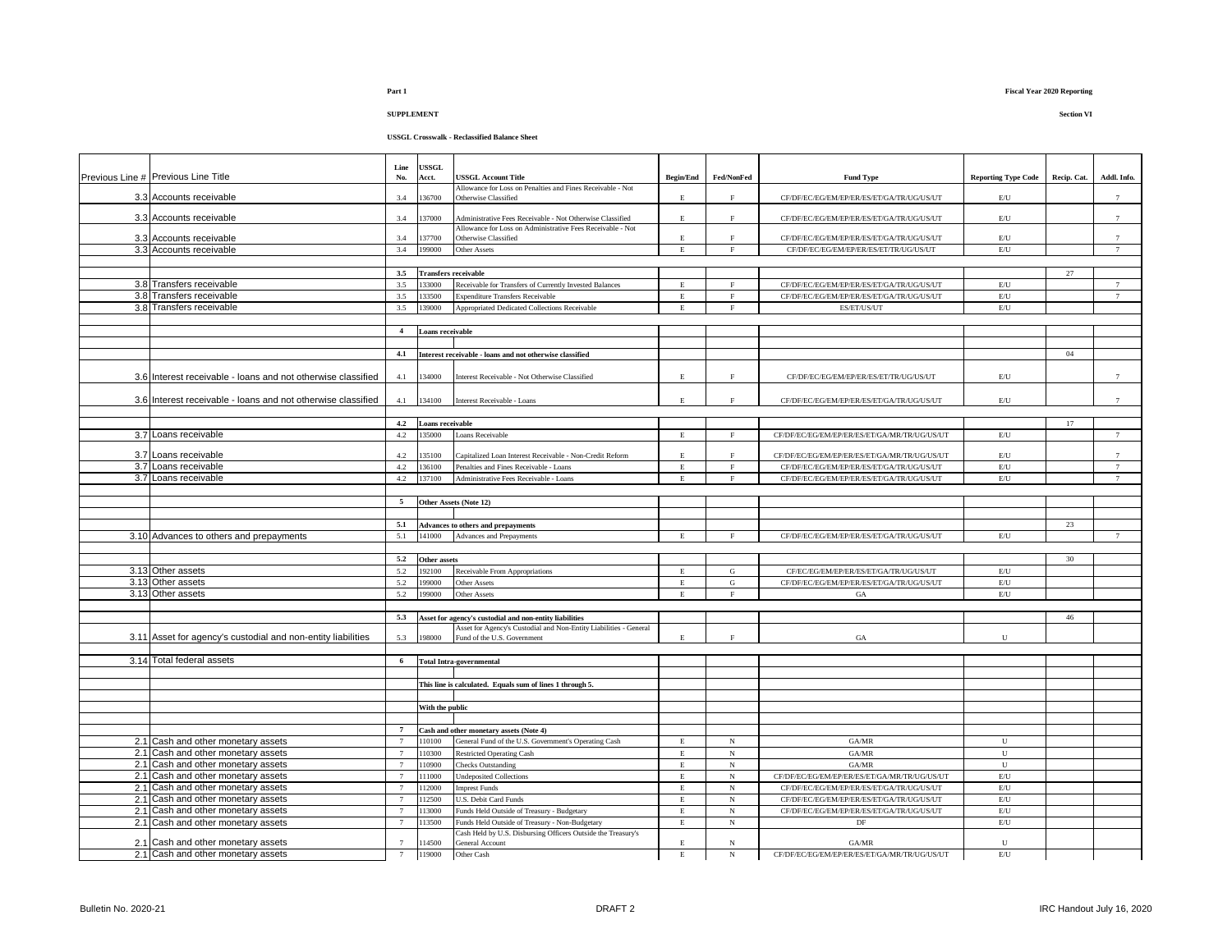**SUPPLEMENT Section VI**

|                                                              | Line             | <b>JSSGL</b>                |                                                                                          |                            |                        |                                                                                     |                                |             |                 |
|--------------------------------------------------------------|------------------|-----------------------------|------------------------------------------------------------------------------------------|----------------------------|------------------------|-------------------------------------------------------------------------------------|--------------------------------|-------------|-----------------|
| Previous Line # Previous Line Title                          | No.              | Acct.                       | <b>JSSGL Account Title</b>                                                               | <b>Begin/End</b>           | Fed/NonFed             | <b>Fund Type</b>                                                                    | <b>Reporting Type Code</b>     | Recip. Cat. | Addl. Info.     |
| 3.3 Accounts receivable                                      | 3.4              | 36700                       | Allowance for Loss on Penalties and Fines Receivable - Not<br>Otherwise Classified       | E                          | $\rm F$                | CF/DF/EC/EG/EM/EP/ER/ES/ET/GA/TR/UG/US/UT                                           | E/U                            |             | $\tau$          |
| 3.3 Accounts receivable                                      | 3.4              | 37000                       | Administrative Fees Receivable - Not Otherwise Classified                                | E.                         | $\mathbf F$            | CF/DF/EC/EG/EM/EP/ER/ES/ET/GA/TR/UG/US/UT                                           | $\mathrm{E}/\mathrm{U}$        |             | $\overline{7}$  |
|                                                              |                  |                             | Allowance for Loss on Administrative Fees Receivable - Not                               |                            |                        |                                                                                     |                                |             |                 |
| 3.3 Accounts receivable                                      | 3.4              | 37700                       | Otherwise Classified                                                                     | E                          | $\mathbf F$            | CF/DF/EC/EG/EM/EP/ER/ES/ET/GA/TR/UG/US/UT                                           | E/U                            |             | $\tau$          |
| 3.3 Accounts receivable                                      | 3.4              | 199000                      | Other Assets                                                                             | $\mathbf E$                | $\rm F$                | CF/DF/EC/EG/EM/EP/ER/ES/ET/TR/UG/US/UT                                              | E/U                            |             | 7               |
|                                                              |                  |                             |                                                                                          |                            |                        |                                                                                     |                                |             |                 |
|                                                              | 3.5              | <b>Transfers receivable</b> |                                                                                          |                            | $\mathbf{F}$           |                                                                                     |                                | 27          |                 |
| 3.8 Transfers receivable                                     | 3.5              | 33000                       | Receivable for Transfers of Currently Invested Balances                                  | E.                         |                        | CF/DF/EC/EG/EM/EP/ER/ES/ET/GA/TR/UG/US/UT                                           | E/U                            |             | $7\overline{ }$ |
| 3.8 Transfers receivable<br>3.8 Transfers receivable         | 3.5<br>3.5       | 33500<br>39000              | <b>Expenditure Transfers Receivable</b><br>Appropriated Dedicated Collections Receivable | $\mathbf E$<br>E.          | $\mathbf F$<br>$\rm F$ | CF/DF/EC/EG/EM/EP/ER/ES/ET/GA/TR/UG/US/UT<br>ES/ET/US/UT                            | E/U<br>E/U                     |             | 7               |
|                                                              |                  |                             |                                                                                          |                            |                        |                                                                                     |                                |             |                 |
|                                                              | $\overline{4}$   | <b>Loans receivable</b>     |                                                                                          |                            |                        |                                                                                     |                                |             |                 |
|                                                              |                  |                             |                                                                                          |                            |                        |                                                                                     |                                |             |                 |
|                                                              | 4.1              |                             | Interest receivable - loans and not otherwise classified                                 |                            |                        |                                                                                     |                                | 04          |                 |
|                                                              |                  |                             |                                                                                          |                            |                        |                                                                                     |                                |             |                 |
| 3.6 Interest receivable - loans and not otherwise classified | 4.1              | 34000                       | Interest Receivable - Not Otherwise Classified                                           | E.                         | $\rm F$                | CF/DF/EC/EG/EM/EP/ER/ES/ET/TR/UG/US/UT                                              | $\mathrm{E}/\mathrm{U}$        |             | $7\overline{ }$ |
|                                                              |                  |                             |                                                                                          |                            |                        |                                                                                     |                                |             |                 |
| 3.6 Interest receivable - loans and not otherwise classified | 4.1              | 134100                      | Interest Receivable - Loans                                                              | E                          | $\rm F$                | CF/DF/EC/EG/EM/EP/ER/ES/ET/GA/TR/UG/US/UT                                           | E/U                            |             | $7\phantom{.0}$ |
|                                                              |                  |                             |                                                                                          |                            |                        |                                                                                     |                                |             |                 |
| 3.7 Loans receivable                                         | 4.2<br>4.2       | Loans receivable<br>35000   | Loans Receivable                                                                         |                            | F                      | CF/DF/EC/EG/EM/EP/ER/ES/ET/GA/MR/TR/UG/US/UT                                        | $\mathrm{E}/\mathrm{U}$        | 17          |                 |
|                                                              |                  |                             |                                                                                          | E                          |                        |                                                                                     |                                |             | $7\phantom{.0}$ |
| 3.7 Loans receivable                                         | 4.2              | 35100                       | Capitalized Loan Interest Receivable - Non-Credit Reform                                 | E.                         | $\rm F$                | CF/DF/EC/EG/EM/EP/ER/ES/ET/GA/MR/TR/UG/US/UT                                        | E/U                            |             | $\overline{7}$  |
| 3.7 Loans receivable                                         | 4.2              | 136100                      | Penalties and Fines Receivable - Loans                                                   | $\mathbf E$                | $\mathbf F$            | CF/DF/EC/EG/EM/EP/ER/ES/ET/GA/TR/UG/US/UT                                           | E/U                            |             | $7\phantom{.0}$ |
| 3.7 Loans receivable                                         | 4.2              | 37100                       | Administrative Fees Receivable - Loans                                                   | $\mathbf E$                | $\mathbf F$            | CF/DF/EC/EG/EM/EP/ER/ES/ET/GA/TR/UG/US/UT                                           | E/U                            |             | $\tau$          |
|                                                              |                  |                             |                                                                                          |                            |                        |                                                                                     |                                |             |                 |
|                                                              | 5                |                             | Other Assets (Note 12)                                                                   |                            |                        |                                                                                     |                                |             |                 |
|                                                              |                  |                             |                                                                                          |                            |                        |                                                                                     |                                |             |                 |
|                                                              | 5.1              |                             | Advances to others and prepayments                                                       |                            |                        |                                                                                     |                                | 23          |                 |
| 3.10 Advances to others and prepayments                      | 5.1              | 141000                      | Advances and Prepayments                                                                 | $\mathbf E$                | $\mathbf{F}$           | CF/DF/EC/EG/EM/EP/ER/ES/ET/GA/TR/UG/US/UT                                           | $\mathrm{E}/\mathrm{U}$        |             | 7               |
|                                                              |                  |                             |                                                                                          |                            |                        |                                                                                     |                                |             |                 |
|                                                              | 5.2<br>5.2       | Other assets                |                                                                                          |                            |                        |                                                                                     |                                | 30          |                 |
| 3.13 Other assets<br>3.13 Other assets                       | 5.2              | 92100<br>99000              | Receivable From Appropriations<br>Other Assets                                           | $\mathbf E$<br>$\mathbf E$ | ${\bf G}$<br>${\bf G}$ | CF/EC/EG/EM/EP/ER/ES/ET/GA/TR/UG/US/UT<br>CF/DF/EC/EG/EM/EP/ER/ES/ET/GA/TR/UG/US/UT | E/U<br>$\mathrm{E}/\mathrm{U}$ |             |                 |
| 3.13 Other assets                                            | 5.2              | 199000                      | Other Assets                                                                             | $\mathbf E$                | $\mathbf F$            | GA                                                                                  | E/U                            |             |                 |
|                                                              |                  |                             |                                                                                          |                            |                        |                                                                                     |                                |             |                 |
|                                                              | 5.3              |                             | Asset for agency's custodial and non-entity liabilities                                  |                            |                        |                                                                                     |                                | 46          |                 |
|                                                              |                  |                             | Asset for Agency's Custodial and Non-Entity Liabilities - General                        |                            |                        |                                                                                     |                                |             |                 |
| 3.11 Asset for agency's custodial and non-entity liabilities | 5.3              | 198000                      | Fund of the U.S. Government                                                              | $\mathbf E$                | $\mathbf{F}$           | $_{\mathrm{GA}}$                                                                    | U                              |             |                 |
|                                                              |                  |                             |                                                                                          |                            |                        |                                                                                     |                                |             |                 |
| 3.14 Total federal assets                                    | $\boldsymbol{6}$ |                             | <b>Total Intra-governmental</b>                                                          |                            |                        |                                                                                     |                                |             |                 |
|                                                              |                  |                             |                                                                                          |                            |                        |                                                                                     |                                |             |                 |
|                                                              |                  |                             | This line is calculated. Equals sum of lines 1 through 5.                                |                            |                        |                                                                                     |                                |             |                 |
|                                                              |                  | With the public             |                                                                                          |                            |                        |                                                                                     |                                |             |                 |
|                                                              |                  |                             |                                                                                          |                            |                        |                                                                                     |                                |             |                 |
|                                                              | $\overline{7}$   |                             | Cash and other monetary assets (Note 4)                                                  |                            |                        |                                                                                     |                                |             |                 |
| 2.1 Cash and other monetary assets                           |                  | 10100                       | General Fund of the U.S. Government's Operating Cash                                     | $\mathbf E$                | $_{\rm N}$             | GA/MR                                                                               | ${\bf U}$                      |             |                 |
| 2.1 Cash and other monetary assets                           | $\overline{7}$   | 10300                       | <b>Restricted Operating Cash</b>                                                         | E                          | $_{\rm N}$             | GA/MR                                                                               | ${\bf U}$                      |             |                 |
| 2.1 Cash and other monetary assets                           | $\overline{7}$   | 10900                       | <b>Checks Outstanding</b>                                                                | $\mathbf E$                | $_{\rm N}$             | GA/MR                                                                               | $\mathbf{U}$                   |             |                 |
| 2.1 Cash and other monetary assets                           | $\overline{7}$   | 111000                      | Undeposited Collections                                                                  | $\mathbf E$                | $_{\rm N}$             | CF/DF/EC/EG/EM/EP/ER/ES/ET/GA/MR/TR/UG/US/UT                                        | E/U                            |             |                 |
| 2.1 Cash and other monetary assets                           | $\overline{7}$   | 12000                       | <b>Imprest Funds</b>                                                                     | $\mathbf E$                | $_{\rm N}$             | CF/DF/EC/EG/EM/EP/ER/ES/ET/GA/TR/UG/US/UT                                           | E/U                            |             |                 |
| 2.1 Cash and other monetary assets                           |                  | 12500                       | U.S. Debit Card Funds                                                                    | $\mathbf E$                | $_{\rm N}$             | CF/DF/EC/EG/EM/EP/ER/ES/ET/GA/TR/UG/US/UT                                           | E/U                            |             |                 |
| 2.1 Cash and other monetary assets                           | $\overline{7}$   | 13000                       | Funds Held Outside of Treasury - Budgetary                                               | E                          | $_{\rm N}$             | CF/DF/EC/EG/EM/EP/ER/ES/ET/GA/TR/UG/US/UT                                           | $\mathrm{E}/\mathrm{U}$        |             |                 |
| 2.1 Cash and other monetary assets                           |                  | 13500                       | Funds Held Outside of Treasury - Non-Budgetary                                           | $\mathbf E$                | $_{\rm N}$             | DF                                                                                  | E/U                            |             |                 |
| 2.1 Cash and other monetary assets                           |                  | 14500                       | Cash Held by U.S. Disbursing Officers Outside the Treasury's<br>General Account          | E.                         | N                      | GA/MR                                                                               | U                              |             |                 |
| 2.1 Cash and other monetary assets                           | $\overline{7}$   | 119000                      | Other Cash                                                                               | $\mathbf E$                | $_{\rm N}$             | CF/DF/EC/EG/EM/EP/ER/ES/ET/GA/MR/TR/UG/US/UT                                        | E/U                            |             |                 |
|                                                              |                  |                             |                                                                                          |                            |                        |                                                                                     |                                |             |                 |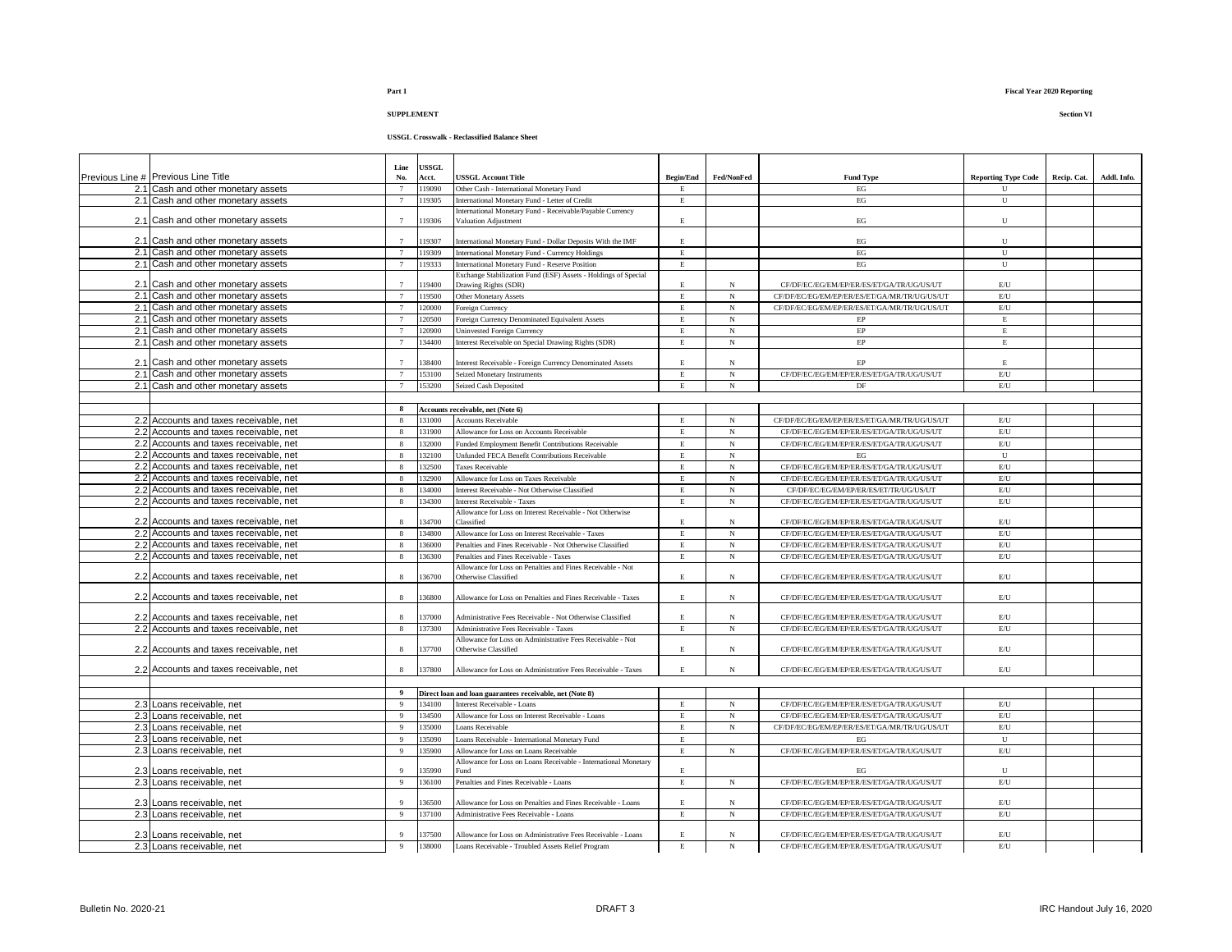# **USSGL Crosswalk - Reclassified Balance Sheet**

|                                                                                  | Line                  | <b>USSGL</b>     |                                                                                                      |                  |                 |                                                                                        |                                |             |             |
|----------------------------------------------------------------------------------|-----------------------|------------------|------------------------------------------------------------------------------------------------------|------------------|-----------------|----------------------------------------------------------------------------------------|--------------------------------|-------------|-------------|
| Previous Line # Previous Line Title                                              | No.                   | Acct.            | <b>USSGL Account Title</b>                                                                           | <b>Begin/End</b> | Fed/NonFed      | <b>Fund Type</b>                                                                       | <b>Reporting Type Code</b>     | Recip. Cat. | Addl. Info. |
| 2.1 Cash and other monetary assets                                               |                       | 119090           | Other Cash - International Monetary Fund                                                             | F                |                 | EG                                                                                     | $_{\rm II}$                    |             |             |
| 2.1 Cash and other monetary assets                                               | $\overline{7}$        | 119305           | International Monetary Fund - Letter of Credit                                                       | $\mathbf E$      |                 | $\operatorname{EG}$                                                                    | U                              |             |             |
| 2.1 Cash and other monetary assets                                               |                       | 119306           | nternational Monetary Fund - Receivable/Payable Currency<br>Valuation Adjustment                     | E                |                 | $_{\rm EG}$                                                                            | U                              |             |             |
|                                                                                  |                       |                  |                                                                                                      |                  |                 |                                                                                        |                                |             |             |
| 2.1 Cash and other monetary assets<br>2.1 Cash and other monetary assets         |                       | 19307<br>19309   | International Monetary Fund - Dollar Deposits With the IMF                                           | E.<br>E          |                 | $_{\rm EG}$<br>$\operatorname{EG}$                                                     | U<br>${\bf U}$                 |             |             |
| 2.1 Cash and other monetary assets                                               |                       | 119333           | International Monetary Fund - Currency Holdings<br>International Monetary Fund - Reserve Position    | E                |                 | EG                                                                                     | U                              |             |             |
|                                                                                  |                       |                  | Exchange Stabilization Fund (ESF) Assets - Holdings of Special                                       |                  |                 |                                                                                        |                                |             |             |
| 2.1 Cash and other monetary assets                                               | $\overline{7}$        | 119400           | Drawing Rights (SDR)                                                                                 | E                | N               | CF/DF/EC/EG/EM/EP/ER/ES/ET/GA/TR/UG/US/UT                                              | E/U                            |             |             |
| 2.1 Cash and other monetary assets                                               | $\overline{7}$        | 119500           | Other Monetary Assets                                                                                | $\mathbf E$      | $_{\rm N}$      | CF/DF/EC/EG/EM/EP/ER/ES/ET/GA/MR/TR/UG/US/UT                                           | $\mathrm{E}/\mathrm{U}$        |             |             |
| 2.1 Cash and other monetary assets                                               | $\overline{7}$        | 120000           | <b>Poreign Currency</b>                                                                              | E                | $_{\rm N}$      | CF/DF/EC/EG/EM/EP/ER/ES/ET/GA/MR/TR/UG/US/UT                                           | $\mathrm{E}/\mathrm{U}$        |             |             |
| 2.1 Cash and other monetary assets                                               | $\overline{7}$        | 120500           | <b>Poreign Currency Denominated Equivalent Assets</b>                                                | $\mathbf E$      | $_{\rm N}$      | EP                                                                                     | $\mathbf E$                    |             |             |
| 2.1 Cash and other monetary assets                                               | $\overline{7}$        | 120900           | <b>Uninvested Foreign Currency</b>                                                                   | E                | $_{\rm N}$      | EP                                                                                     | E                              |             |             |
| 2.1 Cash and other monetary assets                                               |                       | 34400            | Interest Receivable on Special Drawing Rights (SDR)                                                  | E                | $_{\rm N}$      | $\rm EP$                                                                               | $\mathbf E$                    |             |             |
|                                                                                  |                       |                  |                                                                                                      |                  |                 |                                                                                        |                                |             |             |
| 2.1 Cash and other monetary assets                                               |                       | 38400            | Interest Receivable - Foreign Currency Denominated Assets                                            | E                | N               | EP                                                                                     | E.                             |             |             |
| 2.1 Cash and other monetary assets                                               | $\overline{7}$        | 153100           | <b>Seized Monetary Instruments</b>                                                                   | E                | $_{\rm N}$      | CF/DF/EC/EG/EM/EP/ER/ES/ET/GA/TR/UG/US/UT                                              | $E$ U                          |             |             |
| 2.1 Cash and other monetary assets                                               |                       | 153200           | Seized Cash Deposited                                                                                | E                | N               | DF                                                                                     | $E$ U                          |             |             |
|                                                                                  |                       |                  |                                                                                                      |                  |                 |                                                                                        |                                |             |             |
|                                                                                  | 8                     |                  | Accounts receivable, net (Note 6)                                                                    |                  |                 |                                                                                        |                                |             |             |
| 2.2 Accounts and taxes receivable, net                                           | $\mathbf{8}$          | 131000           | <b>Accounts Receivable</b>                                                                           | Е                | $_{\rm N}$      | CF/DF/EC/EG/EM/EP/ER/ES/ET/GA/MR/TR/UG/US/UT                                           | $\mathrm{E} / \mathrm{U}$      |             |             |
| 2.2 Accounts and taxes receivable, net                                           | 8                     | 131900<br>132000 | Allowance for Loss on Accounts Receivable                                                            | $\mathbf E$      | N<br>$_{\rm N}$ | CF/DF/EC/EG/EM/EP/ER/ES/ET/GA/TR/UG/US/UT<br>CF/DF/EC/EG/EM/EP/ER/ES/ET/GA/TR/UG/US/UT | $\mathrm{E}/\mathrm{U}$<br>E/U |             |             |
| 2.2 Accounts and taxes receivable, net<br>2.2 Accounts and taxes receivable, net | 8<br>8                | 132100           | Funded Employment Benefit Contributions Receivable<br>Unfunded FECA Benefit Contributions Receivable | E<br>E.          | $_{\rm N}$      | EG                                                                                     | $\overline{\mathbf{U}}$        |             |             |
| 2.2 Accounts and taxes receivable, net                                           | -8                    | 132500           | <b>Taxes Receivable</b>                                                                              | E                | $_{\rm N}$      | CF/DF/EC/EG/EM/EP/ER/ES/ET/GA/TR/UG/US/UT                                              | $E$ U                          |             |             |
| 2.2 Accounts and taxes receivable, net                                           |                       | 132900           | Allowance for Loss on Taxes Receivable                                                               | E                | N               | CF/DF/EC/EG/EM/EP/ER/ES/ET/GA/TR/UG/US/UT                                              | E/U                            |             |             |
| 2.2 Accounts and taxes receivable, net                                           | -8                    | 134000           | Interest Receivable - Not Otherwise Classified                                                       | E                | N               | CF/DF/EC/EG/EM/EP/ER/ES/ET/TR/UG/US/UT                                                 | $\mathrm{E}/\mathrm{U}$        |             |             |
| 2.2 Accounts and taxes receivable, net                                           | $\mathbf{8}$          | 134300           | <b>Interest Receivable - Taxes</b>                                                                   | E.               | $_{\rm N}$      | CF/DF/EC/EG/EM/EP/ER/ES/ET/GA/TR/UG/US/UT                                              | $\mathrm{E}/\mathrm{U}$        |             |             |
|                                                                                  |                       |                  | Allowance for Loss on Interest Receivable - Not Otherwise                                            |                  |                 |                                                                                        |                                |             |             |
| 2.2 Accounts and taxes receivable, net                                           | $\mathbf{\hat{x}}$    | 34700            | Classified                                                                                           | E                | N               | CF/DF/EC/EG/EM/EP/ER/ES/ET/GA/TR/UG/US/UT                                              | $E$ U                          |             |             |
| 2.2 Accounts and taxes receivable, net                                           | 8                     | 134800           | Allowance for Loss on Interest Receivable - Taxes                                                    | $\mathbf E$      | N               | CF/DF/EC/EG/EM/EP/ER/ES/ET/GA/TR/UG/US/UT                                              | E/U                            |             |             |
| 2.2 Accounts and taxes receivable, net                                           | 8                     | 36000            | Penalties and Fines Receivable - Not Otherwise Classified                                            | E                | N               | CF/DF/EC/EG/EM/EP/ER/ES/ET/GA/TR/UG/US/UT                                              | E/U                            |             |             |
| 2.2 Accounts and taxes receivable, net                                           | 8                     | 36300            | Penalties and Fines Receivable - Taxes                                                               | E                | N               | CF/DF/EC/EG/EM/EP/ER/ES/ET/GA/TR/UG/US/UT                                              | $\mathrm{E}/\mathrm{U}$        |             |             |
|                                                                                  |                       |                  | Allowance for Loss on Penalties and Fines Receivable - Not                                           |                  |                 |                                                                                        |                                |             |             |
| 2.2 Accounts and taxes receivable, net                                           | $\mathbf{\hat{x}}$    | 36700            | Otherwise Classified                                                                                 | E                | N               | CF/DF/EC/EG/EM/EP/ER/ES/ET/GA/TR/UG/US/UT                                              | E/U                            |             |             |
| 2.2 Accounts and taxes receivable, net                                           | $\mathbf{\hat{z}}$    | 36800            | Allowance for Loss on Penalties and Fines Receivable - Taxes                                         | $\mathbf E$      | $_{\rm N}$      | CF/DF/EC/EG/EM/EP/ER/ES/ET/GA/TR/UG/US/UT                                              | $\mathrm{E}/\mathrm{U}$        |             |             |
|                                                                                  |                       |                  |                                                                                                      |                  |                 |                                                                                        |                                |             |             |
| 2.2 Accounts and taxes receivable, net                                           | 8                     | 37000            | Administrative Fees Receivable - Not Otherwise Classified                                            | E                | N               | CF/DF/EC/EG/EM/EP/ER/ES/ET/GA/TR/UG/US/UT                                              | E/U                            |             |             |
| 2.2 Accounts and taxes receivable, net                                           | 8                     | 37300            | Administrative Fees Receivable - Taxes                                                               | $\mathbf E$      | N               | CF/DF/EC/EG/EM/EP/ER/ES/ET/GA/TR/UG/US/UT                                              | $\mathrm{E}/\mathrm{U}$        |             |             |
|                                                                                  |                       |                  | Allowance for Loss on Administrative Fees Receivable - Not                                           |                  |                 |                                                                                        |                                |             |             |
| 2.2 Accounts and taxes receivable, net                                           |                       | 37700            | Otherwise Classified                                                                                 | E.               | N               | CF/DF/EC/EG/EM/EP/ER/ES/ET/GA/TR/UG/US/UT                                              | E/U                            |             |             |
|                                                                                  | $\mathbf{\mathbf{8}}$ | 137800           |                                                                                                      |                  | N               |                                                                                        | $\mathrm{E}\mathrm{U}$         |             |             |
| 2.2 Accounts and taxes receivable, net                                           |                       |                  | Allowance for Loss on Administrative Fees Receivable - Taxes                                         | E                |                 | CF/DF/EC/EG/EM/EP/ER/ES/ET/GA/TR/UG/US/UT                                              |                                |             |             |
|                                                                                  | 9                     |                  | Direct loan and loan guarantees receivable, net (Note 8)                                             |                  |                 |                                                                                        |                                |             |             |
| 2.3 Loans receivable, net                                                        | Q                     | 134100           | Interest Receivable - Loans                                                                          | $\mathbf E$      | $_{\rm N}$      | CF/DF/EC/EG/EM/EP/ER/ES/ET/GA/TR/UG/US/UT                                              | E/U                            |             |             |
| 2.3 Loans receivable, net                                                        | 9                     | 134500           | Allowance for Loss on Interest Receivable - Loans                                                    | E                | N               | CF/DF/EC/EG/EM/EP/ER/ES/ET/GA/TR/UG/US/UT                                              | E/U                            |             |             |
| 2.3 Loans receivable, net                                                        | $\overline{9}$        | 135000           | oans Receivable                                                                                      | E                | $_{\rm N}$      | CF/DF/EC/EG/EM/EP/ER/ES/ET/GA/MR/TR/UG/US/UT                                           | $\mathrm{E}/\mathrm{U}$        |             |             |
| 2.3 Loans receivable, net                                                        | -9                    | 135090           | Loans Receivable - International Monetary Fund                                                       | E                |                 | EG                                                                                     | ${\bf U}$                      |             |             |
| 2.3 Loans receivable, net                                                        | $\mathbf{Q}$          | 135900           | Allowance for Loss on Loans Receivable                                                               | E.               | N               | CF/DF/EC/EG/EM/EP/ER/ES/ET/GA/TR/UG/US/UT                                              | $\mathrm{E}/\mathrm{U}$        |             |             |
|                                                                                  |                       |                  | Allowance for Loss on Loans Receivable - International Monetary                                      |                  |                 |                                                                                        |                                |             |             |
| 2.3 Loans receivable, net                                                        |                       | 35990            | <b>Fund</b>                                                                                          | E.               |                 | EG                                                                                     | $\mathbf{U}$                   |             |             |
| 2.3 Loans receivable, net                                                        | $\overline{9}$        | 136100           | Penalties and Fines Receivable - Loans                                                               | E                | N               | CF/DF/EC/EG/EM/EP/ER/ES/ET/GA/TR/UG/US/UT                                              | E/U                            |             |             |
|                                                                                  |                       |                  |                                                                                                      |                  |                 |                                                                                        |                                |             |             |
| 2.3 Loans receivable, net                                                        | Q                     | 36500            | Allowance for Loss on Penalties and Fines Receivable - Loans                                         | E.               | N               | CF/DF/EC/EG/EM/EP/ER/ES/ET/GA/TR/UG/US/UT                                              | $\mathrm{E}\mathrm{U}$         |             |             |
| 2.3 Loans receivable, net                                                        | 9                     | 137100           | Administrative Fees Receivable - Loans                                                               | E                | N               | CF/DF/EC/EG/EM/EP/ER/ES/ET/GA/TR/UG/US/UT                                              | $\mathrm{E}/\mathrm{U}$        |             |             |
| 2.3 Loans receivable, net                                                        | $\mathbf{Q}$          | 137500           | Allowance for Loss on Administrative Fees Receivable - Loans                                         | E                | N               | CF/DF/EC/EG/EM/EP/ER/ES/ET/GA/TR/UG/US/UT                                              | $E$ U                          |             |             |
| 2.3 Loans receivable, net                                                        | 9                     | 138000           | Loans Receivable - Troubled Assets Relief Program                                                    | E                | $_{\rm N}$      | CF/DF/EC/EG/EM/EP/ER/ES/ET/GA/TR/UG/US/UT                                              | E/U                            |             |             |
|                                                                                  |                       |                  |                                                                                                      |                  |                 |                                                                                        |                                |             |             |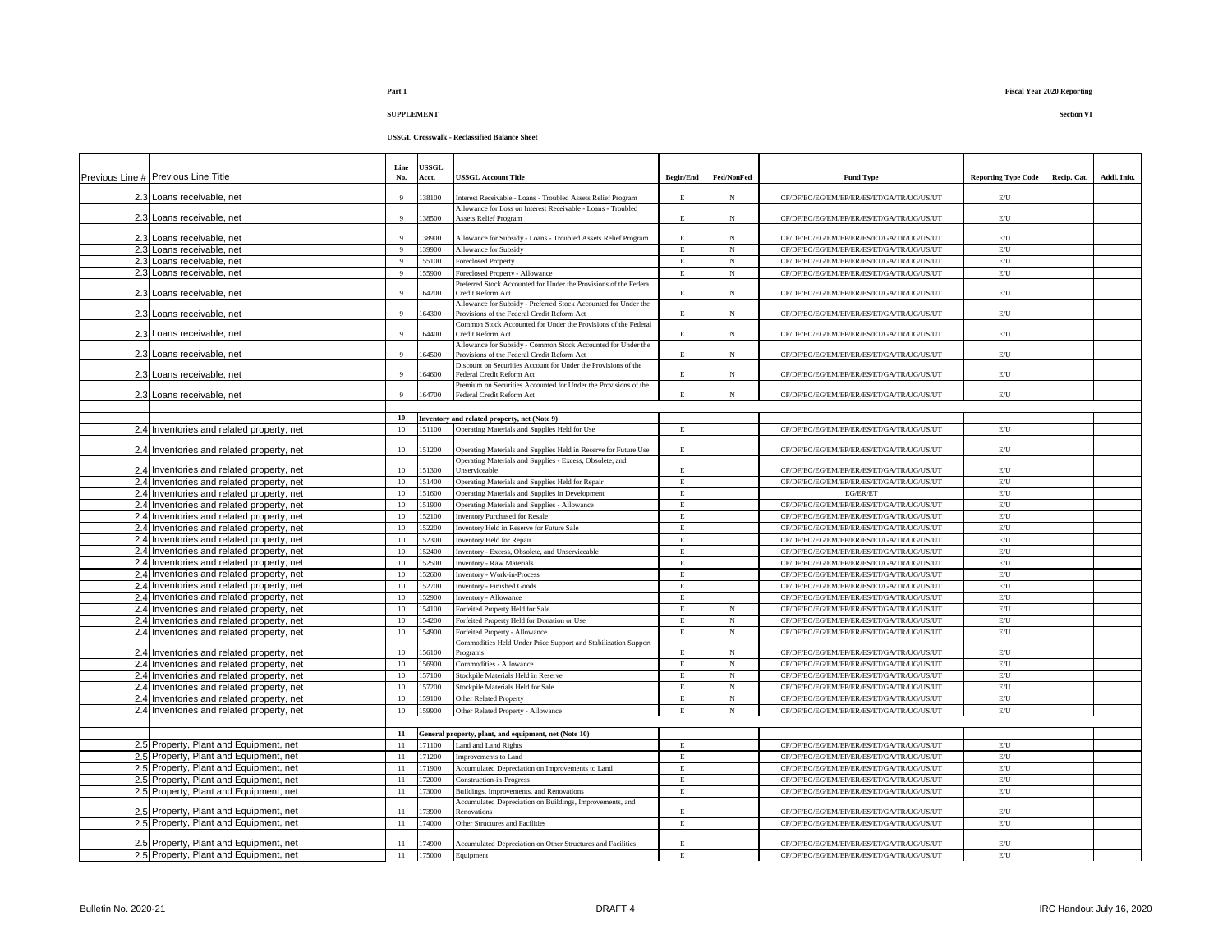|                                           |                | <b>USSGL</b> |                                                                                                                |                  |            |                                           |                            |             |             |
|-------------------------------------------|----------------|--------------|----------------------------------------------------------------------------------------------------------------|------------------|------------|-------------------------------------------|----------------------------|-------------|-------------|
| Previous Line # Previous Line Title       | Line<br>No.    | Acct.        | <b>USSGL Account Title</b>                                                                                     | <b>Begin/End</b> | Fed/NonFed | <b>Fund Type</b>                          | <b>Reporting Type Code</b> | Recip. Cat. | Addl. Info. |
| 2.3 Loans receivable, net                 | Q              | 38100        | nterest Receivable - Loans - Troubled Assets Relief Program                                                    | E                | N          | CF/DF/EC/EG/EM/EP/ER/ES/ET/GA/TR/UG/US/UT | E/U                        |             |             |
| 2.3 Loans receivable, net                 | $\Omega$       | 38500        | Allowance for Loss on Interest Receivable - Loans - Troubled<br><b>Assets Relief Program</b>                   | E.               | $_{\rm N}$ | CF/DF/EC/EG/EM/EP/ER/ES/ET/GA/TR/UG/US/UT | E/U                        |             |             |
|                                           |                |              |                                                                                                                |                  |            |                                           |                            |             |             |
| 2.3 Loans receivable, net                 | -9             | 38900        | Allowance for Subsidy - Loans - Troubled Assets Relief Program                                                 | E                | $_{\rm N}$ | CF/DF/EC/EG/EM/EP/ER/ES/ET/GA/TR/UG/US/UT | $\mathrm{E} / \mathrm{U}$  |             |             |
| 2.3 Loans receivable, net                 | $\overline{9}$ | 39900        | Allowance for Subsidy                                                                                          | $\mathbf E$      | $_{\rm N}$ | CF/DF/EC/EG/EM/EP/ER/ES/ET/GA/TR/UG/US/UT | $\mathrm{E}/\mathrm{U}$    |             |             |
| 2.3 Loans receivable, net                 | $\overline{9}$ | 55100        | Foreclosed Property                                                                                            | $\mathbf E$      | $_{\rm N}$ | CF/DF/EC/EG/EM/EP/ER/ES/ET/GA/TR/UG/US/UT | $\mathrm{E}/\mathrm{U}$    |             |             |
| 2.3 Loans receivable, net                 | $\mathbf{Q}$   | 55900        | Foreclosed Property - Allowance                                                                                | $\mathbf E$      | $_{\rm N}$ | CF/DF/EC/EG/EM/EP/ER/ES/ET/GA/TR/UG/US/UT | $\mathrm{E}/\mathrm{U}$    |             |             |
| 2.3 Loans receivable, net                 |                | 64200        | Preferred Stock Accounted for Under the Provisions of the Federal<br>Credit Reform Act                         | E.               | N          | CF/DF/EC/EG/EM/EP/ER/ES/ET/GA/TR/UG/US/UT | E/U                        |             |             |
| 2.3 Loans receivable, net                 | 9              | 164300       | Allowance for Subsidy - Preferred Stock Accounted for Under the<br>Provisions of the Federal Credit Reform Act | E                | $_{\rm N}$ | CF/DF/EC/EG/EM/EP/ER/ES/ET/GA/TR/UG/US/UT | E/U                        |             |             |
|                                           |                |              | Common Stock Accounted for Under the Provisions of the Federal                                                 |                  |            |                                           |                            |             |             |
| 2.3 Loans receivable, net                 | $\Omega$       | 64400        | Credit Reform Act                                                                                              | E                | $_{\rm N}$ | CF/DF/EC/EG/EM/EP/ER/ES/ET/GA/TR/UG/US/UT | E/U                        |             |             |
| 2.3 Loans receivable, net                 |                | 64500        | Allowance for Subsidy - Common Stock Accounted for Under the<br>Provisions of the Federal Credit Reform Act    | E                | N          | CF/DF/EC/EG/EM/EP/ER/ES/ET/GA/TR/UG/US/UT | E/U                        |             |             |
|                                           |                |              | Discount on Securities Account for Under the Provisions of the                                                 |                  |            |                                           |                            |             |             |
| 2.3 Loans receivable, net                 | $\mathbf Q$    | 64600        | Federal Credit Reform Act                                                                                      | E                | $_{\rm N}$ | CF/DF/EC/EG/EM/EP/ER/ES/ET/GA/TR/UG/US/UT | $\mathrm{E}/\mathrm{U}$    |             |             |
|                                           | $\mathbf{Q}$   |              | Premium on Securities Accounted for Under the Provisions of the                                                |                  |            |                                           |                            |             |             |
| 2.3 Loans receivable, net                 |                | 164700       | Federal Credit Reform Act                                                                                      | $\mathbf E$      | $_{\rm N}$ | CF/DF/EC/EG/EM/EP/ER/ES/ET/GA/TR/UG/US/UT | $\mathrm{E} / \mathrm{U}$  |             |             |
|                                           |                |              |                                                                                                                |                  |            |                                           |                            |             |             |
| 2.4 Inventories and related property, net | 10<br>10       | 151100       | Inventory and related property, net (Note 9)<br>Operating Materials and Supplies Held for Use                  | $\mathbf E$      |            | CF/DF/EC/EG/EM/EP/ER/ES/ET/GA/TR/UG/US/UT | $\mathrm{E}/\mathrm{U}$    |             |             |
|                                           |                |              |                                                                                                                |                  |            |                                           |                            |             |             |
| 2.4 Inventories and related property, net | $10\,$         | 151200       | Operating Materials and Supplies Held in Reserve for Future Use                                                | $\mathbf E$      |            | CF/DF/EC/EG/EM/EP/ER/ES/ET/GA/TR/UG/US/UT | $\mathrm{E}/\mathrm{U}$    |             |             |
| 2.4 Inventories and related property, net | 10             | 151300       | Operating Materials and Supplies - Excess, Obsolete, and<br>Unserviceable                                      | $\mathbf E$      |            | CF/DF/EC/EG/EM/EP/ER/ES/ET/GA/TR/UG/US/UT | E/U                        |             |             |
| 2.4 Inventories and related property, net | 10             | 151400       | Operating Materials and Supplies Held for Repair                                                               | $\rm E$          |            | CF/DF/EC/EG/EM/EP/ER/ES/ET/GA/TR/UG/US/UT | $E$ U                      |             |             |
| 2.4 Inventories and related property, net | 10             | 151600       | Operating Materials and Supplies in Development                                                                | E                |            | EG/ER/ET                                  | E/U                        |             |             |
| 2.4 Inventories and related property, net | 10             | 151900       | Operating Materials and Supplies - Allowance                                                                   | $\mathbf E$      |            | CF/DF/EC/EG/EM/EP/ER/ES/ET/GA/TR/UG/US/UT | $\mathrm{E}/\mathrm{U}$    |             |             |
| 2.4 Inventories and related property, net | 10             | 152100       | <b>Inventory Purchased for Resale</b>                                                                          | $\mathbf E$      |            | CF/DF/EC/EG/EM/EP/ER/ES/ET/GA/TR/UG/US/UT | $\mathrm{E}/\mathrm{U}$    |             |             |
| 2.4 Inventories and related property, net | 10             | 152200       | Inventory Held in Reserve for Future Sale                                                                      | $\mathbf E$      |            | CF/DF/EC/EG/EM/EP/ER/ES/ET/GA/TR/UG/US/UT | $\mathrm{E}/\mathrm{U}$    |             |             |
| 2.4 Inventories and related property, net | 10             | 152300       | Inventory Held for Repair                                                                                      | $\mathbf E$      |            | CF/DF/EC/EG/EM/EP/ER/ES/ET/GA/TR/UG/US/UT | E/U                        |             |             |
| 2.4 Inventories and related property, net | 10             | 152400       | nventory - Excess, Obsolete, and Unserviceable                                                                 | $\mathbf E$      |            | CF/DF/EC/EG/EM/EP/ER/ES/ET/GA/TR/UG/US/UT | E/U                        |             |             |
| 2.4 Inventories and related property, net | $10\,$         | 152500       | <b>Inventory - Raw Materials</b>                                                                               | $\mathbf E$      |            | CF/DF/EC/EG/EM/EP/ER/ES/ET/GA/TR/UG/US/UT | $\mathrm{E}/\mathrm{U}$    |             |             |
| 2.4 Inventories and related property, net | 10             | 152600       | Inventory - Work-in-Process                                                                                    | E                |            | CF/DF/EC/EG/EM/EP/ER/ES/ET/GA/TR/UG/US/UT | $\mathrm{E}/\mathrm{U}$    |             |             |
| 2.4 Inventories and related property, net | 10             | 52700        | Inventory - Finished Goods                                                                                     | $\mathbf E$      |            | CF/DF/EC/EG/EM/EP/ER/ES/ET/GA/TR/UG/US/UT | $\mathrm{E}/\mathrm{U}$    |             |             |
| 2.4 Inventories and related property, net | $10\,$         | 52900        | nventory - Allowance                                                                                           | $\mathbf E$      |            | CF/DF/EC/EG/EM/EP/ER/ES/ET/GA/TR/UG/US/UT | $\mathrm{E}/\mathrm{U}$    |             |             |
| 2.4 Inventories and related property, net | 10             | 54100        | Forfeited Property Held for Sale                                                                               | $\mathbf E$      | $_{\rm N}$ | CF/DF/EC/EG/EM/EP/ER/ES/ET/GA/TR/UG/US/UT | $\mathrm{E}/\mathrm{U}$    |             |             |
| 2.4 Inventories and related property, net | 10             | 154200       | Forfeited Property Held for Donation or Use                                                                    | $\mathbf E$      | N          | CF/DF/EC/EG/EM/EP/ER/ES/ET/GA/TR/UG/US/UT | $\mathrm{E}/\mathrm{U}$    |             |             |
| 2.4 Inventories and related property, net | 10             | 54900        | Forfeited Property - Allowance                                                                                 | $\,$ E           | $_{\rm N}$ | CF/DF/EC/EG/EM/EP/ER/ES/ET/GA/TR/UG/US/UT | $\mathrm{E}/\mathrm{U}$    |             |             |
|                                           |                |              | Commodities Held Under Price Support and Stabilization Support                                                 |                  |            |                                           |                            |             |             |
| 2.4 Inventories and related property, net | 10             | 56100        | Programs                                                                                                       | E                | $_{\rm N}$ | CF/DF/EC/EG/EM/EP/ER/ES/ET/GA/TR/UG/US/UT | E/U                        |             |             |
| 2.4 Inventories and related property, net | 10             | 56900        | Commodities - Allowance                                                                                        | $\mathbf E$      | $_{\rm N}$ | CF/DF/EC/EG/EM/EP/ER/ES/ET/GA/TR/UG/US/UT | $\mathrm{E}/\mathrm{U}$    |             |             |
| 2.4 Inventories and related property, net | 10             | 57100        | Stockpile Materials Held in Reserve                                                                            | $\overline{E}$   | $_{\rm N}$ | CF/DF/EC/EG/EM/EP/ER/ES/ET/GA/TR/UG/US/UT | $\mathrm{E}/\mathrm{U}$    |             |             |
| 2.4 Inventories and related property, net | 10             | 57200        | Stockpile Materials Held for Sale                                                                              | E                | $_{\rm N}$ | CF/DF/EC/EG/EM/EP/ER/ES/ET/GA/TR/UG/US/UT | $\mathrm{E}/\mathrm{U}$    |             |             |
| 2.4 Inventories and related property, net | 10             | 59100        | Other Related Property                                                                                         | $\,$ E           | $_{\rm N}$ | CF/DF/EC/EG/EM/EP/ER/ES/ET/GA/TR/UG/US/UT | $\mathrm{E}/\mathrm{U}$    |             |             |
| 2.4 Inventories and related property, net | 10             | 59900        | Other Related Property - Allowance                                                                             | E                | $_{\rm N}$ | CF/DF/EC/EG/EM/EP/ER/ES/ET/GA/TR/UG/US/UT | $\mathrm{E}/\mathrm{U}$    |             |             |
|                                           |                |              |                                                                                                                |                  |            |                                           |                            |             |             |
|                                           | 11             |              | General property, plant, and equipment, net (Note 10)                                                          |                  |            |                                           |                            |             |             |
| 2.5 Property, Plant and Equipment, net    | 11             | 171100       | Land and Land Rights                                                                                           | $\mathbf E$      |            | CF/DF/EC/EG/EM/EP/ER/ES/ET/GA/TR/UG/US/UT | $\mathrm{E}/\mathrm{U}$    |             |             |
| 2.5 Property, Plant and Equipment, net    | 11             | 171200       | Improvements to Land                                                                                           | $\,$ E           |            | CF/DF/EC/EG/EM/EP/ER/ES/ET/GA/TR/UG/US/UT | E/U                        |             |             |
| 2.5 Property, Plant and Equipment, net    | 11             | 171900       | Accumulated Depreciation on Improvements to Land                                                               | E                |            | CF/DF/EC/EG/EM/EP/ER/ES/ET/GA/TR/UG/US/UT | $\mathrm{E}/\mathrm{U}$    |             |             |
| 2.5 Property, Plant and Equipment, net    | 11             | 72000        | Construction-in-Progress                                                                                       | $\mathbf E$      |            | CF/DF/EC/EG/EM/EP/ER/ES/ET/GA/TR/UG/US/UT | $\mathrm{E}/\mathrm{U}$    |             |             |
| 2.5 Property, Plant and Equipment, net    | 11             | 73000        | Buildings, Improvements, and Renovations                                                                       | $\mathbf E$      |            | CF/DF/EC/EG/EM/EP/ER/ES/ET/GA/TR/UG/US/UT | $\mathrm{E}/\mathrm{U}$    |             |             |
|                                           |                |              | Accumulated Depreciation on Buildings, Improvements, and                                                       |                  |            |                                           |                            |             |             |
| 2.5 Property, Plant and Equipment, net    | 11             | 173900       | Renovations                                                                                                    | $\mathbf E$      |            | CF/DF/EC/EG/EM/EP/ER/ES/ET/GA/TR/UG/US/UT | $\mathrm{E}/\mathrm{U}$    |             |             |
| 2.5 Property, Plant and Equipment, net    | 11             | 174000       | Other Structures and Facilities                                                                                | $\mathbf E$      |            | CF/DF/EC/EG/EM/EP/ER/ES/ET/GA/TR/UG/US/UT | $\mathrm{E}/\mathrm{U}$    |             |             |
|                                           |                |              |                                                                                                                |                  |            |                                           |                            |             |             |
| 2.5 Property, Plant and Equipment, net    | 11             | 174900       | Accumulated Depreciation on Other Structures and Facilities                                                    | E                |            | CF/DF/EC/EG/EM/EP/ER/ES/ET/GA/TR/UG/US/UT | $\mathrm{E} / \mathrm{U}$  |             |             |
| 2.5 Property, Plant and Equipment, net    | 11             | 175000       | Equipment                                                                                                      | $\mathbf E$      |            | CF/DF/EC/EG/EM/EP/ER/ES/ET/GA/TR/UG/US/UT | E/U                        |             |             |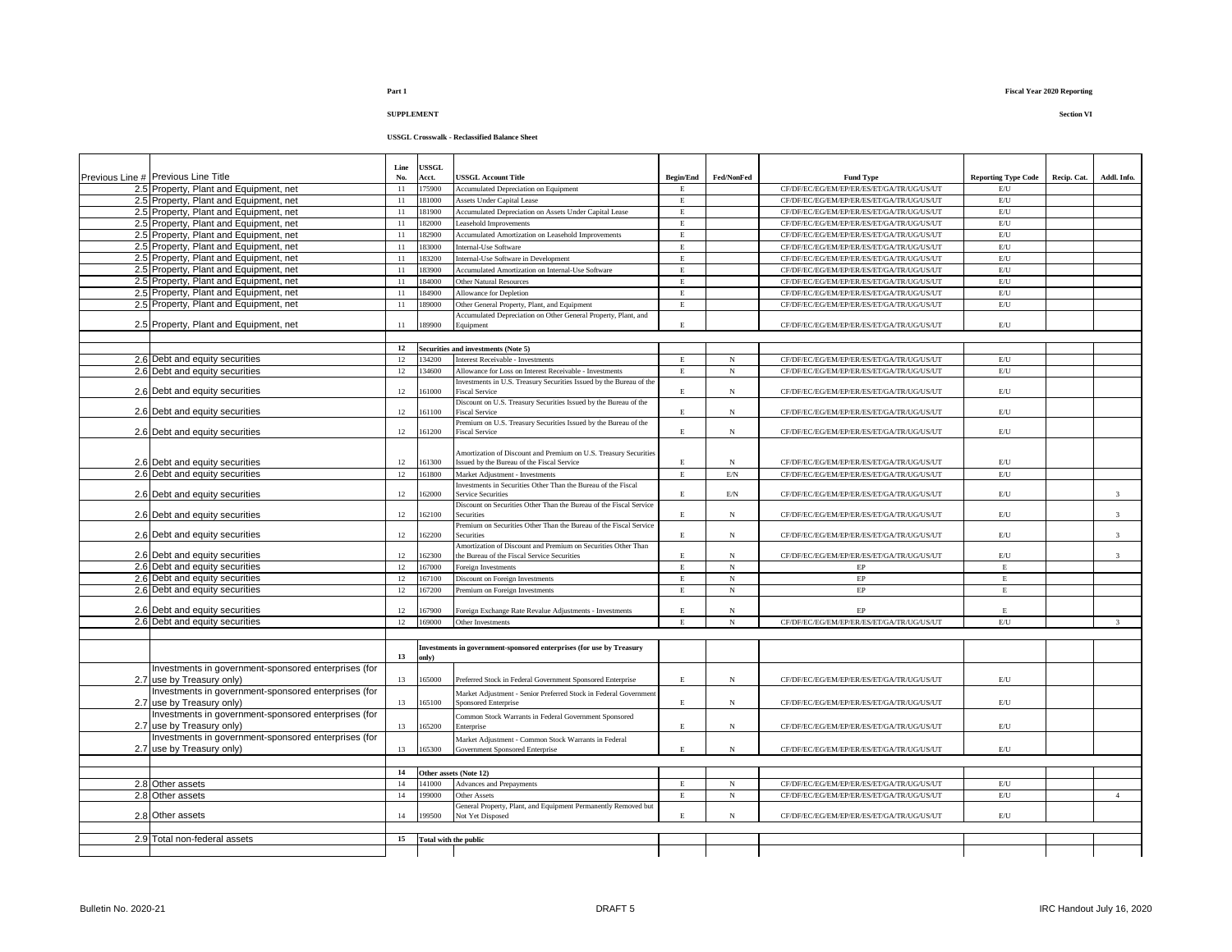# **USSGL Crosswalk - Reclassified Balance Sheet**

| Previous Line # Previous Line Title                                               | Line<br>No. | USSGL<br>Acct.        | <b>ISSGL Account Title</b>                                                               | <b>Begin/End</b> | Fed/NonFed                | <b>Fund Type</b>                                | <b>Reporting Type Code</b> | Recip. Cat. | Addl. Info.             |
|-----------------------------------------------------------------------------------|-------------|-----------------------|------------------------------------------------------------------------------------------|------------------|---------------------------|-------------------------------------------------|----------------------------|-------------|-------------------------|
| 2.5 Property, Plant and Equipment, net                                            | 11          | 175900                | <b>Accumulated Depreciation on Equipment</b>                                             | $\mathbf{E}$     |                           | CF/DF/EC/EG/EM/EP/ER/ES/ET/GA/TR/UG/US/UT       | E/U                        |             |                         |
| 2.5 Property, Plant and Equipment, net                                            | 11          | 181000                | <b>Assets Under Capital Lease</b>                                                        | $\mathbf E$      |                           | CF/DF/EC/EG/EM/EP/ER/ES/ET/GA/TR/UG/US/UT       | E/U                        |             |                         |
| 2.5 Property, Plant and Equipment, net                                            | 11          | 181900                | <b>Accumulated Depreciation on Assets Under Capital Lease</b>                            | E                |                           | CF/DF/EC/EG/EM/EP/ER/ES/ET/GA/TR/UG/US/UT       | E/U                        |             |                         |
| 2.5 Property, Plant and Equipment, net                                            | 11          | 182000                | easehold Improvements                                                                    | $\mathbf E$      |                           | CF/DF/EC/EG/EM/EP/ER/ES/ET/GA/TR/UG/US/UT       | E/U                        |             |                         |
| 2.5 Property, Plant and Equipment, net                                            | 11          | 182900                | <b>Accumulated Amortization on Leasehold Improvements</b>                                | $\mathbf E$      |                           | CF/DF/EC/EG/EM/EP/ER/ES/ET/GA/TR/UG/US/UT       | $\mathrm{E}/\mathrm{U}$    |             |                         |
| 2.5 Property, Plant and Equipment, net                                            | 11          | 183000                | Internal-Use Software                                                                    | $\mathbf E$      |                           | CF/DF/EC/EG/EM/EP/ER/ES/ET/GA/TR/UG/US/UT       | E/U                        |             |                         |
| 2.5 Property, Plant and Equipment, net                                            | 11          | 183200                | nternal-Use Software in Development                                                      | E                |                           | CF/DF/EC/EG/EM/EP/ER/ES/ET/GA/TR/UG/US/UT       | E/U                        |             |                         |
| 2.5 Property, Plant and Equipment, net                                            | 11          | 183900                | <b>Accumulated Amortization on Internal-Use Software</b>                                 | $\mathbf E$      |                           | CF/DF/EC/EG/EM/EP/ER/ES/ET/GA/TR/UG/US/UT       | E/U                        |             |                         |
| 2.5 Property, Plant and Equipment, net                                            | 11          | 184000                | Other Natural Resources                                                                  | E                |                           | CF/DF/EC/EG/EM/EP/ER/ES/ET/GA/TR/UG/US/UT       | E/U                        |             |                         |
| 2.5 Property, Plant and Equipment, net                                            | 11          | 184900                | Allowance for Depletion                                                                  | $\mathbf E$      |                           | CF/DF/EC/EG/EM/EP/ER/ES/ET/GA/TR/UG/US/UT       | $\mathrm{E}/\mathrm{U}$    |             |                         |
| 2.5 Property, Plant and Equipment, net                                            | 11          | 189000                | Other General Property, Plant, and Equipment                                             | E                |                           | CF/DF/EC/EG/EM/EP/ER/ES/ET/GA/TR/UG/US/UT       | $\mathrm{E}/\mathrm{U}$    |             |                         |
|                                                                                   |             |                       | Accumulated Depreciation on Other General Property, Plant, and                           |                  |                           |                                                 |                            |             |                         |
| 2.5 Property, Plant and Equipment, net                                            | 11          | 189900                | Equipment                                                                                | E                |                           | CF/DF/EC/EG/EM/EP/ER/ES/ET/GA/TR/UG/US/UT       | E/U                        |             |                         |
|                                                                                   |             |                       |                                                                                          |                  |                           |                                                 |                            |             |                         |
|                                                                                   | 12          |                       | Securities and investments (Note 5)                                                      |                  |                           |                                                 |                            |             |                         |
| 2.6 Debt and equity securities                                                    | 12          | 134200                | nterest Receivable - Investments                                                         | $\,$ E           | $_{\rm N}$                | CF/DF/EC/EG/EM/EP/ER/ES/ET/GA/TR/UG/US/UT       | $\mathrm{E}/\mathrm{U}$    |             |                         |
| 2.6 Debt and equity securities                                                    | 12          | 134600                | Allowance for Loss on Interest Receivable - Investments                                  | E                | N                         | CF/DF/EC/EG/EM/EP/ER/ES/ET/GA/TR/UG/US/UT       | $\mathrm{E}/\mathrm{U}$    |             |                         |
|                                                                                   |             |                       | Investments in U.S. Treasury Securities Issued by the Bureau of the                      |                  |                           |                                                 |                            |             |                         |
| 2.6 Debt and equity securities                                                    | 12          | 61000                 | Fiscal Service                                                                           | E                | $_{\rm N}$                | CF/DF/EC/EG/EM/EP/ER/ES/ET/GA/TR/UG/US/UT       | $\mathrm{E}/\mathrm{U}$    |             |                         |
| 2.6 Debt and equity securities                                                    | 12          | 161100                | Discount on U.S. Treasury Securities Issued by the Bureau of the<br>iscal Service        | E                | $_{\rm N}$                | CF/DF/EC/EG/EM/EP/ER/ES/ET/GA/TR/UG/US/UT       | $\mathrm{E} / \mathrm{U}$  |             |                         |
|                                                                                   |             |                       | Premium on U.S. Treasury Securities Issued by the Bureau of the                          |                  |                           |                                                 |                            |             |                         |
| 2.6 Debt and equity securities                                                    | 12          | 161200                | Fiscal Service                                                                           | E.               | $_{\rm N}$                | CF/DF/EC/EG/EM/EP/ER/ES/ET/GA/TR/UG/US/UT       | $\mathrm{E}/\mathrm{U}$    |             |                         |
|                                                                                   |             |                       |                                                                                          |                  |                           |                                                 |                            |             |                         |
|                                                                                   |             |                       | Amortization of Discount and Premium on U.S. Treasury Securities                         |                  |                           |                                                 |                            |             |                         |
| 2.6 Debt and equity securities                                                    | 12          | 161300                | ssued by the Bureau of the Fiscal Service                                                | $\mathbf E$      | $_{\rm N}$                | CF/DF/EC/EG/EM/EP/ER/ES/ET/GA/TR/UG/US/UT       | E/U                        |             |                         |
| 2.6 Debt and equity securities                                                    | 12          | 161800                | Market Adiustment - Investments                                                          | $\mathbf E$      | $\mathrm{E/N}$            | CF/DF/EC/EG/EM/EP/ER/ES/ET/GA/TR/UG/US/UT       | E/U                        |             |                         |
|                                                                                   |             |                       | Investments in Securities Other Than the Bureau of the Fiscal                            |                  |                           |                                                 |                            |             |                         |
| 2.6 Debt and equity securities                                                    | 12          | 162000                | Service Securities<br>Discount on Securities Other Than the Bureau of the Fiscal Service | E.               | $\mathrm{E/N}$            | CF/DF/EC/EG/EM/EP/ER/ES/ET/GA/TR/UG/US/UT       | E/U                        |             | $\mathcal{R}$           |
| 2.6 Debt and equity securities                                                    | 12          | 162100                | Securities                                                                               | $\mathbf{E}$     | $_{\rm N}$                | CF/DF/EC/EG/EM/EP/ER/ES/ET/GA/TR/UG/US/UT       | E/U                        |             | $\overline{3}$          |
|                                                                                   |             |                       | remium on Securities Other Than the Bureau of the Fiscal Service                         |                  |                           |                                                 |                            |             |                         |
| 2.6 Debt and equity securities                                                    | 12          | 162200                | Securities                                                                               | E                | $_{\rm N}$                | CF/DF/EC/EG/EM/EP/ER/ES/ET/GA/TR/UG/US/UT       | $\mathrm{E} / \mathrm{U}$  |             | $\mathbf{3}$            |
|                                                                                   |             |                       | Amortization of Discount and Premium on Securities Other Than                            |                  |                           |                                                 |                            |             |                         |
| 2.6 Debt and equity securities                                                    | 12          | 162300                | the Bureau of the Fiscal Service Securities                                              | $\mathbf E$      | N                         | CF/DF/EC/EG/EM/EP/ER/ES/ET/GA/TR/UG/US/UT       | $\mathrm{E} / \mathrm{U}$  |             | $\overline{3}$          |
| 2.6 Debt and equity securities                                                    | 12          | 167000                | oreign Investments                                                                       | E                | $_{\rm N}$                | EP                                              | Ē                          |             |                         |
| 2.6 Debt and equity securities                                                    | 12          | 167100                | Discount on Foreign Investments                                                          | E                | $_{\rm N}$                | $\rm EP$                                        | E                          |             |                         |
| 2.6 Debt and equity securities                                                    | 12          | 167200                | Premium on Foreign Investments                                                           | $\mathbf E$      | $_{\rm N}$                | $\rm EP$                                        | E                          |             |                         |
|                                                                                   |             |                       |                                                                                          | E.               |                           |                                                 | E.                         |             |                         |
| 2.6 Debt and equity securities<br>2.6 Debt and equity securities                  | 12<br>12    | 67900<br>169000       | Foreign Exchange Rate Revalue Adiustments - Investments<br>Other Investments             | $\mathbf E$      | $\mathbf N$<br>$_{\rm N}$ | EP<br>CF/DF/EC/EG/EM/EP/ER/ES/ET/GA/TR/UG/US/UT | E/U                        |             |                         |
|                                                                                   |             |                       |                                                                                          |                  |                           |                                                 |                            |             | $\overline{\mathbf{3}}$ |
|                                                                                   |             |                       |                                                                                          |                  |                           |                                                 |                            |             |                         |
|                                                                                   | 13          |                       | Investments in government-sponsored enterprises (for use by Treasury                     |                  |                           |                                                 |                            |             |                         |
|                                                                                   |             | only)                 |                                                                                          |                  |                           |                                                 |                            |             |                         |
| Investments in government-sponsored enterprises (for<br>2.7 use by Treasury only) | 13          | 165000                | Preferred Stock in Federal Government Sponsored Enterprise                               | $\mathbf E$      | $_{\rm N}$                | CF/DF/EC/EG/EM/EP/ER/ES/ET/GA/TR/UG/US/UT       | $\mathrm{E}/\mathrm{U}$    |             |                         |
| Investments in government-sponsored enterprises (for                              |             |                       |                                                                                          |                  |                           |                                                 |                            |             |                         |
| 2.7 use by Treasury only)                                                         | 13          | 165100                | Market Adjustment - Senior Preferred Stock in Federal Government<br>Sponsored Enterprise | $\mathbf{E}$     | $_{\rm N}$                | CF/DF/EC/EG/EM/EP/ER/ES/ET/GA/TR/UG/US/UT       | $E$ U                      |             |                         |
| Investments in government-sponsored enterprises (for                              |             |                       |                                                                                          |                  |                           |                                                 |                            |             |                         |
|                                                                                   | 13          | 165200                | Common Stock Warrants in Federal Government Sponsored<br>Enterprise                      | $\mathbf E$      | $_{\rm N}$                | CF/DF/EC/EG/EM/EP/ER/ES/ET/GA/TR/UG/US/UT       | E/U                        |             |                         |
| 2.7 use by Treasury only)<br>Investments in government-sponsored enterprises (for |             |                       |                                                                                          |                  |                           |                                                 |                            |             |                         |
|                                                                                   |             | 165300                | Market Adjustment - Common Stock Warrants in Federal                                     | E.               | N                         |                                                 | E/U                        |             |                         |
| 2.7 use by Treasury only)                                                         | 13          |                       | Government Sponsored Enterprise                                                          |                  |                           | CF/DF/EC/EG/EM/EP/ER/ES/ET/GA/TR/UG/US/UT       |                            |             |                         |
|                                                                                   | 14          |                       |                                                                                          |                  |                           |                                                 |                            |             |                         |
| 2.8 Other assets                                                                  | 14          | 141000                | Other assets (Note 12)                                                                   | E                | $_{\rm N}$                | CF/DF/EC/EG/EM/EP/ER/ES/ET/GA/TR/UG/US/UT       | E/U                        |             |                         |
| 2.8 Other assets                                                                  | 14          | 199000                | <b>Advances and Prepayments</b><br>Other Assets                                          | E                | N                         | CF/DF/EC/EG/EM/EP/ER/ES/ET/GA/TR/UG/US/UT       | E/U                        |             | $\overline{4}$          |
|                                                                                   |             |                       | General Property, Plant, and Equipment Permanently Removed but                           |                  |                           |                                                 |                            |             |                         |
| 2.8 Other assets                                                                  | 14          | 199500                | <b>Not Yet Disposed</b>                                                                  | E.               | $_{\rm N}$                | CF/DF/EC/EG/EM/EP/ER/ES/ET/GA/TR/UG/US/UT       | $\mathrm{E}/\mathrm{U}$    |             |                         |
|                                                                                   |             |                       |                                                                                          |                  |                           |                                                 |                            |             |                         |
| 2.9 Total non-federal assets                                                      | 15          | Total with the public |                                                                                          |                  |                           |                                                 |                            |             |                         |
|                                                                                   |             |                       |                                                                                          |                  |                           |                                                 |                            |             |                         |
|                                                                                   |             |                       |                                                                                          |                  |                           |                                                 |                            |             |                         |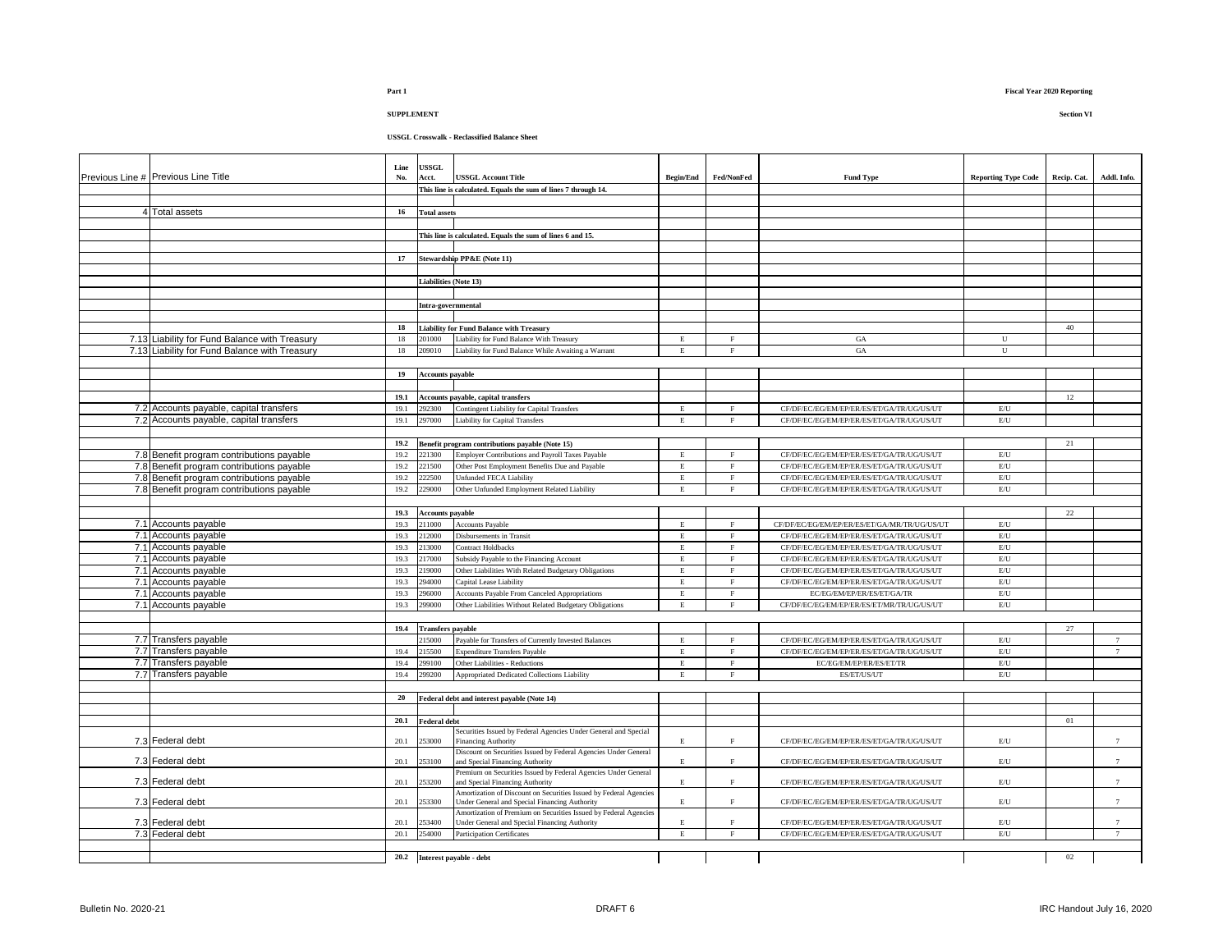# **USSGL Crosswalk - Reclassified Balance Sheet**

| Previous Line # Previous Line Title           | Line<br>No. | <b>USSGL</b><br>Acct.        | <b>USSGL Account Title</b>                                                                                         | <b>Begin/End</b> | Fed/NonFed   | <b>Fund Type</b>                             | <b>Reporting Type Code</b> | Recip. Cat. | Addl. Info.     |
|-----------------------------------------------|-------------|------------------------------|--------------------------------------------------------------------------------------------------------------------|------------------|--------------|----------------------------------------------|----------------------------|-------------|-----------------|
|                                               |             |                              | This line is calculated. Equals the sum of lines 7 through 14.                                                     |                  |              |                                              |                            |             |                 |
|                                               |             |                              |                                                                                                                    |                  |              |                                              |                            |             |                 |
|                                               |             |                              |                                                                                                                    |                  |              |                                              |                            |             |                 |
| 4 Total assets                                | 16          | <b>Total assets</b>          |                                                                                                                    |                  |              |                                              |                            |             |                 |
|                                               |             |                              |                                                                                                                    |                  |              |                                              |                            |             |                 |
|                                               |             |                              | This line is calculated. Equals the sum of lines 6 and 15.                                                         |                  |              |                                              |                            |             |                 |
|                                               |             |                              |                                                                                                                    |                  |              |                                              |                            |             |                 |
|                                               | 17          |                              | Stewardship PP&E (Note 11)                                                                                         |                  |              |                                              |                            |             |                 |
|                                               |             |                              |                                                                                                                    |                  |              |                                              |                            |             |                 |
|                                               |             | <b>Liabilities (Note 13)</b> |                                                                                                                    |                  |              |                                              |                            |             |                 |
|                                               |             |                              |                                                                                                                    |                  |              |                                              |                            |             |                 |
|                                               |             | Intra-governmental           |                                                                                                                    |                  |              |                                              |                            |             |                 |
|                                               |             |                              |                                                                                                                    |                  |              |                                              |                            |             |                 |
|                                               | 18          |                              | <b>Liability for Fund Balance with Treasury</b>                                                                    |                  |              |                                              |                            | 40          |                 |
| 7.13 Liability for Fund Balance with Treasury | 18          | 201000                       | Liability for Fund Balance With Treasury                                                                           | E                | F            | <b>GA</b>                                    | U                          |             |                 |
| 7.13 Liability for Fund Balance with Treasury | 18          | 209010                       | Liability for Fund Balance While Awaiting a Warrant                                                                | E                | $\mathbf F$  | GA                                           | ${\bf U}$                  |             |                 |
|                                               |             |                              |                                                                                                                    |                  |              |                                              |                            |             |                 |
|                                               | 19          |                              |                                                                                                                    |                  |              |                                              |                            |             |                 |
|                                               |             | <b>Accounts payable</b>      |                                                                                                                    |                  |              |                                              |                            |             |                 |
|                                               |             |                              |                                                                                                                    |                  |              |                                              |                            |             |                 |
|                                               | 19.1        |                              | Accounts payable, capital transfers                                                                                |                  |              |                                              |                            | 12          |                 |
| 7.2 Accounts payable, capital transfers       | 19.1        | 292300                       | Contingent Liability for Capital Transfers                                                                         | E                | $\rm F$      | CF/DF/EC/EG/EM/EP/ER/ES/ET/GA/TR/UG/US/UT    | E/U                        |             |                 |
| 7.2 Accounts payable, capital transfers       | 19.1        | 297000                       | <b>Liability for Capital Transfers</b>                                                                             | $\mathbf E$      | $\mathbf F$  | CF/DF/EC/EG/EM/EP/ER/ES/ET/GA/TR/UG/US/UT    | $E$ U                      |             |                 |
|                                               |             |                              |                                                                                                                    |                  |              |                                              |                            |             |                 |
|                                               | 19.2        |                              | Benefit program contributions payable (Note 15)                                                                    |                  |              |                                              |                            | 21          |                 |
| 7.8 Benefit program contributions payable     | 19.2        | 221300                       | Employer Contributions and Payroll Taxes Payable                                                                   | E.               | $\mathbf{F}$ | CF/DF/EC/EG/EM/EP/ER/ES/ET/GA/TR/UG/US/UT    | $\mathrm{E}/\mathrm{U}$    |             |                 |
| 7.8 Benefit program contributions payable     | 19.2        | 221500                       | Other Post Employment Benefits Due and Payable                                                                     | $\mathbf E$      | $\rm F$      | CF/DF/EC/EG/EM/EP/ER/ES/ET/GA/TR/UG/US/UT    | $\mathrm{EU}$              |             |                 |
| 7.8 Benefit program contributions payable     | 19.2        | 222500                       | Unfunded FECA Liability                                                                                            | $\mathbf E$      | $_{\rm F}$   | CF/DF/EC/EG/EM/EP/ER/ES/ET/GA/TR/UG/US/UT    | $\mathrm{E}/\mathrm{U}$    |             |                 |
| 7.8 Benefit program contributions payable     | 19.2        | 229000                       | Other Unfunded Employment Related Liability                                                                        | E                | $_{\rm F}$   | CF/DF/EC/EG/EM/EP/ER/ES/ET/GA/TR/UG/US/UT    | $\mathrm{E}/\mathrm{U}$    |             |                 |
|                                               |             |                              |                                                                                                                    |                  |              |                                              |                            |             |                 |
|                                               |             | 19.3 Accounts payable        |                                                                                                                    |                  |              |                                              |                            | 22          |                 |
| 7.1 Accounts payable                          | 19.3        | 211000                       | <b>Accounts Payable</b>                                                                                            | $\mathbf E$      | $\mathbf F$  | CF/DF/EC/EG/EM/EP/ER/ES/ET/GA/MR/TR/UG/US/UT | $\mathrm{E}/\mathrm{U}$    |             |                 |
| 7.1 Accounts payable                          | 19.3        | 212000                       | Disbursements in Transit                                                                                           | $\mathbf E$      | $\rm F$      | CF/DF/EC/EG/EM/EP/ER/ES/ET/GA/TR/UG/US/UT    | E/U                        |             |                 |
| 7.1 Accounts payable                          | 19.3        | 213000                       | Contract Holdbacks                                                                                                 | $\mathbf E$      | $\rm F$      | CF/DF/EC/EG/EM/EP/ER/ES/ET/GA/TR/UG/US/UT    | E/U                        |             |                 |
| 7.1 Accounts payable                          | 19.3        | 217000                       | Subsidy Payable to the Financing Account                                                                           | E                | $\rm F$      | CF/DF/EC/EG/EM/EP/ER/ES/ET/GA/TR/UG/US/UT    | $\mathrm{E}/\mathrm{U}$    |             |                 |
| 7.1 Accounts payable                          | 19.3        | 219000                       | Other Liabilities With Related Budgetary Obligations                                                               | E                | $\mathbf F$  | CF/DF/EC/EG/EM/EP/ER/ES/ET/GA/TR/UG/US/UT    | $\mathrm{E}/\mathrm{U}$    |             |                 |
| 7.1 Accounts payable                          | 19.3        | 94000                        | Capital Lease Liability                                                                                            | E                | $\mathbf F$  | CF/DF/EC/EG/EM/EP/ER/ES/ET/GA/TR/UG/US/UT    | $\mathrm{E}/\mathrm{U}$    |             |                 |
| 7.1 Accounts payable                          | 19.3        | 96000                        | <b>Accounts Payable From Canceled Appropriations</b>                                                               | E                | $\rm F$      | EC/EG/EM/EP/ER/ES/ET/GA/TR                   | $\mathrm{E}/\mathrm{U}$    |             |                 |
|                                               |             | 299000                       |                                                                                                                    | E                | $\mathbf F$  |                                              |                            |             |                 |
| 7.1 Accounts payable                          | 19.3        |                              | Other Liabilities Without Related Budgetary Obligations                                                            |                  |              | CF/DF/EC/EG/EM/EP/ER/ES/ET/MR/TR/UG/US/UT    | $\mathrm{E}/\mathrm{U}$    |             |                 |
|                                               |             |                              |                                                                                                                    |                  |              |                                              |                            |             |                 |
|                                               | 19.4        | <b>Transfers</b> payable     |                                                                                                                    |                  |              |                                              |                            | 27          |                 |
| 7.7 Transfers payable                         |             | 215000                       | Payable for Transfers of Currently Invested Balances                                                               | E                | $\rm F$      | CF/DF/EC/EG/EM/EP/ER/ES/ET/GA/TR/UG/US/UT    | E/U                        |             | 7               |
| 7.7 Transfers payable                         | 19.4        | 215500                       | Expenditure Transfers Payable                                                                                      | $\mathbf E$      | $\rm F$      | CF/DF/EC/EG/EM/EP/ER/ES/ET/GA/TR/UG/US/UT    | E/U                        |             | $7\overline{ }$ |
| 7.7 Transfers payable                         | 19.4        | 299100                       | Other Liabilities - Reductions                                                                                     | $\mathbf E$      | $\mathbf F$  | EC/EG/EM/EP/ER/ES/ET/TR                      | $\mathrm{E}/\mathrm{U}$    |             |                 |
| 7.7 Transfers payable                         | 19.4        | 299200                       | Appropriated Dedicated Collections Liability                                                                       | E                | $\mathbf F$  | ES/ET/US/UT                                  | $\mathrm{E}/\mathrm{U}$    |             |                 |
|                                               |             |                              |                                                                                                                    |                  |              |                                              |                            |             |                 |
|                                               | 20          |                              | Federal debt and interest payable (Note 14)                                                                        |                  |              |                                              |                            |             |                 |
|                                               |             |                              |                                                                                                                    |                  |              |                                              |                            |             |                 |
|                                               | 20.1        | <b>Federal debt</b>          |                                                                                                                    |                  |              |                                              |                            | 01          |                 |
|                                               |             |                              | Securities Issued by Federal Agencies Under General and Special                                                    |                  |              |                                              |                            |             |                 |
| 7.3 Federal debt                              | 20.1        | 253000                       | Financing Authority                                                                                                | E                | $\rm F$      | CF/DF/EC/EG/EM/EP/ER/ES/ET/GA/TR/UG/US/UT    | $\mathrm{E}/\mathrm{U}$    |             | 7               |
|                                               |             |                              | Discount on Securities Issued by Federal Agencies Under General                                                    |                  |              |                                              |                            |             |                 |
| 7.3 Federal debt                              | 20.1        | 253100                       | and Special Financing Authority                                                                                    | $\mathbf E$      | $\mathbf F$  | CF/DF/EC/EG/EM/EP/ER/ES/ET/GA/TR/UG/US/UT    | $\mathrm{E}/\mathrm{U}$    |             | 7               |
|                                               |             |                              | Premium on Securities Issued by Federal Agencies Under General                                                     |                  |              |                                              |                            |             |                 |
| 7.3 Federal debt                              | 20.1        | 253200                       | and Special Financing Authority                                                                                    | $\mathbf E$      | $\rm F$      | CF/DF/EC/EG/EM/EP/ER/ES/ET/GA/TR/UG/US/UT    | E/U                        |             | $7\phantom{.0}$ |
| 7.3 Federal debt                              | 20.1        | 253300                       | Amortization of Discount on Securities Issued by Federal Agencies<br>Under General and Special Financing Authority | E.               | $\rm F$      | CF/DF/EC/EG/EM/EP/ER/ES/ET/GA/TR/UG/US/UT    | E/U                        |             | $7\phantom{.0}$ |
|                                               |             |                              | Amortization of Premium on Securities Issued by Federal Agencies                                                   |                  |              |                                              |                            |             |                 |
| 7.3 Federal debt                              | 20.1        | 253400                       | Jnder General and Special Financing Authority                                                                      | E                | $\rm F$      | CF/DF/EC/EG/EM/EP/ER/ES/ET/GA/TR/UG/US/UT    | $\mathrm{E}/\mathrm{U}$    |             | $\tau$          |
| 7.3 Federal debt                              | 20.1        | 254000                       | Participation Certificates                                                                                         | $\mathbf E$      | $\rm F$      | CF/DF/EC/EG/EM/EP/ER/ES/ET/GA/TR/UG/US/UT    | $\mathrm{E}/\mathrm{U}$    |             | 7               |
|                                               |             |                              |                                                                                                                    |                  |              |                                              |                            |             |                 |
|                                               |             |                              | 20.2 Interest payable - debt                                                                                       |                  |              |                                              |                            | 02          |                 |
|                                               |             |                              |                                                                                                                    |                  |              |                                              |                            |             |                 |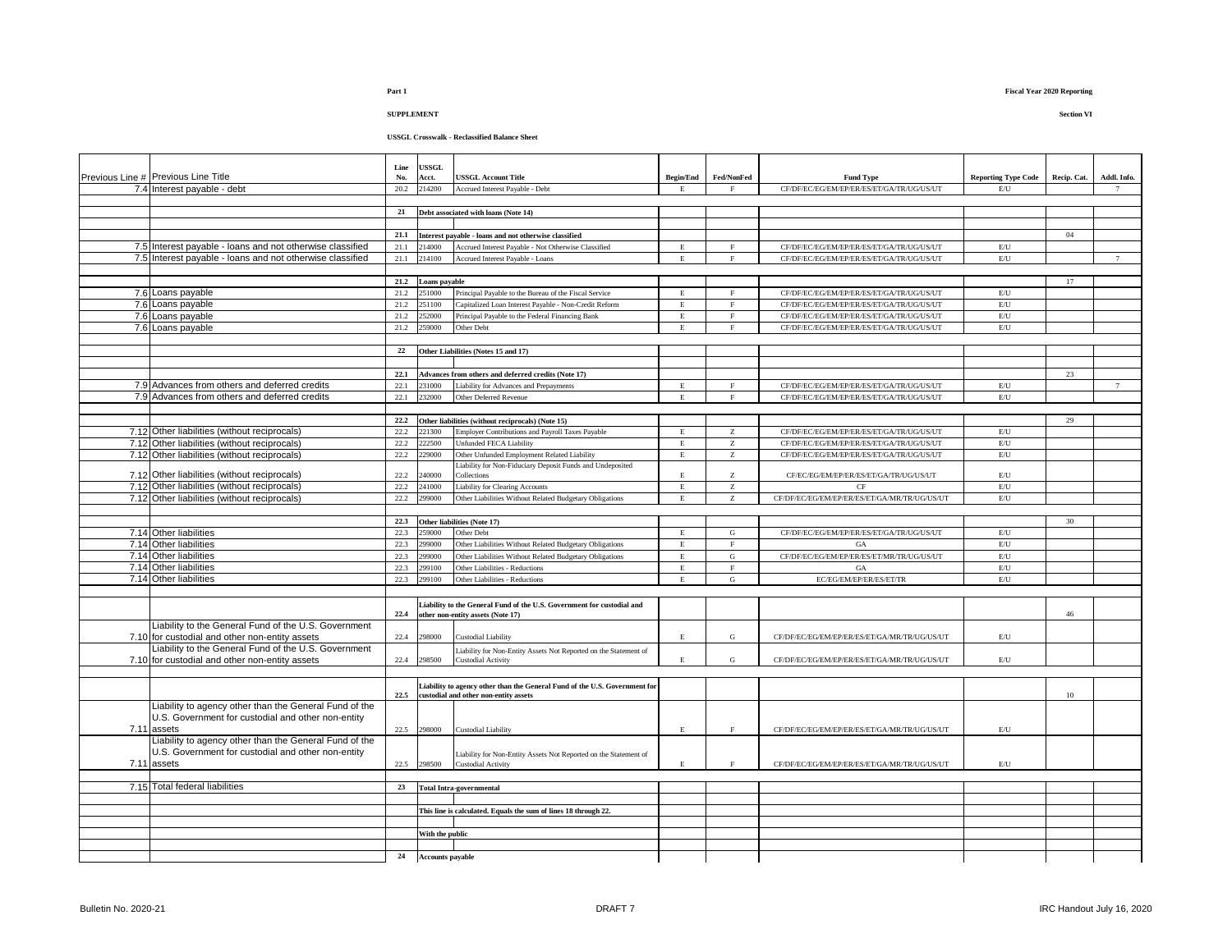# **USSGL Crosswalk - Reclassified Balance Sheet**

| Previous Line # Previous Line Title                       | Line<br>No.  | <b>JSSGL</b><br>Acct.   | <b>USSGL Account Title</b>                                                                                          | <b>Begin/End</b> | Fed/NonFed     | <b>Fund Type</b>                             | <b>Reporting Type Code</b> | Recip. Cat.     | Addl. Info. |
|-----------------------------------------------------------|--------------|-------------------------|---------------------------------------------------------------------------------------------------------------------|------------------|----------------|----------------------------------------------|----------------------------|-----------------|-------------|
| 7.4 Interest payable - debt                               | 20.2         | 214200                  | Accrued Interest Payable - Debt                                                                                     |                  |                | CF/DF/EC/EG/EM/EP/ER/ES/ET/GA/TR/UG/US/UT    | E/U                        |                 |             |
|                                                           |              |                         |                                                                                                                     |                  |                |                                              |                            |                 |             |
|                                                           | 21           |                         | Debt associated with loans (Note 14)                                                                                |                  |                |                                              |                            |                 |             |
|                                                           |              |                         |                                                                                                                     |                  |                |                                              |                            |                 |             |
|                                                           | 21.1         |                         | Interest payable - loans and not otherwise classified                                                               |                  |                |                                              |                            | 04              |             |
| 7.5 Interest payable - loans and not otherwise classified | 21.1         | 214000                  | Accrued Interest Payable - Not Otherwise Classified                                                                 | E                |                | CF/DF/EC/EG/EM/EP/ER/ES/ET/GA/TR/UG/US/UT    | $\mathrm{E}/\mathrm{U}$    |                 |             |
| 7.5 Interest payable - loans and not otherwise classified | 21.1         | 214100                  | Accrued Interest Payable - Loans                                                                                    | E                |                | CF/DF/EC/EG/EM/EP/ER/ES/ET/GA/TR/UG/US/UT    | E/U                        |                 |             |
|                                                           |              |                         |                                                                                                                     |                  |                |                                              |                            |                 |             |
| 7.6 Loans payable                                         | 21.2<br>21.2 | Loans payable<br>251000 | Principal Payable to the Bureau of the Fiscal Service                                                               | $\mathbf E$      | $\rm F$        | CF/DF/EC/EG/EM/EP/ER/ES/ET/GA/TR/UG/US/UT    | $\mathrm{E}/\mathrm{U}$    | 17              |             |
| 7.6 Loans payable                                         | 21.2         | 251100                  | Capitalized Loan Interest Payable - Non-Credit Reform                                                               | $\mathbf E$      | $\mathbf F$    | CF/DF/EC/EG/EM/EP/ER/ES/ET/GA/TR/UG/US/UT    | E/U                        |                 |             |
| 7.6 Loans payable                                         | 21.2         | 252000                  | Principal Payable to the Federal Financing Bank                                                                     | $\mathbf E$      | $\rm F$        | CF/DF/EC/EG/EM/EP/ER/ES/ET/GA/TR/UG/US/UT    | E/U                        |                 |             |
| 7.6 Loans payable                                         | 21.2         | 259000                  | Other Debt                                                                                                          | E                | $\rm F$        | CF/DF/EC/EG/EM/EP/ER/ES/ET/GA/TR/UG/US/UT    | E/U                        |                 |             |
|                                                           |              |                         |                                                                                                                     |                  |                |                                              |                            |                 |             |
|                                                           | $\bf 22$     |                         | Other Liabilities (Notes 15 and 17)                                                                                 |                  |                |                                              |                            |                 |             |
|                                                           |              |                         |                                                                                                                     |                  |                |                                              |                            |                 |             |
|                                                           | 22.1         |                         | Advances from others and deferred credits (Note 17)                                                                 |                  |                |                                              |                            | 23              |             |
| 7.9 Advances from others and deferred credits             | 22.1         | 231000                  | Liability for Advances and Prepayments                                                                              | $\mathbf E$      | F              | CF/DF/EC/EG/EM/EP/ER/ES/ET/GA/TR/UG/US/UT    | $\rm E/U$                  |                 | 7           |
| 7.9 Advances from others and deferred credits             | 22.1         | 232000                  | Other Deferred Revenue                                                                                              | E                | $_{\rm F}$     | CF/DF/EC/EG/EM/EP/ER/ES/ET/GA/TR/UG/US/UT    | $E$ U                      |                 |             |
|                                                           |              |                         |                                                                                                                     |                  |                |                                              |                            |                 |             |
|                                                           | 22.2         |                         | Other liabilities (without reciprocals) (Note 15)                                                                   |                  |                |                                              |                            | 29              |             |
| 7.12 Other liabilities (without reciprocals)              | 22.2         | 221300                  | Employer Contributions and Payroll Taxes Payable                                                                    | E                | Z              | CF/DF/EC/EG/EM/EP/ER/ES/ET/GA/TR/UG/US/UT    | E/U                        |                 |             |
| 7.12 Other liabilities (without reciprocals)              | 22.2         | 222500                  | <b>Unfunded FECA Liability</b>                                                                                      | E                | $\rm{Z}$       | CF/DF/EC/EG/EM/EP/ER/ES/ET/GA/TR/UG/US/UT    | $\rm E/U$                  |                 |             |
| 7.12 Other liabilities (without reciprocals)              | 22.2         | 229000                  | Other Unfunded Employment Related Liability                                                                         | E                | $\rm{Z}$       | CF/DF/EC/EG/EM/EP/ER/ES/ET/GA/TR/UG/US/UT    | $\rm E/U$                  |                 |             |
| 7.12 Other liabilities (without reciprocals)              | 22.2         | 40000                   | Liability for Non-Fiduciary Deposit Funds and Undeposited<br>Collections                                            | E                | Z              | CF/EC/EG/EM/EP/ER/ES/ET/GA/TR/UG/US/UT       | $\mathrm{E}/\mathrm{U}$    |                 |             |
| 7.12 Other liabilities (without reciprocals)              | 22.2         | 241000                  | <b>Liability for Clearing Accounts</b>                                                                              | $\mathbf E$      | z              | CF                                           | E/U                        |                 |             |
| 7.12 Other liabilities (without reciprocals)              | 22.2         | 299000                  | Other Liabilities Without Related Budgetary Obligations                                                             | E                | $\overline{z}$ | CF/DF/EC/EG/EM/EP/ER/ES/ET/GA/MR/TR/UG/US/UT | E/U                        |                 |             |
|                                                           |              |                         |                                                                                                                     |                  |                |                                              |                            |                 |             |
|                                                           | 22.3         |                         | Other liabilities (Note 17)                                                                                         |                  |                |                                              |                            | 30              |             |
| 7.14 Other liabilities                                    | 22.3         | 259000                  | Other Debt                                                                                                          | E                | G              | CF/DF/EC/EG/EM/EP/ER/ES/ET/GA/TR/UG/US/UT    | E/U                        |                 |             |
| 7.14 Other liabilities                                    | 22.3         | 299000                  | Other Liabilities Without Related Budgetary Obligations                                                             | $\mathbf E$      | $\overline{F}$ | GA                                           | E/U                        |                 |             |
| 7.14 Other liabilities                                    | 22.3         | 299000                  | Other Liabilities Without Related Budgetary Obligations                                                             | E                | ${\rm G}$      | CF/DF/EC/EG/EM/EP/ER/ES/ET/MR/TR/UG/US/UT    | E/U                        |                 |             |
| 7.14 Other liabilities                                    | 22.3         | 299100                  | Other Liabilities - Reductions                                                                                      | $\mathbf E$      | $\mathbf F$    | $_{\mathrm{GA}}$                             | $\mathrm{E}/\mathrm{U}$    |                 |             |
| 7.14 Other liabilities                                    | 22.3         | 299100                  | Other Liabilities - Reductions                                                                                      | E                | ${\rm G}$      | EC/EG/EM/EP/ER/ES/ET/TR                      | E/U                        |                 |             |
|                                                           |              |                         |                                                                                                                     |                  |                |                                              |                            |                 |             |
|                                                           |              |                         | Liability to the General Fund of the U.S. Government for custodial and                                              |                  |                |                                              |                            |                 |             |
|                                                           | 22.4         |                         | other non-entity assets (Note 17)                                                                                   |                  |                |                                              |                            | 46              |             |
| Liability to the General Fund of the U.S. Government      |              |                         |                                                                                                                     |                  |                |                                              |                            |                 |             |
| 7.10 for custodial and other non-entity assets            | 22.4         | 298000                  | <b>Custodial Liability</b>                                                                                          | E.               | ${\rm G}$      | CF/DF/EC/EG/EM/EP/ER/ES/ET/GA/MR/TR/UG/US/UT | E/U                        |                 |             |
| Liability to the General Fund of the U.S. Government      |              |                         | Liability for Non-Entity Assets Not Reported on the Statement of                                                    |                  |                |                                              |                            |                 |             |
| 7.10 for custodial and other non-entity assets            |              | 22.4 298500             | <b>Custodial Activity</b>                                                                                           | E                | G              | CF/DF/EC/EG/EM/EP/ER/ES/ET/GA/MR/TR/UG/US/UT | E/U                        |                 |             |
|                                                           |              |                         |                                                                                                                     |                  |                |                                              |                            |                 |             |
|                                                           | 22.5         |                         | Liability to agency other than the General Fund of the U.S. Government for<br>custodial and other non-entity assets |                  |                |                                              |                            | 10 <sup>°</sup> |             |
| Liability to agency other than the General Fund of the    |              |                         |                                                                                                                     |                  |                |                                              |                            |                 |             |
| U.S. Government for custodial and other non-entity        |              |                         |                                                                                                                     |                  |                |                                              |                            |                 |             |
| 7.11 assets                                               | 22.5         | 298000                  | <b>Custodial Liability</b>                                                                                          | $\mathbf E$      | $\mathbf F$    | CF/DF/EC/EG/EM/EP/ER/ES/ET/GA/MR/TR/UG/US/UT | $\rm E/U$                  |                 |             |
| Liability to agency other than the General Fund of the    |              |                         |                                                                                                                     |                  |                |                                              |                            |                 |             |
| U.S. Government for custodial and other non-entity        |              |                         | Liability for Non-Entity Assets Not Reported on the Statement of                                                    |                  |                |                                              |                            |                 |             |
| 7.11 assets                                               | 22.5         | 298500                  | <b>Custodial Activity</b>                                                                                           | E                | $\rm F$        | CF/DF/EC/EG/EM/EP/ER/ES/ET/GA/MR/TR/UG/US/UT | E/U                        |                 |             |
|                                                           |              |                         |                                                                                                                     |                  |                |                                              |                            |                 |             |
| 7.15 Total federal liabilities                            | 23           |                         | <b>Total Intra-governmental</b>                                                                                     |                  |                |                                              |                            |                 |             |
|                                                           |              |                         |                                                                                                                     |                  |                |                                              |                            |                 |             |
|                                                           |              |                         | This line is calculated. Equals the sum of lines 18 through 22.                                                     |                  |                |                                              |                            |                 |             |
|                                                           |              |                         |                                                                                                                     |                  |                |                                              |                            |                 |             |
|                                                           |              | With the public         |                                                                                                                     |                  |                |                                              |                            |                 |             |
|                                                           |              |                         |                                                                                                                     |                  |                |                                              |                            |                 |             |
|                                                           | 24           | <b>Accounts payable</b> |                                                                                                                     |                  |                |                                              |                            |                 |             |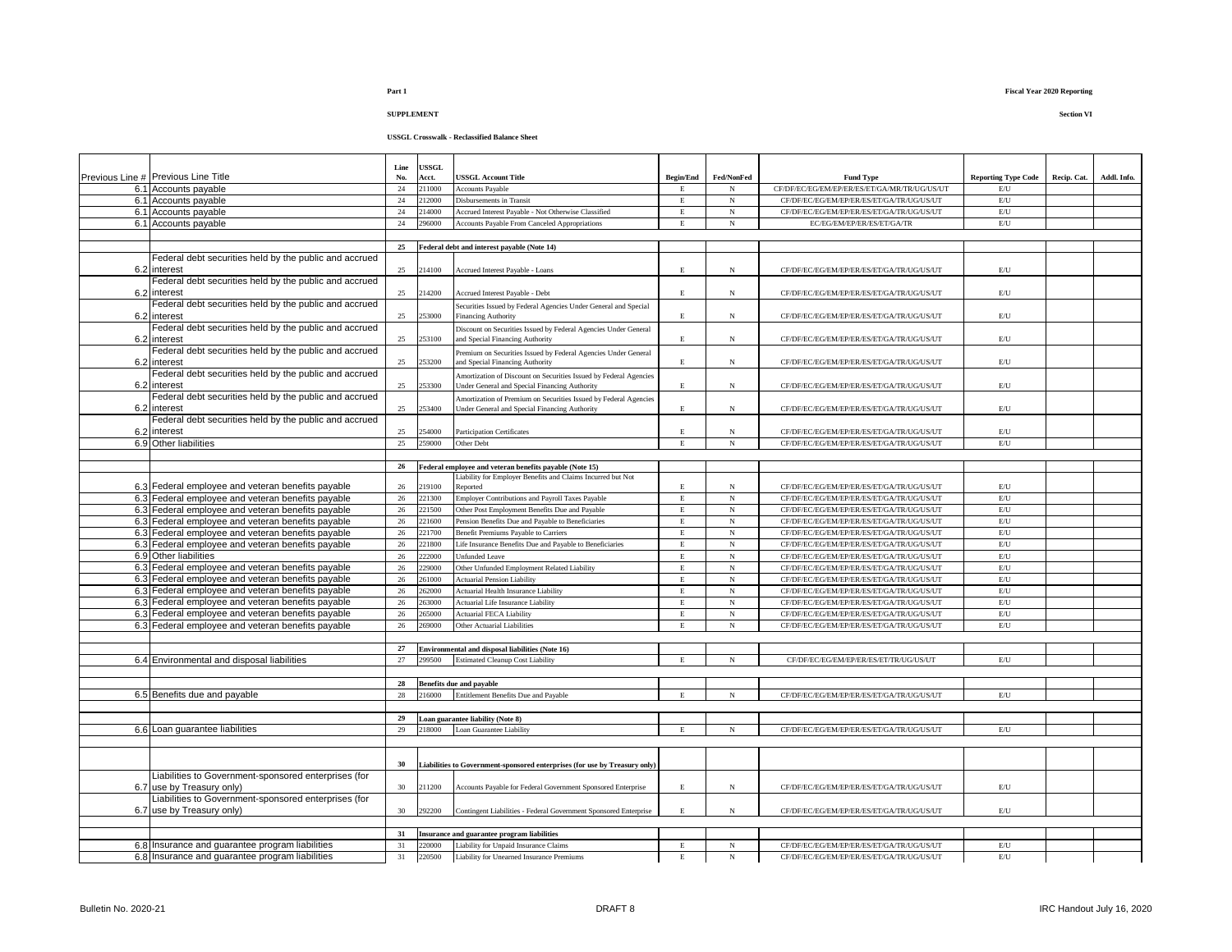# **USSGL Crosswalk - Reclassified Balance Sheet**

|                                                                                                        | Line     | <b>ISSGL</b>    |                                                                                      |                   |                          |                                                                                        |                                  |             |             |
|--------------------------------------------------------------------------------------------------------|----------|-----------------|--------------------------------------------------------------------------------------|-------------------|--------------------------|----------------------------------------------------------------------------------------|----------------------------------|-------------|-------------|
| Previous Line # Previous Line Title                                                                    | No.      | Acct.           | <b>USSGL Account Title</b>                                                           | <b>Begin/End</b>  | Fed/NonFed               | <b>Fund Type</b>                                                                       | <b>Reporting Type Code</b>       | Recip. Cat. | Addl. Info. |
| 6.1 Accounts payable                                                                                   | 24       | 211000          | <b>Accounts Payable</b>                                                              | E                 | N                        | CF/DF/EC/EG/EM/EP/ER/ES/ET/GA/MR/TR/UG/US/UT                                           | $\mathrm{E} / \mathrm{U}$        |             |             |
| 6.1 Accounts payable                                                                                   | 24       | 212000          | Disbursements in Transit                                                             | $\mathbf E$       | $_{\rm N}$               | CF/DF/EC/EG/EM/EP/ER/ES/ET/GA/TR/UG/US/UT                                              | $\mathrm{E}/\mathrm{U}$          |             |             |
| 6.1 Accounts payable                                                                                   | $24\,$   | 14000           | Accrued Interest Payable - Not Otherwise Classified                                  | E.                | $_{\rm N}$               | CF/DF/EC/EG/EM/EP/ER/ES/ET/GA/TR/UG/US/UT                                              | $\mathbf{E}/\mathbf{U}$          |             |             |
| 6.1 Accounts payable                                                                                   | 24       | 96000           | Accounts Payable From Canceled Appropriations                                        | $\mathbf E$       | $_{\rm N}$               | EC/EG/EM/EP/ER/ES/ET/GA/TR                                                             | $\mathbf{E}/\mathbf{U}$          |             |             |
|                                                                                                        | 25       |                 | Federal debt and interest payable (Note 14)                                          |                   |                          |                                                                                        |                                  |             |             |
| Federal debt securities held by the public and accrued                                                 |          |                 |                                                                                      |                   |                          |                                                                                        |                                  |             |             |
| 6.2 interest                                                                                           | $25\,$   | 214100          | Accrued Interest Payable - Loans                                                     | E                 | $_{\rm N}$               | CF/DF/EC/EG/EM/EP/ER/ES/ET/GA/TR/UG/US/UT                                              | E/U                              |             |             |
| Federal debt securities held by the public and accrued                                                 |          |                 |                                                                                      |                   |                          |                                                                                        |                                  |             |             |
| 6.2 interest                                                                                           | 25       | 214200          | Accrued Interest Pavable - Debt                                                      | E.                | N                        | CF/DF/EC/EG/EM/EP/ER/ES/ET/GA/TR/UG/US/UT                                              | E/U                              |             |             |
| Federal debt securities held by the public and accrued                                                 |          |                 | Securities Issued by Federal Agencies Under General and Special                      |                   |                          |                                                                                        |                                  |             |             |
| 6.2 interest                                                                                           | 25       | 253000          | <b>Financing Authority</b>                                                           | E.                | N                        | CF/DF/EC/EG/EM/EP/ER/ES/ET/GA/TR/UG/US/UT                                              | E/U                              |             |             |
| Federal debt securities held by the public and accrued                                                 |          |                 | Discount on Securities Issued by Federal Agencies Under General                      |                   |                          |                                                                                        |                                  |             |             |
| 6.2 interest                                                                                           | 25       | 253100          | and Special Financing Authority                                                      | E                 | $_{\rm N}$               | CF/DF/EC/EG/EM/EP/ER/ES/ET/GA/TR/UG/US/UT                                              | $\mathbf{E}/\mathbf{U}$          |             |             |
| Federal debt securities held by the public and accrued                                                 |          |                 | Premium on Securities Issued by Federal Agencies Under General                       |                   |                          |                                                                                        |                                  |             |             |
| 6.2 interest                                                                                           | 25       | 253200          | and Special Financing Authority                                                      | E                 | $_{\rm N}$               | CF/DF/EC/EG/EM/EP/ER/ES/ET/GA/TR/UG/US/UT                                              | $\mathbf{E}/\mathbf{U}$          |             |             |
| Federal debt securities held by the public and accrued                                                 |          |                 | Amortization of Discount on Securities Issued by Federal Agencies                    |                   |                          |                                                                                        |                                  |             |             |
| 6.2 interest                                                                                           | 25       | 253300          | Under General and Special Financing Authority                                        | E.                | N                        | CF/DF/EC/EG/EM/EP/ER/ES/ET/GA/TR/UG/US/UT                                              | E/U                              |             |             |
| Federal debt securities held by the public and accrued                                                 |          |                 | Amortization of Premium on Securities Issued by Federal Agencies                     |                   |                          |                                                                                        |                                  |             |             |
| 6.2 interest                                                                                           | 25       | 253400          | Under General and Special Financing Authority                                        | E                 | N                        | CF/DF/EC/EG/EM/EP/ER/ES/ET/GA/TR/UG/US/UT                                              | $\mathrm{E} / \mathrm{U}$        |             |             |
| Federal debt securities held by the public and accrued                                                 |          |                 |                                                                                      |                   |                          |                                                                                        |                                  |             |             |
| 6.2 interest<br>6.9 Other liabilities                                                                  | 25<br>25 | 54000<br>259000 | <b>Participation Certificates</b><br>Other Debt                                      | E.<br>$\mathbf E$ | N<br>$_{\rm N}$          | CF/DF/EC/EG/EM/EP/ER/ES/ET/GA/TR/UG/US/UT<br>CF/DF/EC/EG/EM/EP/ER/ES/ET/GA/TR/UG/US/UT | E/U<br>$\mathrm{E}/\mathrm{U}$   |             |             |
|                                                                                                        |          |                 |                                                                                      |                   |                          |                                                                                        |                                  |             |             |
|                                                                                                        | 26       |                 | Federal employee and veteran benefits payable (Note 15)                              |                   |                          |                                                                                        |                                  |             |             |
|                                                                                                        |          |                 | Liability for Employer Benefits and Claims Incurred but Not                          |                   |                          |                                                                                        |                                  |             |             |
| 6.3 Federal employee and veteran benefits payable                                                      | 26       | 219100          | Reported                                                                             | E                 | $_{\rm N}$               | CF/DF/EC/EG/EM/EP/ER/ES/ET/GA/TR/UG/US/UT                                              | $\mathbf{E}/\mathbf{U}$          |             |             |
| 6.3 Federal employee and veteran benefits payable                                                      | 26       | 221300          | Employer Contributions and Payroll Taxes Payable                                     | $\mathbf E$       | $_{\rm N}$               | CF/DF/EC/EG/EM/EP/ER/ES/ET/GA/TR/UG/US/UT                                              | E/U                              |             |             |
| 6.3 Federal employee and veteran benefits payable                                                      | 26       | 221500          | Other Post Employment Benefits Due and Pavable                                       | E                 | $_{\rm N}$               | CF/DF/EC/EG/EM/EP/ER/ES/ET/GA/TR/UG/US/UT                                              | E/U                              |             |             |
| 6.3 Federal employee and veteran benefits payable                                                      | 26       | 221600          | Pension Benefits Due and Payable to Beneficiaries                                    | $\mathbf E$       | $_{\rm N}$               | CF/DF/EC/EG/EM/EP/ER/ES/ET/GA/TR/UG/US/UT                                              | $\mathbf{E}/\mathbf{U}$          |             |             |
| 6.3 Federal employee and veteran benefits payable                                                      | 26       | 221700          | Benefit Premiums Payable to Carriers                                                 | $\mathbf E$       | $_{\rm N}$               | CF/DF/EC/EG/EM/EP/ER/ES/ET/GA/TR/UG/US/UT                                              | $\mathrm{E}/\mathrm{U}$          |             |             |
| 6.3 Federal employee and veteran benefits payable                                                      | 26       | 221800          | Life Insurance Benefits Due and Payable to Beneficiaries                             | $\mathbf E$       | $_{\rm N}$               | CF/DF/EC/EG/EM/EP/ER/ES/ET/GA/TR/UG/US/UT                                              | E/U                              |             |             |
| 6.9 Other liabilities                                                                                  | 26       | 22000           | <b>Unfunded Leave</b>                                                                | E                 | $_{\rm N}$               | CF/DF/EC/EG/EM/EP/ER/ES/ET/GA/TR/UG/US/UT                                              | $\mathrm{E}/\mathrm{U}$          |             |             |
| 6.3 Federal employee and veteran benefits payable                                                      | 26       | 229000          | Other Unfunded Employment Related Liability                                          | $\mathbf E$       | $_{\rm N}$               | CF/DF/EC/EG/EM/EP/ER/ES/ET/GA/TR/UG/US/UT                                              | $\mathrm{E}/\mathrm{U}$          |             |             |
| 6.3 Federal employee and veteran benefits payable                                                      | 26       | 261000          | <b>Actuarial Pension Liability</b>                                                   | E                 | N                        | CF/DF/EC/EG/EM/EP/ER/ES/ET/GA/TR/UG/US/UT                                              | $E$ U                            |             |             |
| 6.3 Federal employee and veteran benefits payable                                                      | 26       | 62000           | Actuarial Health Insurance Liability                                                 | $\mathbf E$       | $_{\rm N}$               | CF/DF/EC/EG/EM/EP/ER/ES/ET/GA/TR/UG/US/UT                                              | E/U                              |             |             |
| 6.3 Federal employee and veteran benefits payable                                                      | 26<br>26 | 63000<br>65000  | <b>Actuarial Life Insurance Liability</b>                                            | E<br>E.           | $_{\rm N}$               | CF/DF/EC/EG/EM/EP/ER/ES/ET/GA/TR/UG/US/UT                                              | $\mathbf{E}/\mathbf{U}$<br>$E$ U |             |             |
| 6.3 Federal employee and veteran benefits payable<br>6.3 Federal employee and veteran benefits payable | 26       | 69000           | <b>Actuarial FECA Liability</b><br>Other Actuarial Liabilities                       | E                 | $_{\rm N}$<br>$_{\rm N}$ | CF/DF/EC/EG/EM/EP/ER/ES/ET/GA/TR/UG/US/UT<br>CF/DF/EC/EG/EM/EP/ER/ES/ET/GA/TR/UG/US/UT | $\mathrm{E}/\mathrm{U}$          |             |             |
|                                                                                                        |          |                 |                                                                                      |                   |                          |                                                                                        |                                  |             |             |
|                                                                                                        | 27       |                 | Environmental and disposal liabilities (Note 16)                                     |                   |                          |                                                                                        |                                  |             |             |
| 6.4 Environmental and disposal liabilities                                                             | 27       | 299500          | <b>Estimated Cleanup Cost Liability</b>                                              | E                 | $_{\rm N}$               | CF/DF/EC/EG/EM/EP/ER/ES/ET/TR/UG/US/UT                                                 | $E$ U                            |             |             |
|                                                                                                        |          |                 |                                                                                      |                   |                          |                                                                                        |                                  |             |             |
|                                                                                                        | 28       |                 | <b>Benefits due and payable</b>                                                      |                   |                          |                                                                                        |                                  |             |             |
| 6.5 Benefits due and payable                                                                           | 28       | 216000          | Entitlement Benefits Due and Payable                                                 | E                 | N                        | CF/DF/EC/EG/EM/EP/ER/ES/ET/GA/TR/UG/US/UT                                              | $\mathrm{E}/\mathrm{U}$          |             |             |
|                                                                                                        |          |                 |                                                                                      |                   |                          |                                                                                        |                                  |             |             |
|                                                                                                        | 29       |                 | oan guarantee liability (Note 8)                                                     |                   |                          |                                                                                        |                                  |             |             |
| 6.6 Loan quarantee liabilities                                                                         | 29       | 218000          | Loan Guarantee Liability                                                             | E                 | $_{\rm N}$               | CF/DF/EC/EG/EM/EP/ER/ES/ET/GA/TR/UG/US/UT                                              | E/U                              |             |             |
|                                                                                                        |          |                 |                                                                                      |                   |                          |                                                                                        |                                  |             |             |
|                                                                                                        |          |                 |                                                                                      |                   |                          |                                                                                        |                                  |             |             |
|                                                                                                        | 30       |                 | iabilities to Government-sponsored enterprises (for use by Treasury only)            |                   |                          |                                                                                        |                                  |             |             |
| Liabilities to Government-sponsored enterprises (for                                                   |          |                 |                                                                                      |                   |                          |                                                                                        |                                  |             |             |
| 6.7 use by Treasury only)                                                                              | 30       | 211200          | Accounts Payable for Federal Government Sponsored Enterprise                         | $\mathbf E$       | $_{\rm N}$               | CF/DF/EC/EG/EM/EP/ER/ES/ET/GA/TR/UG/US/UT                                              | $\mathrm{E}/\mathrm{U}$          |             |             |
| Liabilities to Government-sponsored enterprises (for                                                   |          |                 |                                                                                      | E.                | $_{\rm N}$               |                                                                                        | E/U                              |             |             |
| 6.7 use by Treasury only)                                                                              | 30       | 292200          | Contingent Liabilities - Federal Government Sponsored Enterprise                     |                   |                          | CF/DF/EC/EG/EM/EP/ER/ES/ET/GA/TR/UG/US/UT                                              |                                  |             |             |
|                                                                                                        | 31       |                 |                                                                                      |                   |                          |                                                                                        |                                  |             |             |
| 6.8 Insurance and guarantee program liabilities                                                        | 31       | 220000          | Insurance and guarantee program liabilities<br>Liability for Unpaid Insurance Claims | $\mathbf E$       | N                        | CF/DF/EC/EG/EM/EP/ER/ES/ET/GA/TR/UG/US/UT                                              | $\mathrm{E} / \mathrm{U}$        |             |             |
| 6.8 Insurance and guarantee program liabilities                                                        | 31       | 220500          | Liability for Unearned Insurance Premiums                                            | E.                | $_{\rm N}$               | CF/DF/EC/EG/EM/EP/ER/ES/ET/GA/TR/UG/US/UT                                              | $E$ U                            |             |             |
|                                                                                                        |          |                 |                                                                                      |                   |                          |                                                                                        |                                  |             |             |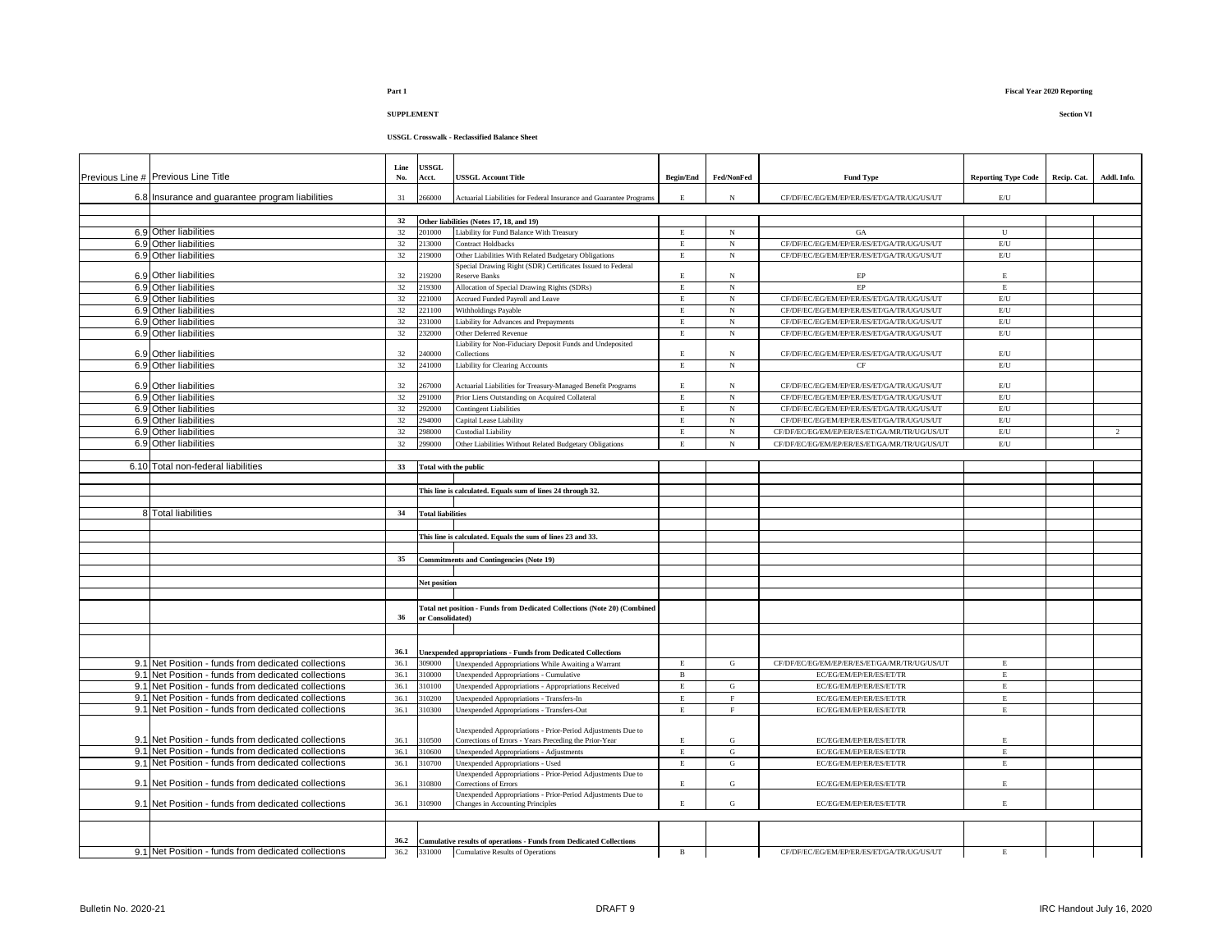# **Part 1 Fiscal Year 2020 Reporting**

# **SUPPLEMENT Section VI**

| Previous Line # Previous Line Title                 | Line<br>No. | <b>ISSGL</b><br>Acct.    | <b>USSGL Account Title</b>                                                       | <b>Begin/End</b> | Fed/NonFed  | <b>Fund Type</b>                             | <b>Reporting Type Code</b> | Recip. Cat. | Addl. Info.    |
|-----------------------------------------------------|-------------|--------------------------|----------------------------------------------------------------------------------|------------------|-------------|----------------------------------------------|----------------------------|-------------|----------------|
| 6.8 Insurance and guarantee program liabilities     | 31          | 266000                   | Actuarial Liabilities for Federal Insurance and Guarantee Programs               | E                | $_{\rm N}$  | CF/DF/EC/EG/EM/EP/ER/ES/ET/GA/TR/UG/US/UT    | $\mathrm{E}\mathrm{U}$     |             |                |
|                                                     |             |                          |                                                                                  |                  |             |                                              |                            |             |                |
|                                                     | 32          |                          | Other liabilities (Notes 17, 18, and 19)                                         |                  |             |                                              |                            |             |                |
| 6.9 Other liabilities                               | 32          | 201000                   | Liability for Fund Balance With Treasury                                         | E                | N           | GA                                           | U                          |             |                |
| 6.9 Other liabilities                               | 32          | 213000                   | <b>Contract Holdbacks</b>                                                        | $\mathbf E$      | $_{\rm N}$  | CF/DF/EC/EG/EM/EP/ER/ES/ET/GA/TR/UG/US/UT    | E/U                        |             |                |
| 6.9 Other liabilities                               | 32          | 219000                   | Other Liabilities With Related Budgetary Obligations                             | $\mathbf E$      | $_{\rm N}$  | CF/DF/EC/EG/EM/EP/ER/ES/ET/GA/TR/UG/US/UT    | E/U                        |             |                |
|                                                     |             |                          | Special Drawing Right (SDR) Certificates Issued to Federal                       |                  |             |                                              |                            |             |                |
| 6.9 Other liabilities                               | 32          | 219200                   | <b>Reserve Banks</b>                                                             | $\mathbf E$      | N           | $\rm EP$                                     | $\mathbf E$                |             |                |
| 6.9 Other liabilities                               | 32          | 219300                   | Allocation of Special Drawing Rights (SDRs)                                      | E                | $_{\rm N}$  | EP                                           | $\mathbf E$                |             |                |
| 6.9 Other liabilities                               | 32          | 221000                   | Accrued Funded Payroll and Leave                                                 | E                | N           | CF/DF/EC/EG/EM/EP/ER/ES/ET/GA/TR/UG/US/UT    | E/U                        |             |                |
| 6.9 Other liabilities                               | 32          | 221100                   | Withholdings Payable                                                             | E                | $_{\rm N}$  | CF/DF/EC/EG/EM/EP/ER/ES/ET/GA/TR/UG/US/UT    | E/U                        |             |                |
| 6.9 Other liabilities                               | 32          | 231000                   | Liability for Advances and Prepayments                                           | E                | $_{\rm N}$  | CF/DF/EC/EG/EM/EP/ER/ES/ET/GA/TR/UG/US/UT    | E/U                        |             |                |
| 6.9 Other liabilities                               | 32          | 232000                   | Other Deferred Revenue                                                           | E                | N           | CF/DF/EC/EG/EM/EP/ER/ES/ET/GA/TR/UG/US/UT    | E/U                        |             |                |
| 6.9 Other liabilities                               | 32          | 240000                   | Liability for Non-Fiduciary Deposit Funds and Undeposited                        | $\mathbf E$      | N           | CF/DF/EC/EG/EM/EP/ER/ES/ET/GA/TR/UG/US/UT    | E/U                        |             |                |
| 6.9 Other liabilities                               | 32          | 241000                   | Collections<br><b>Liability for Clearing Accounts</b>                            | $\mathbf E$      | $_{\rm N}$  | CF                                           | $\mathrm{E}/\mathrm{U}$    |             |                |
|                                                     |             |                          |                                                                                  |                  |             |                                              |                            |             |                |
| 6.9 Other liabilities                               | 32          | 267000                   | Actuarial Liabilities for Treasury-Managed Benefit Programs                      | $\mathbf E$      | N           | CF/DF/EC/EG/EM/EP/ER/ES/ET/GA/TR/UG/US/UT    | $\mathrm{E}/\mathrm{U}$    |             |                |
| 6.9 Other liabilities                               | 32          | 291000                   | Prior Liens Outstanding on Acquired Collateral                                   | $\mathbf E$      | N           | CF/DF/EC/EG/EM/EP/ER/ES/ET/GA/TR/UG/US/UT    | $\mathrm{E}/\mathrm{U}$    |             |                |
| 6.9 Other liabilities                               | 32          | 292000                   | <b>Contingent Liabilities</b>                                                    | E                | N           | CF/DF/EC/EG/EM/EP/ER/ES/ET/GA/TR/UG/US/UT    | E/U                        |             |                |
| 6.9 Other liabilities                               | 32          | 294000                   | Capital Lease Liability                                                          | $\mathbf E$      | $_{\rm N}$  | CF/DF/EC/EG/EM/EP/ER/ES/ET/GA/TR/UG/US/UT    | $\mathrm{E}/\mathrm{U}$    |             |                |
| 6.9 Other liabilities                               | 32          | 298000                   | Custodial Liability                                                              | E                | $_{\rm N}$  | CF/DF/EC/EG/EM/EP/ER/ES/ET/GA/MR/TR/UG/US/UT | E/U                        |             | $\overline{2}$ |
| 6.9 Other liabilities                               | $32\,$      | 299000                   | Other Liabilities Without Related Budgetary Obligations                          | $\mathbf E$      | $_{\rm N}$  | CF/DF/EC/EG/EM/EP/ER/ES/ET/GA/MR/TR/UG/US/UT | E/U                        |             |                |
|                                                     |             |                          |                                                                                  |                  |             |                                              |                            |             |                |
| 6.10 Total non-federal liabilities                  | 33          | Total with the public    |                                                                                  |                  |             |                                              |                            |             |                |
|                                                     |             |                          |                                                                                  |                  |             |                                              |                            |             |                |
|                                                     |             |                          | This line is calculated. Equals sum of lines 24 through 32.                      |                  |             |                                              |                            |             |                |
|                                                     |             |                          |                                                                                  |                  |             |                                              |                            |             |                |
| 8 Total liabilities                                 | 34          | <b>Total liabilities</b> |                                                                                  |                  |             |                                              |                            |             |                |
|                                                     |             |                          |                                                                                  |                  |             |                                              |                            |             |                |
|                                                     |             |                          | This line is calculated. Equals the sum of lines 23 and 33.                      |                  |             |                                              |                            |             |                |
|                                                     |             |                          |                                                                                  |                  |             |                                              |                            |             |                |
|                                                     | 35          |                          | <b>Commitments and Contingencies (Note 19)</b>                                   |                  |             |                                              |                            |             |                |
|                                                     |             |                          |                                                                                  |                  |             |                                              |                            |             |                |
|                                                     |             | Net position             |                                                                                  |                  |             |                                              |                            |             |                |
|                                                     |             |                          |                                                                                  |                  |             |                                              |                            |             |                |
|                                                     |             |                          | <b>Total net position - Funds from Dedicated Collections (Note 20) (Combined</b> |                  |             |                                              |                            |             |                |
|                                                     | 36          | or Consolidated)         |                                                                                  |                  |             |                                              |                            |             |                |
|                                                     |             |                          |                                                                                  |                  |             |                                              |                            |             |                |
|                                                     |             |                          |                                                                                  |                  |             |                                              |                            |             |                |
|                                                     | 36.1        |                          | <b>Unexpended appropriations - Funds from Dedicated Collections</b>              |                  |             |                                              |                            |             |                |
| 9.1 Net Position - funds from dedicated collections | 36.1        | 309000                   | Unexpended Appropriations While Awaiting a Warrant                               | E                | G           | CF/DF/EC/EG/EM/EP/ER/ES/ET/GA/MR/TR/UG/US/UT | E                          |             |                |
| 9.1 Net Position - funds from dedicated collections | 36.1        | 310000                   | Unexpended Appropriations - Cumulative                                           | $\, {\bf B}$     |             | EC/EG/EM/EP/ER/ES/ET/TR                      | $\mathbf E$                |             |                |
| 9.1 Net Position - funds from dedicated collections | 36.1        | 310100                   | Jnexpended Appropriations - Appropriations Received                              | Е                | G           | EC/EG/EM/EP/ER/ES/ET/TR                      | $\mathbf E$                |             |                |
| 9.1 Net Position - funds from dedicated collections | 36.1        | 310200                   | Unexpended Appropriations - Transfers-In                                         | $\mathbf E$      | $\mathbf F$ | EC/EG/EM/EP/ER/ES/ET/TR                      | $\mathbf E$                |             |                |
| 9.1 Net Position - funds from dedicated collections | 36.1        | 10300                    | Unexpended Appropriations - Transfers-Out                                        | E                | $\mathbf F$ | EC/EG/EM/EP/ER/ES/ET/TR                      | $\mathbf E$                |             |                |
|                                                     |             |                          |                                                                                  |                  |             |                                              |                            |             |                |
|                                                     |             |                          | Jnexpended Appropriations - Prior-Period Adjustments Due to                      |                  |             |                                              |                            |             |                |
| 9.1 Net Position - funds from dedicated collections | 36.1        | 310500                   | Corrections of Errors - Years Preceding the Prior-Year                           | $\mathbf E$      | ${\bf G}$   | EC/EG/EM/EP/ER/ES/ET/TR                      | $\mathbf E$                |             |                |
| 9.1 Net Position - funds from dedicated collections | 36.1        | 10600                    | Unexpended Appropriations - Adjustments                                          | $\mathbf E$      | ${\rm G}$   | EC/EG/EM/EP/ER/ES/ET/TR                      | $\mathbf E$                |             |                |
| 9.1 Net Position - funds from dedicated collections | 36.1        | 310700                   | Unexpended Appropriations - Used                                                 | $\mathbf E$      | ${\rm G}$   | EC/EG/EM/EP/ER/ES/ET/TR                      | $\mathbf E$                |             |                |
|                                                     |             |                          | Unexpended Appropriations - Prior-Period Adjustments Due to                      |                  |             |                                              |                            |             |                |
| 9.1 Net Position - funds from dedicated collections | 36.1        | 310800                   | Corrections of Errors                                                            | E.               | G           | EC/EG/EM/EP/ER/ES/ET/TR                      | E                          |             |                |
| 9.1 Net Position - funds from dedicated collections | 36.1        | 10900                    | Unexpended Appropriations - Prior-Period Adjustments Due to                      | E                | G           |                                              | $\mathbf E$                |             |                |
|                                                     |             |                          | Changes in Accounting Principles                                                 |                  |             | EC/EG/EM/EP/ER/ES/ET/TR                      |                            |             |                |
|                                                     |             |                          |                                                                                  |                  |             |                                              |                            |             |                |
|                                                     |             |                          |                                                                                  |                  |             |                                              |                            |             |                |
|                                                     | 36.2        |                          | <b>Cumulative results of operations - Funds from Dedicated Collections</b>       |                  |             |                                              |                            |             |                |
| 9.1 Net Position - funds from dedicated collections | 36.2        |                          | 331000 Cumulative Results of Operations                                          | $\mathbf{B}$     |             | CF/DF/EC/EG/EM/EP/ER/ES/ET/GA/TR/UG/US/UT    | E                          |             |                |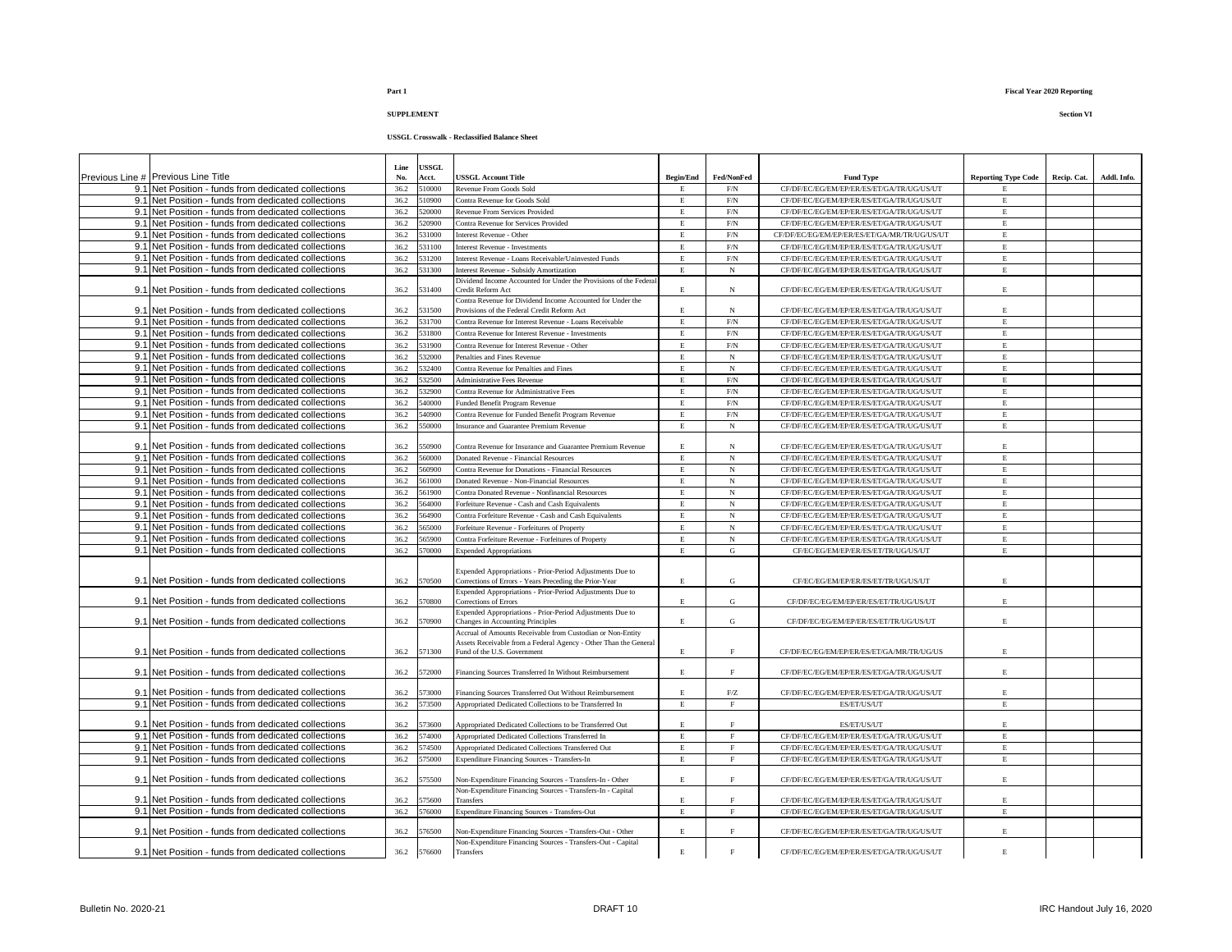# **USSGL Crosswalk - Reclassified Balance Sheet**

|                                                     | Line         | <b>JSSGL</b> |                                                                                                                                |                  |                   |                                                                                        |                            |             |             |
|-----------------------------------------------------|--------------|--------------|--------------------------------------------------------------------------------------------------------------------------------|------------------|-------------------|----------------------------------------------------------------------------------------|----------------------------|-------------|-------------|
| Previous Line # Previous Line Title                 | No.          | Acct.        | <b>ISSGL Account Title</b>                                                                                                     | <b>Begin/End</b> | Fed/NonFed        | <b>Fund Type</b>                                                                       | <b>Reporting Type Code</b> | Recip. Cat. | Addl. Info. |
| 9.1 Net Position - funds from dedicated collections | 36.2         | 510000       | Revenue From Goods Sold                                                                                                        | E.               | F/N               | CF/DF/EC/EG/EM/EP/ER/ES/ET/GA/TR/UG/US/UT                                              | E.                         |             |             |
| 9.1 Net Position - funds from dedicated collections | 36.2         | 510900       | Contra Revenue for Goods Sold                                                                                                  | $\mathbf E$      | F/N               | CF/DF/EC/EG/EM/EP/ER/ES/ET/GA/TR/UG/US/UT                                              | E                          |             |             |
| 9.1 Net Position - funds from dedicated collections | 36.2         | 520000       | Revenue From Services Provided                                                                                                 | $\mathbf E$      | F/N               | CF/DF/EC/EG/EM/EP/ER/ES/ET/GA/TR/UG/US/UT                                              | $\mathbf E$                |             |             |
| 9.1 Net Position - funds from dedicated collections | 36.2         | 520900       | Contra Revenue for Services Provided                                                                                           | $\mathbf E$      | ${\rm F/N}$       | CF/DF/EC/EG/EM/EP/ER/ES/ET/GA/TR/UG/US/UT                                              | E                          |             |             |
| 9.1 Net Position - funds from dedicated collections | 36.2         | 531000       | nterest Revenue - Other                                                                                                        | $\mathbf E$      | ${\rm F/N}$       | CF/DF/EC/EG/EM/EP/ER/ES/ET/GA/MR/TR/UG/US/UT                                           | $\mathbf E$                |             |             |
| 9.1 Net Position - funds from dedicated collections | 36.2         | 531100       | Interest Revenue - Investments                                                                                                 | $\mathbf E$      | ${\rm F/N}$       | CF/DF/EC/EG/EM/EP/ER/ES/ET/GA/TR/UG/US/UT                                              | $\mathbf E$                |             |             |
| 9.1 Net Position - funds from dedicated collections | 36.2         | 531200       | Interest Revenue - Loans Receivable/Uninvested Funds                                                                           | $\mathbf E$      | $\rm F/N$         | CF/DF/EC/EG/EM/EP/ER/ES/ET/GA/TR/UG/US/UT                                              | $\mathbf E$                |             |             |
| 9.1 Net Position - funds from dedicated collections | 36.2         | 31300        | nterest Revenue - Subsidy Amortization                                                                                         | $\mathbf E$      | $_{\rm N}$        | CF/DF/EC/EG/EM/EP/ER/ES/ET/GA/TR/UG/US/UT                                              | E                          |             |             |
|                                                     |              |              | Dividend Income Accounted for Under the Provisions of the Federa                                                               |                  |                   |                                                                                        |                            |             |             |
| 9.1 Net Position - funds from dedicated collections | 36.2         | 31400        | Credit Reform Act                                                                                                              | E                | N                 | CF/DF/EC/EG/EM/EP/ER/ES/ET/GA/TR/UG/US/UT                                              | $\mathbf E$                |             |             |
| 9.1 Net Position - funds from dedicated collections |              | 531500       | Contra Revenue for Dividend Income Accounted for Under the                                                                     |                  | N                 |                                                                                        | $\mathbf E$                |             |             |
|                                                     | 36.2         |              | Provisions of the Federal Credit Reform Act                                                                                    | E<br>$\mathbf E$ | F/N               | CF/DF/EC/EG/EM/EP/ER/ES/ET/GA/TR/UG/US/UT                                              | E                          |             |             |
| 9.1 Net Position - funds from dedicated collections | 36.2         | 531700       | Contra Revenue for Interest Revenue - Loans Receivable                                                                         |                  |                   | CF/DF/EC/EG/EM/EP/ER/ES/ET/GA/TR/UG/US/UT                                              |                            |             |             |
| 9.1 Net Position - funds from dedicated collections | 36.2         | 531800       | Contra Revenue for Interest Revenue - Investments                                                                              | E                | ${\rm F/N}$       | CF/DF/EC/EG/EM/EP/ER/ES/ET/GA/TR/UG/US/UT                                              | E                          |             |             |
| 9.1 Net Position - funds from dedicated collections | 36.2         | 531900       | Contra Revenue for Interest Revenue - Other                                                                                    | $\mathbf E$      | $\rm F/N$         | CF/DF/EC/EG/EM/EP/ER/ES/ET/GA/TR/UG/US/UT                                              | $\mathbf E$                |             |             |
| 9.1 Net Position - funds from dedicated collections | 36.2         | 32000        | Penalties and Fines Revenue                                                                                                    | $\mathbf E$      | N                 | CF/DF/EC/EG/EM/EP/ER/ES/ET/GA/TR/UG/US/UT                                              | $\mathbf E$                |             |             |
| 9.1 Net Position - funds from dedicated collections | 36.2         | 532400       | Contra Revenue for Penalties and Fines                                                                                         | $\mathbf E$      | N                 | CF/DF/EC/EG/EM/EP/ER/ES/ET/GA/TR/UG/US/UT                                              | $\,$ E                     |             |             |
| 9.1 Net Position - funds from dedicated collections | 36.2         | 532500       | <b>Administrative Fees Revenue</b>                                                                                             | E                | $\rm{F/N}$        | CF/DF/EC/EG/EM/EP/ER/ES/ET/GA/TR/UG/US/UT                                              | E                          |             |             |
| 9.1 Net Position - funds from dedicated collections | 36.2         | 32900        | Contra Revenue for Administrative Fees                                                                                         | $\mathbf E$      | ${\rm F/N}$       | CF/DF/EC/EG/EM/EP/ER/ES/ET/GA/TR/UG/US/UT                                              | $\,$ E                     |             |             |
| 9.1 Net Position - funds from dedicated collections | 36.2         | 40000        | Junded Benefit Program Revenue                                                                                                 | E                | ${\rm F/N}$       | CF/DF/EC/EG/EM/EP/ER/ES/ET/GA/TR/UG/US/UT                                              | $\mathbf E$                |             |             |
| 9.1 Net Position - funds from dedicated collections | 36.2         | 540900       | Contra Revenue for Funded Benefit Program Revenue                                                                              | $\mathbf E$      | $\rm{F/N}$        | CF/DF/EC/EG/EM/EP/ER/ES/ET/GA/TR/UG/US/UT                                              | $\mathbf E$                |             |             |
| 9.1 Net Position - funds from dedicated collections | 36.2         | 550000       | Insurance and Guarantee Premium Revenue                                                                                        | E                | N                 | CF/DF/EC/EG/EM/EP/ER/ES/ET/GA/TR/UG/US/UT                                              | E                          |             |             |
| 9.1 Net Position - funds from dedicated collections | 36.2         | 550900       | Contra Revenue for Insurance and Guarantee Premium Revenue                                                                     | E                | N                 | CF/DF/EC/EG/EM/EP/ER/ES/ET/GA/TR/UG/US/UT                                              | $\mathbf E$                |             |             |
| 9.1 Net Position - funds from dedicated collections | 36.2         | 560000       | <b>Donated Revenue - Financial Resources</b>                                                                                   | $\overline{E}$   | $\overline{N}$    | CF/DF/EC/EG/EM/EP/ER/ES/ET/GA/TR/UG/US/UT                                              | $\overline{E}$             |             |             |
| 9.1 Net Position - funds from dedicated collections | 36.2         | 560900       | Contra Revenue for Donations - Financial Resources                                                                             | E                | N                 | CF/DF/EC/EG/EM/EP/ER/ES/ET/GA/TR/UG/US/UT                                              | $\mathbf E$                |             |             |
| 9.1 Net Position - funds from dedicated collections |              | 561000       |                                                                                                                                | $\mathbf E$      | $_{\rm N}$        |                                                                                        | E                          |             |             |
| 9.1 Net Position - funds from dedicated collections | 36.2         | 561900       | Donated Revenue - Non-Financial Resources                                                                                      | E                | N                 | CF/DF/EC/EG/EM/EP/ER/ES/ET/GA/TR/UG/US/UT                                              |                            |             |             |
| 9.1 Net Position - funds from dedicated collections | 36.2<br>36.2 | 64000        | Contra Donated Revenue - Nonfinancial Resources                                                                                | E                | N                 | CF/DF/EC/EG/EM/EP/ER/ES/ET/GA/TR/UG/US/UT                                              | E<br>$\mathbf E$           |             |             |
| 9.1 Net Position - funds from dedicated collections | 36.2         | 64900        | orfeiture Revenue - Cash and Cash Equivalents<br>Contra Forfeiture Revenue - Cash and Cash Equivalents                         | E                | N                 | CF/DF/EC/EG/EM/EP/ER/ES/ET/GA/TR/UG/US/UT<br>CF/DF/EC/EG/EM/EP/ER/ES/ET/GA/TR/UG/US/UT | $\mathbf E$                |             |             |
| 9.1 Net Position - funds from dedicated collections | 36.2         | 65000        | Forfeiture Revenue - Forfeitures of Property                                                                                   | $\mathbf E$      | $_{\rm N}$        | CF/DF/EC/EG/EM/EP/ER/ES/ET/GA/TR/UG/US/UT                                              | $\mathbf E$                |             |             |
| 9.1 Net Position - funds from dedicated collections | 36.2         | 565900       | Contra Forfeiture Revenue - Forfeitures of Property                                                                            | $\mathbf E$      | N                 | CF/DF/EC/EG/EM/EP/ER/ES/ET/GA/TR/UG/US/UT                                              | $\mathbf E$                |             |             |
|                                                     |              |              |                                                                                                                                |                  |                   |                                                                                        |                            |             |             |
| 9.1 Net Position - funds from dedicated collections | 36.2         | 570000       | <b>Expended Appropriations</b>                                                                                                 | E                | G                 | CF/EC/EG/EM/EP/ER/ES/ET/TR/UG/US/UT                                                    | E                          |             |             |
|                                                     |              |              | Expended Appropriations - Prior-Period Adjustments Due to                                                                      |                  |                   |                                                                                        |                            |             |             |
| 9.1 Net Position - funds from dedicated collections | 36.2         | 570500       | Corrections of Errors - Years Preceding the Prior-Year                                                                         | E.               | G                 | CF/EC/EG/EM/EP/ER/ES/ET/TR/UG/US/UT                                                    | E                          |             |             |
|                                                     |              |              | Expended Appropriations - Prior-Period Adjustments Due to                                                                      |                  |                   |                                                                                        |                            |             |             |
| 9.1 Net Position - funds from dedicated collections | 36.2         | 570800       | Corrections of Errors                                                                                                          | E                | ${\rm G}$         | CF/DF/EC/EG/EM/EP/ER/ES/ET/TR/UG/US/UT                                                 | $\mathbf E$                |             |             |
|                                                     |              |              | Expended Appropriations - Prior-Period Adjustments Due to                                                                      |                  |                   |                                                                                        |                            |             |             |
| 9.1 Net Position - funds from dedicated collections | 36.2         | 570900       | Changes in Accounting Principles                                                                                               | E                | G                 | CF/DF/EC/EG/EM/EP/ER/ES/ET/TR/UG/US/UT                                                 | E                          |             |             |
|                                                     |              |              | Accrual of Amounts Receivable from Custodian or Non-Entity<br>Assets Receivable from a Federal Agency - Other Than the General |                  |                   |                                                                                        |                            |             |             |
| 9.1 Net Position - funds from dedicated collections | 36.2         | 571300       | Fund of the U.S. Government                                                                                                    | E.               | F                 | CF/DF/EC/EG/EM/EP/ER/ES/ET/GA/MR/TR/UG/US                                              | $\mathbf E$                |             |             |
|                                                     |              |              |                                                                                                                                |                  |                   |                                                                                        |                            |             |             |
| 9.1 Net Position - funds from dedicated collections | 36.2         | 572000       | Financing Sources Transferred In Without Reimbursement                                                                         | E                | F                 | CF/DF/EC/EG/EM/EP/ER/ES/ET/GA/TR/UG/US/UT                                              | $\mathbf E$                |             |             |
|                                                     |              |              |                                                                                                                                |                  |                   |                                                                                        |                            |             |             |
| 9.1 Net Position - funds from dedicated collections | 36.2         | 573000       | Financing Sources Transferred Out Without Reimbursement                                                                        | E                | ${\rm F}/{\rm Z}$ | CF/DF/EC/EG/EM/EP/ER/ES/ET/GA/TR/UG/US/UT                                              | $\mathbf E$                |             |             |
| 9.1 Net Position - funds from dedicated collections | 36.2         | 573500       | Appropriated Dedicated Collections to be Transferred In                                                                        | $\mathbf E$      | $\rm F$           | ES/ET/US/UT                                                                            | $\mathbf E$                |             |             |
|                                                     |              |              |                                                                                                                                | E                | F                 |                                                                                        |                            |             |             |
| 9.1 Net Position - funds from dedicated collections | 36.2         | 573600       | Appropriated Dedicated Collections to be Transferred Out                                                                       |                  |                   | ES/ET/US/UT                                                                            | $\mathbf E$                |             |             |
| 9.1 Net Position - funds from dedicated collections | 36.2         | 574000       | Appropriated Dedicated Collections Transferred In                                                                              | E                | $\rm F$           | CF/DF/EC/EG/EM/EP/ER/ES/ET/GA/TR/UG/US/UT                                              | $\,$ E                     |             |             |
| 9.1 Net Position - funds from dedicated collections | 36.2         | 574500       | Appropriated Dedicated Collections Transferred Out                                                                             | E                | F                 | CF/DF/EC/EG/EM/EP/ER/ES/ET/GA/TR/UG/US/UT                                              | E                          |             |             |
| 9.1 Net Position - funds from dedicated collections | 36.2         | 75000        | <b>Expenditure Financing Sources - Transfers-In</b>                                                                            | $\mathbf E$      | F                 | CF/DF/EC/EG/EM/EP/ER/ES/ET/GA/TR/UG/US/UT                                              | $\mathbf E$                |             |             |
| 9.1 Net Position - funds from dedicated collections | 36.2         | 75500        | Non-Expenditure Financing Sources - Transfers-In - Other                                                                       | E.               | F.                | CF/DF/EC/EG/EM/EP/ER/ES/ET/GA/TR/UG/US/UT                                              | $\mathbf E$                |             |             |
|                                                     |              |              | Non-Expenditure Financing Sources - Transfers-In - Capital                                                                     |                  |                   |                                                                                        |                            |             |             |
| 9.1 Net Position - funds from dedicated collections | 36.2         | 575600       | <b>Transfers</b>                                                                                                               | E                | F                 | CF/DF/EC/EG/EM/EP/ER/ES/ET/GA/TR/UG/US/UT                                              | $\mathbf E$                |             |             |
| 9.1 Net Position - funds from dedicated collections | 36.2         | 576000       | Expenditure Financing Sources - Transfers-Out                                                                                  | $\mathbf E$      | $_{\rm F}$        | CF/DF/EC/EG/EM/EP/ER/ES/ET/GA/TR/UG/US/UT                                              | E                          |             |             |
|                                                     |              |              |                                                                                                                                |                  |                   |                                                                                        |                            |             |             |
| 9.1 Net Position - funds from dedicated collections | 36.2         | 576500       | Non-Expenditure Financing Sources - Transfers-Out - Other                                                                      | E                | E                 | CF/DF/EC/EG/EM/EP/ER/ES/ET/GA/TR/UG/US/UT                                              | $\mathbf E$                |             |             |
|                                                     |              |              | Non-Expenditure Financing Sources - Transfers-Out - Capital                                                                    |                  |                   |                                                                                        |                            |             |             |
| 9.1 Net Position - funds from dedicated collections | 36.2         | 576600       | Transfers                                                                                                                      | E                | E                 | CF/DF/EC/EG/EM/EP/ER/ES/ET/GA/TR/UG/US/UT                                              | $\mathbf{E}$               |             |             |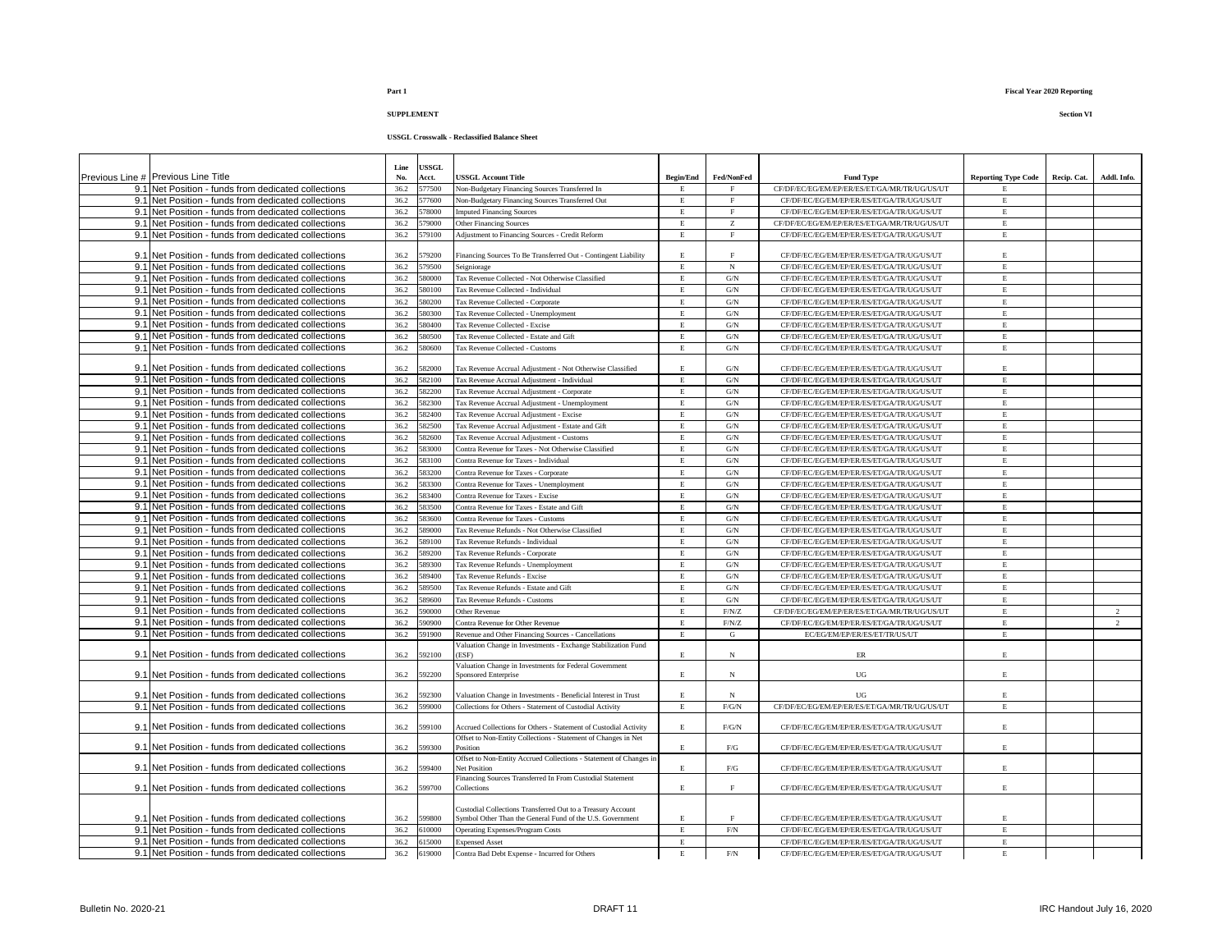|                                                                                                            | Line         | USSGL            |                                                                                                                            |                  |                     |                                                    |                            |             |                |
|------------------------------------------------------------------------------------------------------------|--------------|------------------|----------------------------------------------------------------------------------------------------------------------------|------------------|---------------------|----------------------------------------------------|----------------------------|-------------|----------------|
| Previous Line # Previous Line Title                                                                        | No.          | Acct.            | <b>JSSGL Account Title</b>                                                                                                 | <b>Begin/End</b> | Fed/NonFed          | <b>Fund Type</b>                                   | <b>Reporting Type Code</b> | Recip. Cat. | Addl. Info.    |
| 9.1 Net Position - funds from dedicated collections                                                        | 36.2         | 577500           | Non-Budgetary Financing Sources Transferred In                                                                             | E.               | $_{\rm F}$          | CF/DF/EC/EG/EM/EP/ER/ES/ET/GA/MR/TR/UG/US/UT       | E.                         |             |                |
| 9.1 Net Position - funds from dedicated collections                                                        | 36.2         | 577600           | <b>Jon-Budgetary Financing Sources Transferred Out</b>                                                                     | $\mathbf E$      | F                   | CF/DF/EC/EG/EM/EP/ER/ES/ET/GA/TR/UG/US/UT          | $\mathbf E$                |             |                |
| 9.1 Net Position - funds from dedicated collections                                                        | 36.2         | 78000            | mputed Financing Sources                                                                                                   | $\mathbf E$      | $_{\rm F}$          | CF/DF/EC/EG/EM/EP/ER/ES/ET/GA/TR/UG/US/UT          | $\mathbf E$                |             |                |
| 9.1 Net Position - funds from dedicated collections                                                        | 36.2         | 79000            | Other Financing Sources                                                                                                    | $\mathbf E$      | z                   | CF/DF/EC/EG/EM/EP/ER/ES/ET/GA/MR/TR/UG/US/UT       | $\mathbf E$                |             |                |
| 9.1 Net Position - funds from dedicated collections                                                        | 36.2         | 79100            | Adjustment to Financing Sources - Credit Reform                                                                            | $\mathbf E$      | $\mathbf F$         | CF/DF/EC/EG/EM/EP/ER/ES/ET/GA/TR/UG/US/UT          | $\mathbf E$                |             |                |
|                                                                                                            |              |                  |                                                                                                                            |                  |                     |                                                    |                            |             |                |
| 9.1 Net Position - funds from dedicated collections                                                        | 36.2         | 579200           | Financing Sources To Be Transferred Out - Contingent Liability                                                             | E                | $_{\rm F}$          | CF/DF/EC/EG/EM/EP/ER/ES/ET/GA/TR/UG/US/UT          | $\mathbf E$                |             |                |
| 9.1 Net Position - funds from dedicated collections                                                        | 36.2         | 579500           | Seigniorage                                                                                                                | E.               | N                   | CF/DF/EC/EG/EM/EP/ER/ES/ET/GA/TR/UG/US/UT          | $\mathbf E$                |             |                |
| 9.1 Net Position - funds from dedicated collections                                                        | 36.2         | 580000           | Tax Revenue Collected - Not Otherwise Classified                                                                           | E                | $\mathrm{G/N}$      | CF/DF/EC/EG/EM/EP/ER/ES/ET/GA/TR/UG/US/UT          | $\mathbf E$                |             |                |
| 9.1 Net Position - funds from dedicated collections                                                        | 36.2         | 580100           | Tax Revenue Collected - Individual                                                                                         | E                | $\mbox{G/N}$        | CF/DF/EC/EG/EM/EP/ER/ES/ET/GA/TR/UG/US/UT          | $\mathbf E$                |             |                |
| 9.1 Net Position - funds from dedicated collections                                                        | 36.2         | 80200            | <b>Tax Revenue Collected - Corporate</b>                                                                                   | $\mathbf E$      | $\mbox{G/N}$        | CF/DF/EC/EG/EM/EP/ER/ES/ET/GA/TR/UG/US/UT          | $\mathbf E$                |             |                |
| 9.1 Net Position - funds from dedicated collections                                                        | 36.2         | 80300            | Tax Revenue Collected - Unemployment                                                                                       | $\mathbf E$      | G/N                 | CF/DF/EC/EG/EM/EP/ER/ES/ET/GA/TR/UG/US/UT          | $\mathbf E$                |             |                |
| 9.1 Net Position - funds from dedicated collections                                                        | 36.2         | 580400           | <b>Tax Revenue Collected - Excise</b>                                                                                      | E                | $\mbox{G/N}$        | CF/DF/EC/EG/EM/EP/ER/ES/ET/GA/TR/UG/US/UT          | E                          |             |                |
| 9.1 Net Position - funds from dedicated collections                                                        | 36.2         | 580500           | Tax Revenue Collected - Estate and Gift                                                                                    | E                | $\mathrm{G/N}$      | CF/DF/EC/EG/EM/EP/ER/ES/ET/GA/TR/UG/US/UT          | $\mathbf E$                |             |                |
| 9.1 Net Position - funds from dedicated collections                                                        | 36.2         | 80600            | Tax Revenue Collected - Customs                                                                                            | $\mathbf E$      | $\mathrm{G/N}$      | CF/DF/EC/EG/EM/EP/ER/ES/ET/GA/TR/UG/US/UT          | $\mathbf E$                |             |                |
| 9.1 Net Position - funds from dedicated collections                                                        | 36.2         | 82000            | Tax Revenue Accrual Adjustment - Not Otherwise Classified                                                                  | E                | $\mathrm{G/N}$      | CF/DF/EC/EG/EM/EP/ER/ES/ET/GA/TR/UG/US/UT          | $\mathbf E$                |             |                |
| 9.1 Net Position - funds from dedicated collections                                                        | 36.2         | 582100           | Tax Revenue Accrual Adjustment - Individual                                                                                | $\mathbf E$      | G/N                 | CF/DF/EC/EG/EM/EP/ER/ES/ET/GA/TR/UG/US/UT          | $\mathbf E$                |             |                |
| 9.1 Net Position - funds from dedicated collections                                                        | 36.2         | 582200           | Tax Revenue Accrual Adjustment - Corporate                                                                                 | E.               | G/N                 | CF/DF/EC/EG/EM/EP/ER/ES/ET/GA/TR/UG/US/UT          | $\mathbf E$                |             |                |
| 9.1 Net Position - funds from dedicated collections                                                        | 36.2         | 82300            | 'ax Revenue Accrual Adjustment - Unemployment                                                                              | E                | $\mathrm{G/N}$      | CF/DF/EC/EG/EM/EP/ER/ES/ET/GA/TR/UG/US/UT          | $\mathbf E$                |             |                |
| 9.1 Net Position - funds from dedicated collections                                                        | 36.2         | 82400            | Tax Revenue Accrual Adjustment - Excise                                                                                    | Е                | G/N                 | CF/DF/EC/EG/EM/EP/ER/ES/ET/GA/TR/UG/US/UT          | Е                          |             |                |
| 9.1 Net Position - funds from dedicated collections                                                        | 36.2         | 582500           | Tax Revenue Accrual Adjustment - Estate and Gift                                                                           | $\mathbf E$      | $\mathrm{G/N}$      | CF/DF/EC/EG/EM/EP/ER/ES/ET/GA/TR/UG/US/UT          | $\mathbf E$                |             |                |
| 9.1 Net Position - funds from dedicated collections                                                        | 36.2         | 582600           | Tax Revenue Accrual Adjustment - Customs                                                                                   | E                | G/N                 | CF/DF/EC/EG/EM/EP/ER/ES/ET/GA/TR/UG/US/UT          | $\mathbf E$                |             |                |
| 9.1 Net Position - funds from dedicated collections                                                        | 36.2         | 83000            | Contra Revenue for Taxes - Not Otherwise Classified                                                                        | E                | $\mathrm{G/N}$      | CF/DF/EC/EG/EM/EP/ER/ES/ET/GA/TR/UG/US/UT          | $\mathbf E$                |             |                |
| 9.1 Net Position - funds from dedicated collections                                                        | 36.2         | 83100            | Contra Revenue for Taxes - Individual                                                                                      | E.               | $\mathrm{G/N}$      | CF/DF/EC/EG/EM/EP/ER/ES/ET/GA/TR/UG/US/UT          | $\mathbf E$                |             |                |
| 9.1 Net Position - funds from dedicated collections                                                        | 36.2         | 83200            | <b>Contra Revenue for Taxes - Corporate</b>                                                                                | E                | G/N                 | CF/DF/EC/EG/EM/EP/ER/ES/ET/GA/TR/UG/US/UT          | $\mathbf E$                |             |                |
| 9.1 Net Position - funds from dedicated collections                                                        | 36.2         | 583300           | Contra Revenue for Taxes - Unemployment                                                                                    | $\mathbf E$      | $\mathrm{G/N}$      | CF/DF/EC/EG/EM/EP/ER/ES/ET/GA/TR/UG/US/UT          | $\mathbf E$                |             |                |
| 9.1 Net Position - funds from dedicated collections                                                        | 36.2         | 583400           | Contra Revenue for Taxes - Excise                                                                                          | E                | $\mbox{G/N}$        | CF/DF/EC/EG/EM/EP/ER/ES/ET/GA/TR/UG/US/UT          | E                          |             |                |
| 9.1 Net Position - funds from dedicated collections                                                        | 36.2         | 583500           | Contra Revenue for Taxes - Estate and Gift                                                                                 | $\mathbf E$      | $\mathrm{G/N}$      | CF/DF/EC/EG/EM/EP/ER/ES/ET/GA/TR/UG/US/UT          | $\mathbf E$                |             |                |
| 9.1 Net Position - funds from dedicated collections                                                        | 36.2         | 583600           | Contra Revenue for Taxes - Customs                                                                                         | $\mathbf E$      | $\mathrm{G/N}$      | CF/DF/EC/EG/EM/EP/ER/ES/ET/GA/TR/UG/US/UT          | $\mathbf E$                |             |                |
| 9.1 Net Position - funds from dedicated collections                                                        | 36.2         | 589000           | Tax Revenue Refunds - Not Otherwise Classified                                                                             | $\mathbf E$      | $\mathrm{G/N}$      | CF/DF/EC/EG/EM/EP/ER/ES/ET/GA/TR/UG/US/UT          | $\mathbf E$                |             |                |
| 9.1 Net Position - funds from dedicated collections                                                        | 36.2         | 589100           | <b>Tax Revenue Refunds - Individual</b>                                                                                    | E                | $\mbox{G/N}$        | CF/DF/EC/EG/EM/EP/ER/ES/ET/GA/TR/UG/US/UT          | $\mathbf E$                |             |                |
| 9.1 Net Position - funds from dedicated collections                                                        | 36.2         | 589200           | <b>Tax Revenue Refunds - Corporate</b>                                                                                     | $\mathbf E$      | $\mathrm{G/N}$      | CF/DF/EC/EG/EM/EP/ER/ES/ET/GA/TR/UG/US/UT          | $\mathbf E$                |             |                |
| 9.1 Net Position - funds from dedicated collections                                                        | 36.2         | 589300           | Tax Revenue Refunds - Unemployment                                                                                         | E                | $\mathrm{G/N}$      | CF/DF/EC/EG/EM/EP/ER/ES/ET/GA/TR/UG/US/UT          | $\mathbf E$                |             |                |
| 9.1 Net Position - funds from dedicated collections                                                        | 36.2         | 89400            | <b>Tax Revenue Refunds - Excise</b>                                                                                        | $\mathbf E$      | $\mathrm{G/N}$      | CF/DF/EC/EG/EM/EP/ER/ES/ET/GA/TR/UG/US/UT          | $\mathbf E$                |             |                |
| 9.1 Net Position - funds from dedicated collections                                                        | 36.2         | 589500           | Tax Revenue Refunds - Estate and Gift                                                                                      | E                | $\mathrm{G/N}$      | CF/DF/EC/EG/EM/EP/ER/ES/ET/GA/TR/UG/US/UT          | $\mathbf E$                |             |                |
| 9.1 Net Position - funds from dedicated collections                                                        | 36.2         | 89600            | Tax Revenue Refunds - Customs                                                                                              | E.               | $\mathrm{G/N}$      | CF/DF/EC/EG/EM/EP/ER/ES/ET/GA/TR/UG/US/UT          | $\mathbf E$                |             |                |
| 9.1 Net Position - funds from dedicated collections                                                        | 36.2         | 90000            | Other Revenue                                                                                                              | E                | F/N/Z               | CF/DF/EC/EG/EM/EP/ER/ES/ET/GA/MR/TR/UG/US/UT       | $\mathbf E$                |             | $\mathfrak{D}$ |
| 9.1 Net Position - funds from dedicated collections                                                        | 36.2         | 90900            | <b>Contra Revenue for Other Revenue</b>                                                                                    | E                | F/N/Z               | CF/DF/EC/EG/EM/EP/ER/ES/ET/GA/TR/UG/US/UT          | E                          |             | $\overline{2}$ |
| 9.1 Net Position - funds from dedicated collections                                                        | 36.2         | 591900           | Revenue and Other Financing Sources - Cancellations                                                                        | E                | G                   | EC/EG/EM/EP/ER/ES/ET/TR/US/UT                      | $\mathbf E$                |             |                |
|                                                                                                            |              |                  | Valuation Change in Investments - Exchange Stabilization Fund                                                              |                  |                     |                                                    |                            |             |                |
| 9.1 Net Position - funds from dedicated collections                                                        | 36.2         | 592100           | ESF)                                                                                                                       | E                | N                   | $\rm ER$                                           | $\mathbf E$                |             |                |
|                                                                                                            |              |                  | Valuation Change in Investments for Federal Government                                                                     |                  |                     |                                                    |                            |             |                |
| 9.1 Net Position - funds from dedicated collections                                                        | 36.2         | 592200           | <b>Sponsored Enterprise</b>                                                                                                | E.               | N                   | UG                                                 | $\mathbf E$                |             |                |
|                                                                                                            |              |                  |                                                                                                                            |                  |                     |                                                    |                            |             |                |
| 9.1 Net Position - funds from dedicated collections<br>9.1 Net Position - funds from dedicated collections | 36.2<br>36.2 | 592300<br>599000 | Valuation Change in Investments - Beneficial Interest in Trust<br>Collections for Others - Statement of Custodial Activity | E<br>E           | $_{\rm N}$<br>F/G/N | UG<br>CF/DF/EC/EG/EM/EP/ER/ES/ET/GA/MR/TR/UG/US/UT | $\mathbf E$<br>$\mathbf E$ |             |                |
|                                                                                                            |              |                  |                                                                                                                            |                  |                     |                                                    |                            |             |                |
| 9.1 Net Position - funds from dedicated collections                                                        | 36.2         | 599100           | Accrued Collections for Others - Statement of Custodial Activity                                                           | E.               | $F/G/N$             | CF/DF/EC/EG/EM/EP/ER/ES/ET/GA/TR/UG/US/UT          | $\mathbf E$                |             |                |
|                                                                                                            |              |                  | Offset to Non-Entity Collections - Statement of Changes in Net                                                             |                  |                     |                                                    |                            |             |                |
| 9.1 Net Position - funds from dedicated collections                                                        | 36.2         | 599300           | Position                                                                                                                   | $\mathbf E$      | ${\rm F/G}$         | CF/DF/EC/EG/EM/EP/ER/ES/ET/GA/TR/UG/US/UT          | $\mathbf E$                |             |                |
|                                                                                                            |              |                  | Offset to Non-Entity Accrued Collections - Statement of Changes in                                                         |                  |                     |                                                    | $\mathbf E$                |             |                |
| 9.1 Net Position - funds from dedicated collections                                                        | 36.2         | 599400           | <b>Net Position</b>                                                                                                        | E                | F/G                 | CF/DF/EC/EG/EM/EP/ER/ES/ET/GA/TR/UG/US/UT          |                            |             |                |
| 9.1 Net Position - funds from dedicated collections                                                        | 36.2         | 599700           | Financing Sources Transferred In From Custodial Statement<br>Collections                                                   | E                | F                   | CF/DF/EC/EG/EM/EP/ER/ES/ET/GA/TR/UG/US/UT          | $\mathbf E$                |             |                |
|                                                                                                            |              |                  |                                                                                                                            |                  |                     |                                                    |                            |             |                |
|                                                                                                            |              |                  | Custodial Collections Transferred Out to a Treasury Account                                                                |                  |                     |                                                    |                            |             |                |
| 9.1 Net Position - funds from dedicated collections                                                        | 36.2         | 599800           | Symbol Other Than the General Fund of the U.S. Government                                                                  | $\mathbf E$      | $\rm F$             | CF/DF/EC/EG/EM/EP/ER/ES/ET/GA/TR/UG/US/UT          | $\mathbf E$                |             |                |
| 9.1 Net Position - funds from dedicated collections                                                        | 36.2         | 510000           | Operating Expenses/Program Costs                                                                                           | E                | $\rm{F/N}$          | CF/DF/EC/EG/EM/EP/ER/ES/ET/GA/TR/UG/US/UT          | $\mathbf E$                |             |                |
| 9.1 Net Position - funds from dedicated collections                                                        | 36.2         | 515000           | <b>Expensed Asset</b>                                                                                                      | E                |                     | CF/DF/EC/EG/EM/EP/ER/ES/ET/GA/TR/UG/US/UT          | $\mathbf E$                |             |                |
| 9.1 Net Position - funds from dedicated collections                                                        | 36.2         | 619000           | Contra Bad Debt Expense - Incurred for Others                                                                              | $\mathbf E$      | $\rm{F/N}$          | CF/DF/EC/EG/EM/EP/ER/ES/ET/GA/TR/UG/US/UT          | $\mathbf E$                |             |                |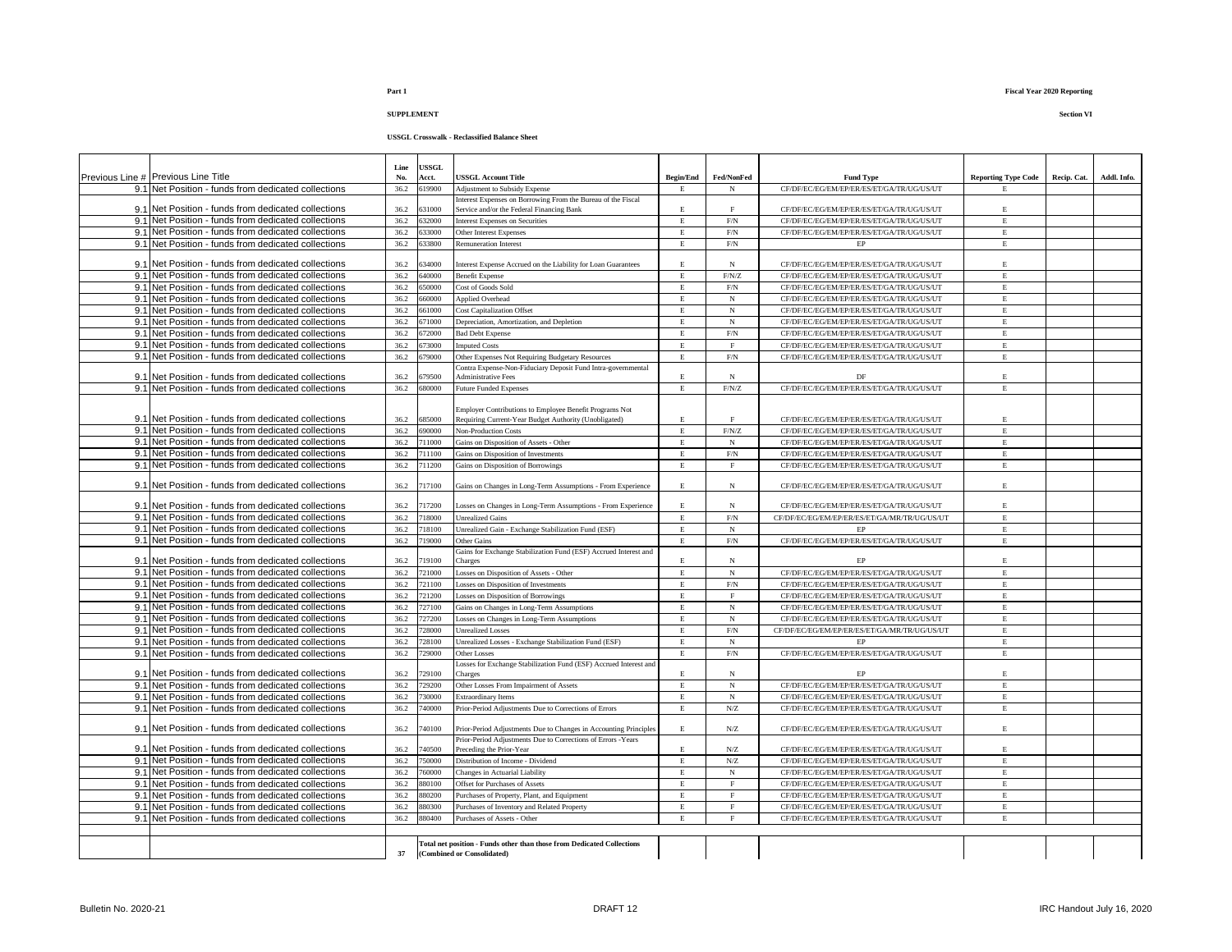| Previous Line # Previous Line Title                 | Line<br>No. | USSGL<br>Acct.   | <b>USSGL Account Title</b>                                                                 | <b>Begin/End</b> | Fed/NonFed                | <b>Fund Type</b>                             | <b>Reporting Type Code</b> | Recip. Cat. | Addl. Info. |
|-----------------------------------------------------|-------------|------------------|--------------------------------------------------------------------------------------------|------------------|---------------------------|----------------------------------------------|----------------------------|-------------|-------------|
| 9.1 Net Position - funds from dedicated collections | 36.2        | 619900           | Adjustment to Subsidy Expense                                                              | E                | N                         | CF/DF/EC/EG/EM/EP/ER/ES/ET/GA/TR/UG/US/UT    | E                          |             |             |
|                                                     |             |                  | Interest Expenses on Borrowing From the Bureau of the Fiscal                               |                  |                           |                                              |                            |             |             |
| 9.1 Net Position - funds from dedicated collections | 36.2        | 31000            | Service and/or the Federal Financing Bank                                                  | E                | $\mathbf{F}% _{0}$        | CF/DF/EC/EG/EM/EP/ER/ES/ET/GA/TR/UG/US/UT    | $\mathbf E$                |             |             |
| 9.1 Net Position - funds from dedicated collections | 36.2        | 632000           | Interest Expenses on Securities                                                            | $\mathbf E$      | $\rm{F/N}$                | CF/DF/EC/EG/EM/EP/ER/ES/ET/GA/TR/UG/US/UT    | $\,$ E                     |             |             |
| 9.1 Net Position - funds from dedicated collections | 36.2        | 633000           | Other Interest Expenses                                                                    | $\mathbf E$      | $\rm{F/N}$                | CF/DF/EC/EG/EM/EP/ER/ES/ET/GA/TR/UG/US/UT    | E                          |             |             |
| 9.1 Net Position - funds from dedicated collections | 36.2        | 633800           | <b>Remuneration Interest</b>                                                               | $\mathbf E$      | $\rm{F/N}$                | $\rm EP$                                     | E                          |             |             |
|                                                     |             |                  |                                                                                            |                  |                           |                                              |                            |             |             |
| 9.1 Net Position - funds from dedicated collections | 36.2        | 634000           | Interest Expense Accrued on the Liability for Loan Guarantees                              | $\mathbf E$      | $_{\rm N}$                | CF/DF/EC/EG/EM/EP/ER/ES/ET/GA/TR/UG/US/UT    | E                          |             |             |
| 9.1 Net Position - funds from dedicated collections | 36.2        | 640000<br>650000 | <b>Benefit Expense</b>                                                                     | $\mathbf E$      | F/N/Z                     | CF/DF/EC/EG/EM/EP/ER/ES/ET/GA/TR/UG/US/UT    | $\,$ E<br>$\mathbf{E}$     |             |             |
| 9.1 Net Position - funds from dedicated collections | 36.2        |                  | Cost of Goods Sold                                                                         | $\mathbf E$      | $\rm{F/N}$                | CF/DF/EC/EG/EM/EP/ER/ES/ET/GA/TR/UG/US/UT    |                            |             |             |
| 9.1 Net Position - funds from dedicated collections | 36.2        | 660000           | <b>Applied Overhead</b>                                                                    | $\mathbf E$      | $_{\rm N}$                | CF/DF/EC/EG/EM/EP/ER/ES/ET/GA/TR/UG/US/UT    | $\mathbf E$<br>$\mathbf E$ |             |             |
| 9.1 Net Position - funds from dedicated collections | 36.2        | 661000           | <b>Cost Capitalization Offset</b>                                                          | $\mathbf E$      | $_{\rm N}$                | CF/DF/EC/EG/EM/EP/ER/ES/ET/GA/TR/UG/US/UT    |                            |             |             |
| 9.1 Net Position - funds from dedicated collections | 36.2        | 671000           | Depreciation, Amortization, and Depletion                                                  | $\mathbf E$      | $_{\rm N}$                | CF/DF/EC/EG/EM/EP/ER/ES/ET/GA/TR/UG/US/UT    | $\,$ E                     |             |             |
| 9.1 Net Position - funds from dedicated collections | 36.2        | 572000           | <b>Bad Debt Expense</b>                                                                    | $\mathbf E$      | $\rm{F/N}$                | CF/DF/EC/EG/EM/EP/ER/ES/ET/GA/TR/UG/US/UT    | $\,$ E                     |             |             |
| 9.1 Net Position - funds from dedicated collections | 36.2        | 673000           | <b>Imputed Costs</b>                                                                       | $\mathbf E$      | $\rm F$                   | CF/DF/EC/EG/EM/EP/ER/ES/ET/GA/TR/UG/US/UT    | $\mathbf E$                |             |             |
| 9.1 Net Position - funds from dedicated collections | 36.2        | 79000            | Other Expenses Not Requiring Budgetary Resources                                           | $\mathbf E$      | $\ensuremath{\text{F/N}}$ | CF/DF/EC/EG/EM/EP/ER/ES/ET/GA/TR/UG/US/UT    | $\mathbf E$                |             |             |
| 9.1 Net Position - funds from dedicated collections | 36.2        | 679500           | Contra Expense-Non-Fiduciary Deposit Fund Intra-governmental<br><b>Administrative Fees</b> | $\mathbf E$      | $_{\rm N}$                | DF                                           | E                          |             |             |
| 9.1 Net Position - funds from dedicated collections | 36.2        | 680000           | <b>Future Funded Expenses</b>                                                              | $\mathbf E$      | $\rm F/N/Z$               | CF/DF/EC/EG/EM/EP/ER/ES/ET/GA/TR/UG/US/UT    | E                          |             |             |
|                                                     |             |                  |                                                                                            |                  |                           |                                              |                            |             |             |
|                                                     |             |                  | Employer Contributions to Employee Benefit Programs Not                                    |                  |                           |                                              |                            |             |             |
| 9.1 Net Position - funds from dedicated collections | 36.2        | 685000           | Requiring Current-Year Budget Authority (Unobligated)                                      | E                | F                         | CF/DF/EC/EG/EM/EP/ER/ES/ET/GA/TR/UG/US/UT    | E                          |             |             |
| 9.1 Net Position - funds from dedicated collections | 36.2        | 690000           | <b>Non-Production Costs</b>                                                                | E                | $\rm F/N/Z$               | CF/DF/EC/EG/EM/EP/ER/ES/ET/GA/TR/UG/US/UT    | E                          |             |             |
| 9.1 Net Position - funds from dedicated collections | 36.2        | 711000           | Gains on Disposition of Assets - Other                                                     | E                | N                         | CF/DF/EC/EG/EM/EP/ER/ES/ET/GA/TR/UG/US/UT    | E                          |             |             |
| 9.1 Net Position - funds from dedicated collections | 36.2        | 711100           | Gains on Disposition of Investments                                                        | $\mathbf E$      | $\rm{F/N}$                | CF/DF/EC/EG/EM/EP/ER/ES/ET/GA/TR/UG/US/UT    | $\,$ E                     |             |             |
| 9.1 Net Position - funds from dedicated collections | 36.2        | 711200           | Gains on Disposition of Borrowings                                                         | $\mathbf E$      | $\mathbf{F}$              | CF/DF/EC/EG/EM/EP/ER/ES/ET/GA/TR/UG/US/UT    | E                          |             |             |
|                                                     |             |                  |                                                                                            |                  |                           |                                              |                            |             |             |
| 9.1 Net Position - funds from dedicated collections | 36.2        | 717100           | Gains on Changes in Long-Term Assumptions - From Experience                                | E                | $_{\rm N}$                | CF/DF/EC/EG/EM/EP/ER/ES/ET/GA/TR/UG/US/UT    | E.                         |             |             |
|                                                     |             |                  |                                                                                            |                  |                           |                                              |                            |             |             |
| 9.1 Net Position - funds from dedicated collections | 36.2        | 717200           | Losses on Changes in Long-Term Assumptions - From Experience                               | $\mathbf E$      | $_{\rm N}$                | CF/DF/EC/EG/EM/EP/ER/ES/ET/GA/TR/UG/US/UT    | $\,$ E                     |             |             |
| 9.1 Net Position - funds from dedicated collections | 36.2        | 718000           | <b>Unrealized Gains</b>                                                                    | $\mathbf E$      | F/N                       | CF/DF/EC/EG/EM/EP/ER/ES/ET/GA/MR/TR/UG/US/UT | E                          |             |             |
| 9.1 Net Position - funds from dedicated collections | 36.2        | 718100           | Unrealized Gain - Exchange Stabilization Fund (ESF)                                        | $\mathbf E$      | $_{\rm N}$                | EP                                           | $\mathbf E$                |             |             |
| 9.1 Net Position - funds from dedicated collections | 36.2        | 719000           | Other Gains                                                                                | $\mathbf E$      | $\rm F/N$                 | CF/DF/EC/EG/EM/EP/ER/ES/ET/GA/TR/UG/US/UT    | E                          |             |             |
| 9.1 Net Position - funds from dedicated collections | 36.2        | 19100            | Gains for Exchange Stabilization Fund (ESF) Accrued Interest and<br>Charges                | E.               | $_{\rm N}$                | FP                                           | $\mathbf E$                |             |             |
| 9.1 Net Position - funds from dedicated collections | 36.2        | 721000           | osses on Disposition of Assets - Other                                                     | $\mathbf E$      | $_{\rm N}$                | CF/DF/EC/EG/EM/EP/ER/ES/ET/GA/TR/UG/US/UT    | $\mathbf E$                |             |             |
| 9.1 Net Position - funds from dedicated collections | 36.2        | 721100           | Losses on Disposition of Investments                                                       | $\mathbf E$      | F/N                       | CF/DF/EC/EG/EM/EP/ER/ES/ET/GA/TR/UG/US/UT    | $\mathbf E$                |             |             |
| 9.1 Net Position - funds from dedicated collections | 36.2        | 721200           | Losses on Disposition of Borrowings                                                        | $\mathbf E$      | $\mathbf F$               | CF/DF/EC/EG/EM/EP/ER/ES/ET/GA/TR/UG/US/UT    | $\mathbf E$                |             |             |
| 9.1 Net Position - funds from dedicated collections | 36.2        | 727100           | Gains on Changes in Long-Term Assumptions                                                  | $\mathbf E$      | $_{\rm N}$                | CF/DF/EC/EG/EM/EP/ER/ES/ET/GA/TR/UG/US/UT    | $\mathbf E$                |             |             |
| 9.1 Net Position - funds from dedicated collections | 36.2        | 727200           | Losses on Changes in Long-Term Assumptions                                                 | $\mathbf E$      | $_{\rm N}$                | CF/DF/EC/EG/EM/EP/ER/ES/ET/GA/TR/UG/US/UT    | E                          |             |             |
| 9.1 Net Position - funds from dedicated collections | 36.2        | 28000            | <b>Jnrealized Losses</b>                                                                   | E                | $\rm{F/N}$                | CF/DF/EC/EG/EM/EP/ER/ES/ET/GA/MR/TR/UG/US/UT | E                          |             |             |
| 9.1 Net Position - funds from dedicated collections | 36.2        | 728100           | Jnrealized Losses - Exchange Stabilization Fund (ESF)                                      | E                | N                         | <b>FP</b>                                    | E                          |             |             |
| 9.1 Net Position - funds from dedicated collections | 36.2        | 729000           | <b>Other Losses</b>                                                                        | E                | $\rm F/N$                 | CF/DF/EC/EG/EM/EP/ER/ES/ET/GA/TR/UG/US/UT    | E                          |             |             |
|                                                     |             |                  | Losses for Exchange Stabilization Fund (ESF) Accrued Interest and                          |                  |                           |                                              |                            |             |             |
| 9.1 Net Position - funds from dedicated collections | 36.2        | 29100            | Charges                                                                                    | $\mathbf E$      | $_{\rm N}$                | EP                                           | $\mathbf E$                |             |             |
| 9.1 Net Position - funds from dedicated collections | 36.2        | 729200           | Other Losses From Impairment of Assets                                                     | $\mathbf E$      | $_{\rm N}$                | CF/DF/EC/EG/EM/EP/ER/ES/ET/GA/TR/UG/US/UT    | $\,$ E                     |             |             |
| 9.1 Net Position - funds from dedicated collections | 36.2        | 730000           | Extraordinary Items                                                                        | E                | $_{\rm N}$                | CF/DF/EC/EG/EM/EP/ER/ES/ET/GA/TR/UG/US/UT    | $\,$ E                     |             |             |
| 9.1 Net Position - funds from dedicated collections | 36.2        | 740000           | Prior-Period Adjustments Due to Corrections of Errors                                      | $\mathbf E$      | ${\rm N} / {\rm Z}$       | CF/DF/EC/EG/EM/EP/ER/ES/ET/GA/TR/UG/US/UT    | $\mathbf E$                |             |             |
|                                                     |             |                  |                                                                                            |                  |                           |                                              |                            |             |             |
| 9.1 Net Position - funds from dedicated collections | 36.2        | 740100           | Prior-Period Adjustments Due to Changes in Accounting Principles                           | $\mathbf E$      | ${\rm N} / {\rm Z}$       | CF/DF/EC/EG/EM/EP/ER/ES/ET/GA/TR/UG/US/UT    | E                          |             |             |
|                                                     |             |                  | Prior-Period Adjustments Due to Corrections of Errors -Years                               |                  |                           |                                              |                            |             |             |
| 9.1 Net Position - funds from dedicated collections | 36.2        | 740500           | Preceding the Prior-Year                                                                   | E                | N/Z                       | CF/DF/EC/EG/EM/EP/ER/ES/ET/GA/TR/UG/US/UT    | $\mathbf E$                |             |             |
| 9.1 Net Position - funds from dedicated collections | 36.2        | 750000           | Distribution of Income - Dividend                                                          | E                | N/Z                       | CF/DF/EC/EG/EM/EP/ER/ES/ET/GA/TR/UG/US/UT    | E                          |             |             |
| 9.1 Net Position - funds from dedicated collections | 36.2        | 760000           | Changes in Actuarial Liability                                                             | $\mathbf E$      | $_{\rm N}$                | CF/DF/EC/EG/EM/EP/ER/ES/ET/GA/TR/UG/US/UT    | $\,$ E                     |             |             |
| 9.1 Net Position - funds from dedicated collections | 36.2        | 880100           | Offset for Purchases of Assets                                                             | $\mathbf E$      | $\mathbf{F}$              | CF/DF/EC/EG/EM/EP/ER/ES/ET/GA/TR/UG/US/UT    | E                          |             |             |
| 9.1 Net Position - funds from dedicated collections | 36.2        | 880200           | Purchases of Property, Plant, and Equipment                                                | $\mathbf E$      | F                         | CF/DF/EC/EG/EM/EP/ER/ES/ET/GA/TR/UG/US/UT    | E                          |             |             |
| 9.1 Net Position - funds from dedicated collections | 36.2        | 880300           | Purchases of Inventory and Related Property                                                | $\mathbf E$      | $\rm F$                   | CF/DF/EC/EG/EM/EP/ER/ES/ET/GA/TR/UG/US/UT    | $\mathbf E$                |             |             |
| 9.1 Net Position - funds from dedicated collections | 36.2        | 880400           | Purchases of Assets - Other                                                                | $\mathbf E$      | $\mathbf{F}$              | CF/DF/EC/EG/EM/EP/ER/ES/ET/GA/TR/UG/US/UT    | $\,$ E                     |             |             |
|                                                     |             |                  |                                                                                            |                  |                           |                                              |                            |             |             |
|                                                     |             |                  | Total net position - Funds other than those from Dedicated Collections                     |                  |                           |                                              |                            |             |             |
|                                                     | 37          |                  | (Combined or Consolidated)                                                                 |                  |                           |                                              |                            |             |             |

# **Part 1 Fiscal Year 2020 Reporting**

**SUPPLEMENT Section VI**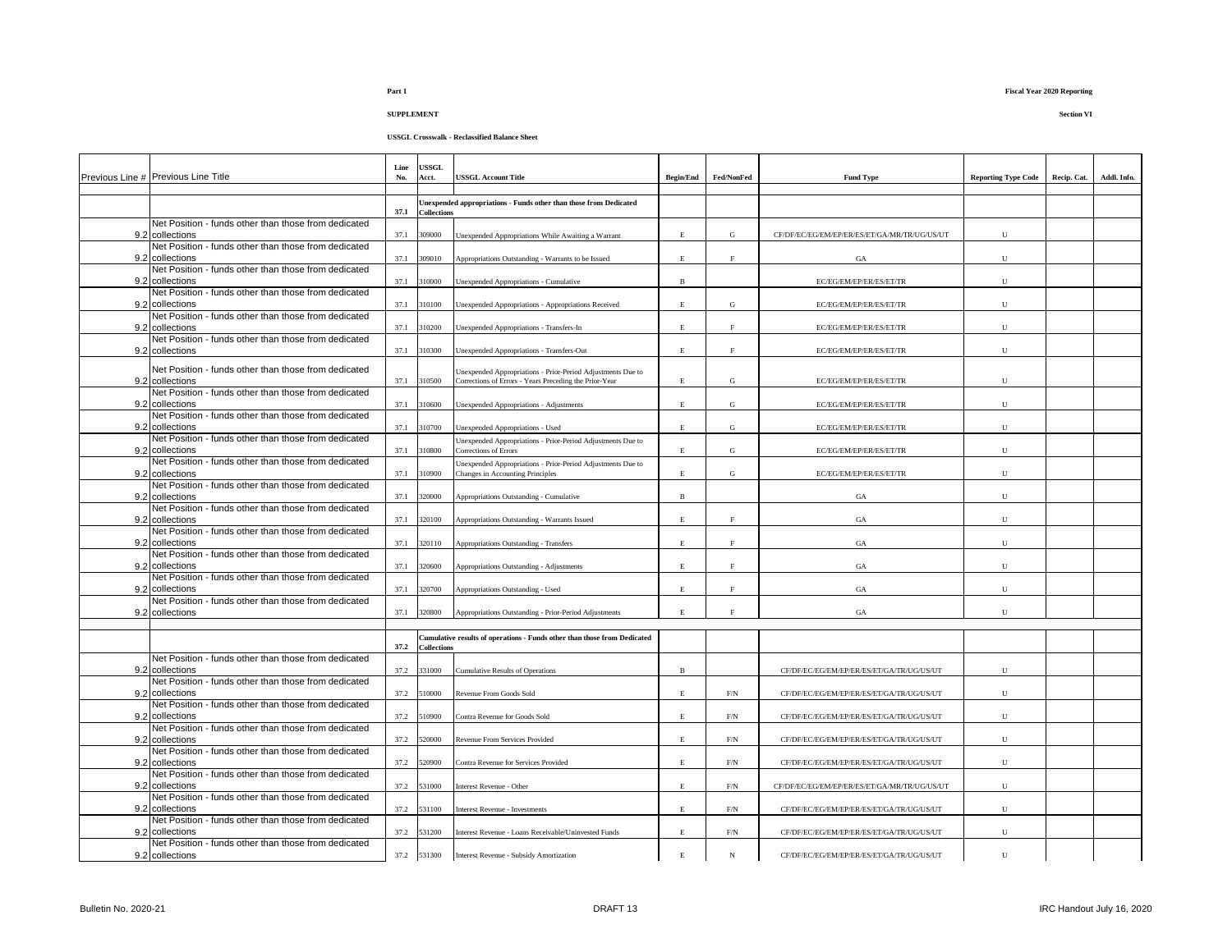**USSGL Crosswalk - Reclassified Balance Sheet**

| Previous Line # Previous Line Title                                     | Line<br>No. | <b>USSGL</b><br>Acct. | <b>JSSGL Account Title</b>                                                                      | <b>Begin/End</b> | Fed/NonFed         | <b>Fund Type</b>                             | <b>Reporting Type Code</b> | Recip. Cat. | Addl. Info. |
|-------------------------------------------------------------------------|-------------|-----------------------|-------------------------------------------------------------------------------------------------|------------------|--------------------|----------------------------------------------|----------------------------|-------------|-------------|
|                                                                         |             |                       | Unexpended appropriations - Funds other than those from Dedicated                               |                  |                    |                                              |                            |             |             |
| Net Position - funds other than those from dedicated                    | 37.1        | <b>Collections</b>    |                                                                                                 |                  |                    |                                              |                            |             |             |
| 9.2 collections                                                         | 37.1        | 309000                | Unexpended Appropriations While Awaiting a Warrant                                              | E                | G                  | CF/DF/EC/EG/EM/EP/ER/ES/ET/GA/MR/TR/UG/US/UT | U                          |             |             |
| Net Position - funds other than those from dedicated<br>9.2 collections | 37.1        | 309010                | Appropriations Outstanding - Warrants to be Issued                                              | $\mathbf E$      | $_{\rm F}$         | GA                                           | U                          |             |             |
| Net Position - funds other than those from dedicated<br>9.2 collections | 37.1        | 310000                | Unexpended Appropriations - Cumulative                                                          | $\mathbf B$      |                    | EC/EG/EM/EP/ER/ES/ET/TR                      | $\mathbf U$                |             |             |
| Net Position - funds other than those from dedicated                    |             |                       |                                                                                                 |                  |                    |                                              |                            |             |             |
| 9.2 collections                                                         | 37.1        | 310100                | Jnexpended Appropriations - Appropriations Received                                             | E                | G                  | EC/EG/EM/EP/ER/ES/ET/TR                      | U                          |             |             |
| Net Position - funds other than those from dedicated<br>9.2 collections | 37.1        | 310200                | Unexpended Appropriations - Transfers-In                                                        | $\mathbf E$      | $\rm F$            | EC/EG/EM/EP/ER/ES/ET/TR                      | ${\bf U}$                  |             |             |
| Net Position - funds other than those from dedicated<br>9.2 collections | 37.1        | 310300                | Unexpended Appropriations - Transfers-Out                                                       | E.               | F                  | EC/EG/EM/EP/ER/ES/ET/TR                      | U                          |             |             |
| Net Position - funds other than those from dedicated                    |             |                       | Jnexpended Appropriations - Prior-Period Adjustments Due to                                     |                  |                    |                                              |                            |             |             |
| 9.2 collections                                                         | 37.1        | 310500                | Corrections of Errors - Years Preceding the Prior-Year                                          | E                | ${\rm G}$          | EC/EG/EM/EP/ER/ES/ET/TR                      | U                          |             |             |
| Net Position - funds other than those from dedicated<br>9.2 collections | 37.1        | 310600                | Unexpended Appropriations - Adjustments                                                         | $\mathbf E$      | G                  | EC/EG/EM/EP/ER/ES/ET/TR                      | U                          |             |             |
| Net Position - funds other than those from dedicated                    |             |                       |                                                                                                 |                  |                    |                                              |                            |             |             |
| 9.2 collections                                                         | 37.1        | 310700                | Unexpended Appropriations - Used                                                                | E                | G                  | EC/EG/EM/EP/ER/ES/ET/TR                      | U                          |             |             |
| Net Position - funds other than those from dedicated<br>9.2 collections | 37.1        | 310800                | Unexpended Appropriations - Prior-Period Adjustments Due to<br>Corrections of Errors            | E                | G                  | EC/EG/EM/EP/ER/ES/ET/TR                      | U                          |             |             |
| Net Position - funds other than those from dedicated<br>9.2 collections | 37.1        | 310900                | Unexpended Appropriations - Prior-Period Adjustments Due to<br>Changes in Accounting Principles | E                | G                  | EC/EG/EM/EP/ER/ES/ET/TR                      | ${\bf U}$                  |             |             |
| Net Position - funds other than those from dedicated<br>9.2 collections | 37.1        | 320000                | Appropriations Outstanding - Cumulative                                                         | $\, {\bf B}$     |                    | GA                                           | U                          |             |             |
| Net Position - funds other than those from dedicated                    |             |                       |                                                                                                 |                  |                    |                                              |                            |             |             |
| 9.2 collections<br>Net Position - funds other than those from dedicated | 37.1        | 320100                | Appropriations Outstanding - Warrants Issued                                                    | $\mathbf E$      | $\rm F$            | GA                                           | U                          |             |             |
| 9.2 collections                                                         | 37.1        | 320110                | Appropriations Outstanding - Transfers                                                          | $\mathbf E$      | $\rm F$            | $_{\mathrm{GA}}$                             | U                          |             |             |
| Net Position - funds other than those from dedicated<br>9.2 collections | 37.1        | 320600                | Appropriations Outstanding - Adjustments                                                        | $\mathbf E$      | $\rm F$            | $_{\mathrm{GA}}$                             | ${\bf U}$                  |             |             |
| Net Position - funds other than those from dedicated                    |             |                       |                                                                                                 |                  |                    |                                              |                            |             |             |
| 9.2 collections                                                         | 37.1        | 320700                | Appropriations Outstanding - Used                                                               | $\mathbf{E}$     | $\mathbf{F}% _{0}$ | GA                                           | $\mathbf{U}$               |             |             |
| Net Position - funds other than those from dedicated<br>9.2 collections | 37.1        | 320800                | Appropriations Outstanding - Prior-Period Adjustments                                           | E                | F                  | GA                                           | U                          |             |             |
|                                                                         |             |                       |                                                                                                 |                  |                    |                                              |                            |             |             |
|                                                                         | 37.2        | <b>Collections</b>    | Cumulative results of operations - Funds other than those from Dedicated                        |                  |                    |                                              |                            |             |             |
| Net Position - funds other than those from dedicated<br>9.2 collections | 37.2        | 331000                | <b>Cumulative Results of Operations</b>                                                         | $\mathbf B$      |                    | CF/DF/EC/EG/EM/EP/ER/ES/ET/GA/TR/UG/US/UT    | U                          |             |             |
| Net Position - funds other than those from dedicated                    |             |                       |                                                                                                 |                  |                    |                                              |                            |             |             |
| 9.2 collections                                                         | 37.2        | 510000                | Revenue From Goods Sold                                                                         | E.               | $\rm F/N$          | CF/DF/EC/EG/EM/EP/ER/ES/ET/GA/TR/UG/US/UT    | U                          |             |             |
| Net Position - funds other than those from dedicated<br>9.2 collections | 37.2        | 510900                | Contra Revenue for Goods Sold                                                                   | E                | F/N                | CF/DF/EC/EG/EM/EP/ER/ES/ET/GA/TR/UG/US/UT    | ${\bf U}$                  |             |             |
| Net Position - funds other than those from dedicated                    |             |                       |                                                                                                 |                  |                    |                                              |                            |             |             |
| 9.2 collections<br>Net Position - funds other than those from dedicated | 37.2        | 520000                | Revenue From Services Provided                                                                  | E.               | $\rm F/N$          | CF/DF/EC/EG/EM/EP/ER/ES/ET/GA/TR/UG/US/UT    | U                          |             |             |
| 9.2 collections                                                         | 37.2        | 520900                | Contra Revenue for Services Provided                                                            | E                | F/N                | CF/DF/EC/EG/EM/EP/ER/ES/ET/GA/TR/UG/US/UT    | U                          |             |             |
| Net Position - funds other than those from dedicated<br>9.2 collections | 37.2        | 531000                | Interest Revenue - Other                                                                        | $\mathbf E$      | $\rm F/N$          | CF/DF/EC/EG/EM/EP/ER/ES/ET/GA/MR/TR/UG/US/UT | U                          |             |             |
| Net Position - funds other than those from dedicated                    |             |                       |                                                                                                 |                  |                    |                                              |                            |             |             |
| 9.2 collections<br>Net Position - funds other than those from dedicated | 37.2        | 531100                | Interest Revenue - Investments                                                                  | $\mathbf E$      | $\rm F/N$          | CF/DF/EC/EG/EM/EP/ER/ES/ET/GA/TR/UG/US/UT    | U                          |             |             |
| 9.2 collections                                                         | 37.2        | 531200                | Interest Revenue - Loans Receivable/Uninvested Funds                                            | $\mathbf E$      | $\rm{F/N}$         | CF/DF/EC/EG/EM/EP/ER/ES/ET/GA/TR/UG/US/UT    | ${\bf U}$                  |             |             |
| Net Position - funds other than those from dedicated<br>9.2 collections |             | 37.2 531300           | <b>Interest Revenue - Subsidy Amortization</b>                                                  | $\mathbf E$      | N                  | CF/DF/EC/EG/EM/EP/ER/ES/ET/GA/TR/UG/US/UT    | U                          |             |             |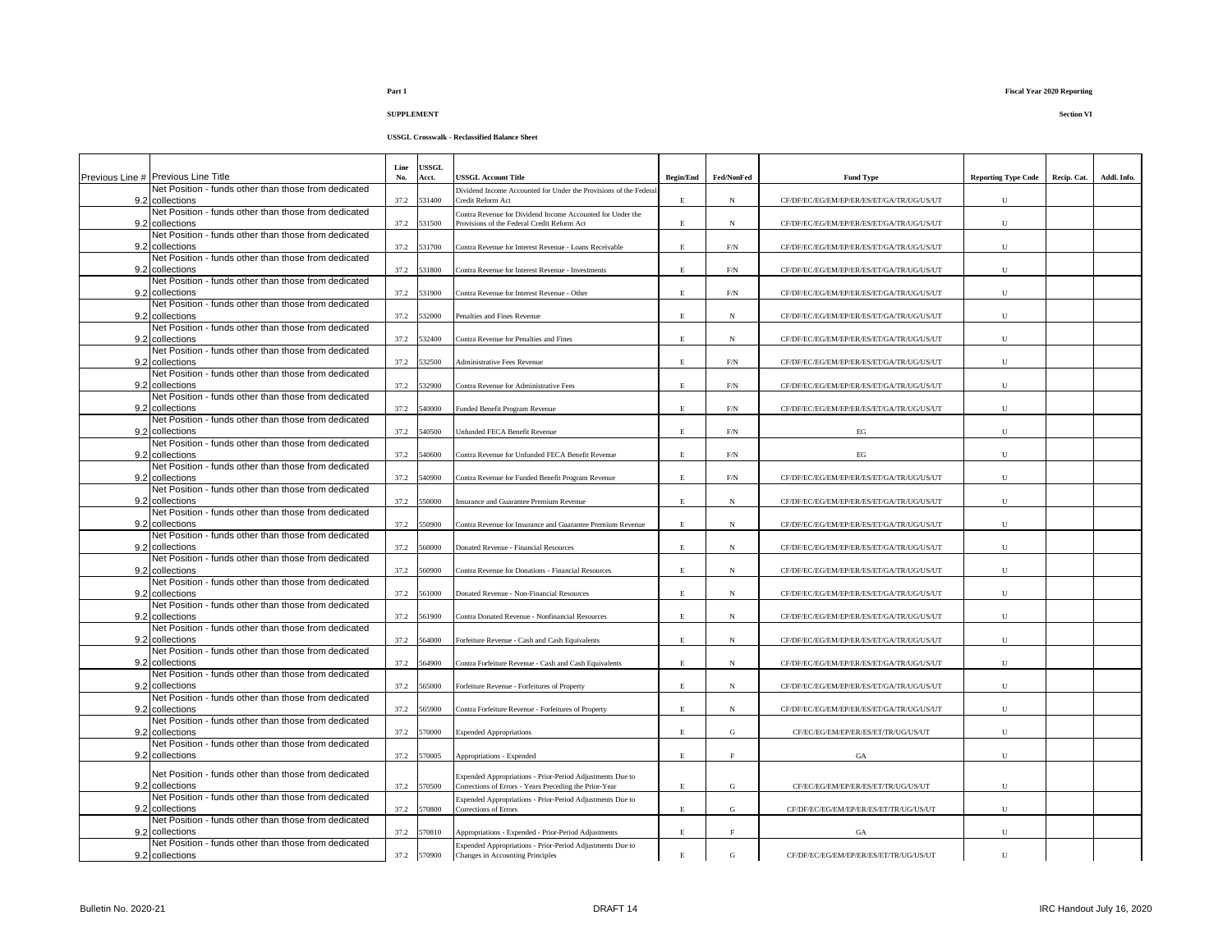| Previous Line # Previous Line Title                                     | Line<br>No. | <b>JSSGL</b><br>Acct. | <b>USSGL Account Title</b>                                                                                | <b>Begin/End</b> | Fed/NonFed  | <b>Fund Type</b>                          | <b>Reporting Type Code</b> | Recip. Cat. | Addl. Info. |
|-------------------------------------------------------------------------|-------------|-----------------------|-----------------------------------------------------------------------------------------------------------|------------------|-------------|-------------------------------------------|----------------------------|-------------|-------------|
| Net Position - funds other than those from dedicated                    |             |                       | Dividend Income Accounted for Under the Provisions of the Federal                                         |                  |             |                                           |                            |             |             |
| 9.2 collections                                                         | 37.2        | 531400                | Credit Reform Act                                                                                         | E.               | $\mathbf N$ | CF/DF/EC/EG/EM/EP/ER/ES/ET/GA/TR/UG/US/UT | U                          |             |             |
| Net Position - funds other than those from dedicated<br>9.2 collections | 37.2        | 531500                | Contra Revenue for Dividend Income Accounted for Under the<br>Provisions of the Federal Credit Reform Act | E                | $_{\rm N}$  | CF/DF/EC/EG/EM/EP/ER/ES/ET/GA/TR/UG/US/UT | U                          |             |             |
| Net Position - funds other than those from dedicated                    |             |                       |                                                                                                           |                  |             |                                           |                            |             |             |
| 9.2 collections                                                         | 37.2        | 531700                | Contra Revenue for Interest Revenue - Loans Receivable                                                    | E                | F/N         | CF/DF/EC/EG/EM/EP/ER/ES/ET/GA/TR/UG/US/UT | U                          |             |             |
| Net Position - funds other than those from dedicated<br>9.2 collections | 37.2        | 531800                | Contra Revenue for Interest Revenue - Investments                                                         | E                | F/N         | CF/DF/EC/EG/EM/EP/ER/ES/ET/GA/TR/UG/US/UT | $\mathbf{U}$               |             |             |
| Net Position - funds other than those from dedicated<br>9.2 collections | 37.2        | 531900                | Contra Revenue for Interest Revenue - Other                                                               | E.               | F/N         | CF/DF/EC/EG/EM/EP/ER/ES/ET/GA/TR/UG/US/UT | U                          |             |             |
| Net Position - funds other than those from dedicated                    |             |                       |                                                                                                           |                  |             |                                           |                            |             |             |
| 9.2 collections<br>Net Position - funds other than those from dedicated | 37.2        | 532000                | Penalties and Fines Revenue                                                                               | E                | N           | CF/DF/EC/EG/EM/EP/ER/ES/ET/GA/TR/UG/US/UT | U                          |             |             |
| 9.2 collections                                                         | 37.2        | 532400                | Contra Revenue for Penalties and Fines                                                                    | E                | N           | CF/DF/EC/EG/EM/EP/ER/ES/ET/GA/TR/UG/US/UT | ${\bf U}$                  |             |             |
| Net Position - funds other than those from dedicated                    |             |                       |                                                                                                           |                  |             |                                           |                            |             |             |
| 9.2 collections                                                         | 37.2        | 532500                | <b>Administrative Fees Revenue</b>                                                                        | $\mathbf E$      | $\rm F/N$   | CF/DF/EC/EG/EM/EP/ER/ES/ET/GA/TR/UG/US/UT | U                          |             |             |
| Net Position - funds other than those from dedicated                    |             |                       |                                                                                                           |                  |             |                                           |                            |             |             |
| 9.2 collections                                                         | 37.2        | 532900                | Contra Revenue for Administrative Fees                                                                    | $\mathbf E$      | $\rm F/N$   | CF/DF/EC/EG/EM/EP/ER/ES/ET/GA/TR/UG/US/UT | U                          |             |             |
| Net Position - funds other than those from dedicated<br>9.2 collections | 37.2        | 540000                | Funded Benefit Program Revenue                                                                            | E                | F/N         | CF/DF/EC/EG/EM/EP/ER/ES/ET/GA/TR/UG/US/UT | U                          |             |             |
| Net Position - funds other than those from dedicated                    |             |                       |                                                                                                           |                  |             |                                           |                            |             |             |
| 9.2 collections<br>Net Position - funds other than those from dedicated | 37.2        | 540500                | Unfunded FECA Benefit Revenue                                                                             | Е                | F/N         | EG                                        | ${\bf U}$                  |             |             |
| 9.2 collections                                                         | 37.2        | 540600                | Contra Revenue for Unfunded FECA Benefit Revenue                                                          | E.               | F/N         | EG                                        | U                          |             |             |
| Net Position - funds other than those from dedicated                    |             |                       |                                                                                                           |                  |             |                                           |                            |             |             |
| 9.2 collections                                                         | 37.2        | 640900                | Contra Revenue for Funded Benefit Program Revenue                                                         | E                | F/N         | CF/DF/EC/EG/EM/EP/ER/ES/ET/GA/TR/UG/US/UT | U                          |             |             |
| Net Position - funds other than those from dedicated                    |             |                       |                                                                                                           |                  |             |                                           |                            |             |             |
| 9.2 collections                                                         | 37.2        | 550000                | Insurance and Guarantee Premium Revenue                                                                   | E                | N           | CF/DF/EC/EG/EM/EP/ER/ES/ET/GA/TR/UG/US/UT | U                          |             |             |
| Net Position - funds other than those from dedicated<br>9.2 collections |             |                       |                                                                                                           |                  |             |                                           |                            |             |             |
| Net Position - funds other than those from dedicated                    | 37.2        | 50900                 | Contra Revenue for Insurance and Guarantee Premium Revenue                                                | E                | N           | CF/DF/EC/EG/EM/EP/ER/ES/ET/GA/TR/UG/US/UT | ${\bf U}$                  |             |             |
| 9.2 collections                                                         | 37.2        | 560000                | Donated Revenue - Financial Resources                                                                     | $\mathbf E$      | $_{\rm N}$  | CF/DF/EC/EG/EM/EP/ER/ES/ET/GA/TR/UG/US/UT | $\mathbf{U}$               |             |             |
| Net Position - funds other than those from dedicated                    |             |                       |                                                                                                           |                  |             |                                           |                            |             |             |
| 9.2 collections                                                         | 37.2        | 60900                 | Contra Revenue for Donations - Financial Resources                                                        | E                | N           | CF/DF/EC/EG/EM/EP/ER/ES/ET/GA/TR/UG/US/UT | U                          |             |             |
| Net Position - funds other than those from dedicated                    |             |                       |                                                                                                           |                  |             |                                           |                            |             |             |
| 9.2 collections<br>Net Position - funds other than those from dedicated | 37.2        | 561000                | Donated Revenue - Non-Financial Resources                                                                 | E                | $_{\rm N}$  | CF/DF/EC/EG/EM/EP/ER/ES/ET/GA/TR/UG/US/UT | U                          |             |             |
| 9.2 collections                                                         | 37.2        | 561900                | Contra Donated Revenue - Nonfinancial Resources                                                           | E                | $_{\rm N}$  | CF/DF/EC/EG/EM/EP/ER/ES/ET/GA/TR/UG/US/UT | U                          |             |             |
| Net Position - funds other than those from dedicated                    |             |                       |                                                                                                           |                  |             |                                           |                            |             |             |
| 9.2 collections                                                         | 37.2        | 564000                | Forfeiture Revenue - Cash and Cash Equivalents                                                            | $\mathbf E$      | $_{\rm N}$  | CF/DF/EC/EG/EM/EP/ER/ES/ET/GA/TR/UG/US/UT | U                          |             |             |
| Net Position - funds other than those from dedicated                    |             |                       |                                                                                                           |                  |             |                                           |                            |             |             |
| 9.2 collections                                                         | 37.2        | 564900                | Contra Forfeiture Revenue - Cash and Cash Equivalents                                                     | E                | N           | CF/DF/EC/EG/EM/EP/ER/ES/ET/GA/TR/UG/US/UT | U                          |             |             |
| Net Position - funds other than those from dedicated<br>9.2 collections | 37.2        | 65000                 | Forfeiture Revenue - Forfeitures of Property                                                              | E                | N           | CF/DF/EC/EG/EM/EP/ER/ES/ET/GA/TR/UG/US/UT | U                          |             |             |
| Net Position - funds other than those from dedicated                    |             |                       |                                                                                                           |                  |             |                                           |                            |             |             |
| 9.2 collections                                                         | 37.2        | 565900                | Contra Forfeiture Revenue - Forfeitures of Property                                                       | $\mathbf E$      | $_{\rm N}$  | CF/DF/EC/EG/EM/EP/ER/ES/ET/GA/TR/UG/US/UT | ${\bf U}$                  |             |             |
| Net Position - funds other than those from dedicated                    |             |                       |                                                                                                           |                  |             |                                           |                            |             |             |
| 9.2 collections                                                         | 37.2        | 570000                | <b>Expended Appropriations</b>                                                                            | E                | G           | CF/EC/EG/EM/EP/ER/ES/ET/TR/UG/US/UT       | $\mathbf{U}$               |             |             |
| Net Position - funds other than those from dedicated                    |             |                       |                                                                                                           |                  |             |                                           |                            |             |             |
| 9.2 collections                                                         | 37.2        | 570005                | Appropriations - Expended                                                                                 | E                | F           | $_{\mathrm{GA}}$                          | U                          |             |             |
| Net Position - funds other than those from dedicated                    |             |                       | Expended Appropriations - Prior-Period Adjustments Due to                                                 |                  |             |                                           |                            |             |             |
| 9.2 collections                                                         | 37.2        | 570500                | Corrections of Errors - Years Preceding the Prior-Year                                                    | E                | G           | CF/EC/EG/EM/EP/ER/ES/ET/TR/UG/US/UT       | U                          |             |             |
| Net Position - funds other than those from dedicated                    |             |                       | Expended Appropriations - Prior-Period Adjustments Due to                                                 |                  |             |                                           |                            |             |             |
| 9.2 collections<br>Net Position - funds other than those from dedicated | 37.2        | 570800                | Corrections of Errors                                                                                     | E                | G           | CF/DF/EC/EG/EM/EP/ER/ES/ET/TR/UG/US/UT    | U                          |             |             |
| 9.2 collections                                                         | 37.2        | 570810                | Appropriations - Expended - Prior-Period Adjustments                                                      | $\mathbf E$      | F           | GA                                        | ${\bf U}$                  |             |             |
| Net Position - funds other than those from dedicated                    |             |                       | Expended Appropriations - Prior-Period Adjustments Due to                                                 |                  |             |                                           |                            |             |             |
| 9.2 collections                                                         | 37.2        | 570900                | Changes in Accounting Principles                                                                          | E                | G           | CF/DF/EC/EG/EM/EP/ER/ES/ET/TR/UG/US/UT    | U                          |             |             |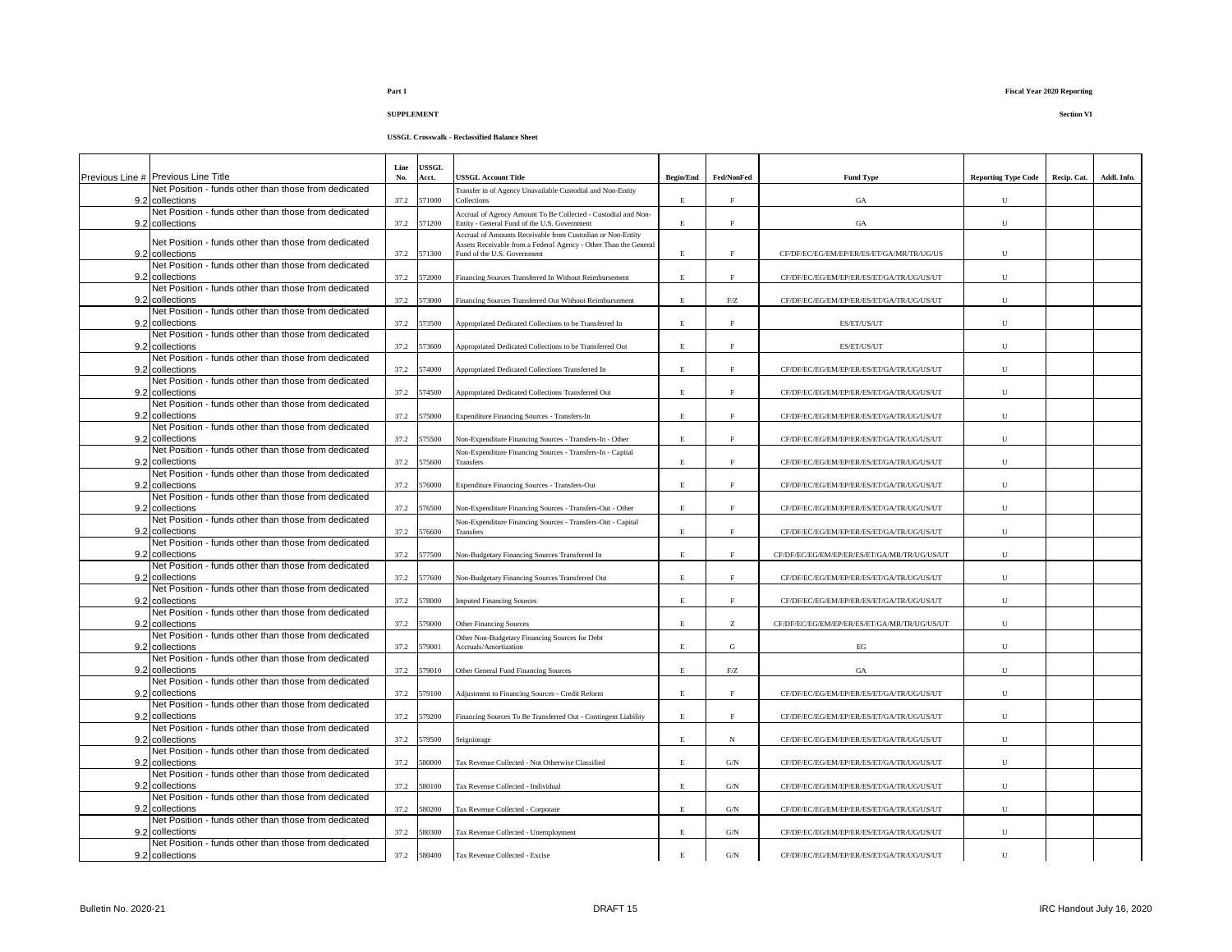| Previous Line # Previous Line Title                                     | Line<br>No. | <b>ISSGL</b><br>Acct. | <b>USSGL Account Title</b>                                                                                                     | <b>Begin/End</b> | Fed/NonFed                                            | <b>Fund Type</b>                             | <b>Reporting Type Code</b> | Recip. Cat. | Addl. Info. |
|-------------------------------------------------------------------------|-------------|-----------------------|--------------------------------------------------------------------------------------------------------------------------------|------------------|-------------------------------------------------------|----------------------------------------------|----------------------------|-------------|-------------|
| Net Position - funds other than those from dedicated                    |             |                       | Transfer in of Agency Unavailable Custodial and Non-Entity                                                                     |                  |                                                       |                                              |                            |             |             |
| 9.2 collections                                                         | 37.2        | 71000                 | Collections                                                                                                                    | E                | F                                                     | $_{\mathrm{GA}}$                             | U                          |             |             |
| Net Position - funds other than those from dedicated                    |             |                       | Accrual of Agency Amount To Be Collected - Custodial and Non-                                                                  |                  |                                                       |                                              |                            |             |             |
| 9.2 collections                                                         | 37.2        | 571200                | Entity - General Fund of the U.S. Government                                                                                   | E.               | E                                                     | $_{\mathrm{GA}}$                             | U                          |             |             |
| Net Position - funds other than those from dedicated                    |             |                       | Accrual of Amounts Receivable from Custodian or Non-Entity<br>Assets Receivable from a Federal Agency - Other Than the General |                  |                                                       |                                              |                            |             |             |
| 9.2 collections                                                         | 37.2        | 571300                | Fund of the U.S. Government                                                                                                    | Ē.               | E                                                     | CF/DF/EC/EG/EM/EP/ER/ES/ET/GA/MR/TR/UG/US    | U                          |             |             |
| Net Position - funds other than those from dedicated                    |             |                       |                                                                                                                                |                  |                                                       |                                              |                            |             |             |
| 9.2 collections                                                         | 37.2        | 572000                | Financing Sources Transferred In Without Reimbursement                                                                         | E.               | F.                                                    | CF/DF/EC/EG/EM/EP/ER/ES/ET/GA/TR/UG/US/UT    | U                          |             |             |
| Net Position - funds other than those from dedicated                    |             |                       |                                                                                                                                |                  |                                                       |                                              |                            |             |             |
| 9.2 collections                                                         | 37.2        | 573000                | Financing Sources Transferred Out Without Reimbursement                                                                        | E.               | F/Z                                                   | CF/DF/EC/EG/EM/EP/ER/ES/ET/GA/TR/UG/US/UT    | U                          |             |             |
| Net Position - funds other than those from dedicated<br>9.2 collections | 37.2        | 573500                | Appropriated Dedicated Collections to be Transferred In                                                                        | E                | E                                                     | ES/ET/US/UT                                  | $\mathbf U$                |             |             |
| Net Position - funds other than those from dedicated                    |             |                       |                                                                                                                                |                  |                                                       |                                              |                            |             |             |
| 9.2 collections                                                         | 37.2        | 573600                | Appropriated Dedicated Collections to be Transferred Out                                                                       | E                | F.                                                    | ES/ET/US/UT                                  | U                          |             |             |
| Net Position - funds other than those from dedicated                    |             |                       |                                                                                                                                |                  |                                                       |                                              |                            |             |             |
| 9.2 collections                                                         | 37.2        | 574000                | Appropriated Dedicated Collections Transferred In                                                                              | E.               | F                                                     | CF/DF/EC/EG/EM/EP/ER/ES/ET/GA/TR/UG/US/UT    | U                          |             |             |
| Net Position - funds other than those from dedicated                    |             |                       |                                                                                                                                |                  |                                                       |                                              |                            |             |             |
| 9.2 collections                                                         | 37.2        | 574500                | Appropriated Dedicated Collections Transferred Out                                                                             | E                | F                                                     | CF/DF/EC/EG/EM/EP/ER/ES/ET/GA/TR/UG/US/UT    | U                          |             |             |
| Net Position - funds other than those from dedicated<br>9.2 collections | 37.2        | 575000                | Expenditure Financing Sources - Transfers-In                                                                                   | E                | F                                                     | CF/DF/EC/EG/EM/EP/ER/ES/ET/GA/TR/UG/US/UT    | U                          |             |             |
| Net Position - funds other than those from dedicated                    |             |                       |                                                                                                                                |                  |                                                       |                                              |                            |             |             |
| 9.2 collections                                                         | 37.2        | 75500                 | Non-Expenditure Financing Sources - Transfers-In - Other                                                                       | E                | F                                                     | CF/DF/EC/EG/EM/EP/ER/ES/ET/GA/TR/UG/US/UT    | ${\bf U}$                  |             |             |
| Net Position - funds other than those from dedicated                    |             |                       | Non-Expenditure Financing Sources - Transfers-In - Capital                                                                     |                  |                                                       |                                              |                            |             |             |
| 9.2 collections                                                         | 37.2        | 575600                | <b>Transfers</b>                                                                                                               | E.               | F.                                                    | CF/DF/EC/EG/EM/EP/ER/ES/ET/GA/TR/UG/US/UT    | U                          |             |             |
| Net Position - funds other than those from dedicated                    |             |                       |                                                                                                                                |                  |                                                       |                                              |                            |             |             |
| 9.2 collections<br>Net Position - funds other than those from dedicated | 37.2        | 576000                | Expenditure Financing Sources - Transfers-Out                                                                                  | E                | F.                                                    | CF/DF/EC/EG/EM/EP/ER/ES/ET/GA/TR/UG/US/UT    | U                          |             |             |
| 9.2 collections                                                         | 37.2        | 576500                | Non-Expenditure Financing Sources - Transfers-Out - Other                                                                      | $\mathbf E$      | F                                                     | CF/DF/EC/EG/EM/EP/ER/ES/ET/GA/TR/UG/US/UT    | U                          |             |             |
| Net Position - funds other than those from dedicated                    |             |                       | Non-Expenditure Financing Sources - Transfers-Out - Capital                                                                    |                  |                                                       |                                              |                            |             |             |
| 9.2 collections                                                         | 37.2        | 76600                 | Transfers                                                                                                                      | E.               | F                                                     | CF/DF/EC/EG/EM/EP/ER/ES/ET/GA/TR/UG/US/UT    | U                          |             |             |
| Net Position - funds other than those from dedicated                    |             |                       |                                                                                                                                |                  |                                                       |                                              |                            |             |             |
| 9.2 collections                                                         | 37.2        | 77500                 | Non-Budgetary Financing Sources Transferred In                                                                                 | E                | F                                                     | CF/DF/EC/EG/EM/EP/ER/ES/ET/GA/MR/TR/UG/US/UT | U                          |             |             |
| Net Position - funds other than those from dedicated                    |             |                       |                                                                                                                                |                  |                                                       |                                              |                            |             |             |
| 9.2 collections<br>Net Position - funds other than those from dedicated | 37.2        | 577600                | Non-Budgetary Financing Sources Transferred Out                                                                                | E                | F                                                     | CF/DF/EC/EG/EM/EP/ER/ES/ET/GA/TR/UG/US/UT    | U                          |             |             |
| 9.2 collections                                                         | 37.2        | 578000                | mputed Financing Sources                                                                                                       | $\mathbf E$      | F                                                     | CF/DF/EC/EG/EM/EP/ER/ES/ET/GA/TR/UG/US/UT    | ${\bf U}$                  |             |             |
| Net Position - funds other than those from dedicated                    |             |                       |                                                                                                                                |                  |                                                       |                                              |                            |             |             |
| 9.2 collections                                                         | 37.2        | 579000                | <b>Other Financing Sources</b>                                                                                                 | E                | $\mathbf{Z}% ^{T}=\mathbf{Z}^{T}\times\mathbf{Z}^{T}$ | CF/DF/EC/EG/EM/EP/ER/ES/ET/GA/MR/TR/UG/US/UT | ${\bf U}$                  |             |             |
| Net Position - funds other than those from dedicated                    |             |                       | Other Non-Budgetary Financing Sources for Debt                                                                                 |                  |                                                       |                                              |                            |             |             |
| 9.2 collections                                                         | 37.2        | 579001                | Accruals/Amortization                                                                                                          | E                | G                                                     | $_{\rm EG}$                                  | U                          |             |             |
| Net Position - funds other than those from dedicated                    |             |                       |                                                                                                                                |                  |                                                       |                                              |                            |             |             |
| 9.2 collections<br>Net Position - funds other than those from dedicated | 37.2        | 579010                | Other General Fund Financing Sources                                                                                           | E                | ${\rm F}/{\rm Z}$                                     | GA                                           | U                          |             |             |
| 9.2 collections                                                         | 37.2        | 579100                | Adjustment to Financing Sources - Credit Reform                                                                                | E.               | F                                                     | CF/DF/EC/EG/EM/EP/ER/ES/ET/GA/TR/UG/US/UT    | U                          |             |             |
| Net Position - funds other than those from dedicated                    |             |                       |                                                                                                                                |                  |                                                       |                                              |                            |             |             |
| 9.2 collections                                                         | 37.2        | 579200                | Financing Sources To Be Transferred Out - Contingent Liability                                                                 | Е                | F                                                     | CF/DF/EC/EG/EM/EP/ER/ES/ET/GA/TR/UG/US/UT    | U                          |             |             |
| Net Position - funds other than those from dedicated                    |             |                       |                                                                                                                                |                  |                                                       |                                              |                            |             |             |
| 9.2 collections                                                         | 37.2        | 579500                | Seigniorage                                                                                                                    | E                | N                                                     | CF/DF/EC/EG/EM/EP/ER/ES/ET/GA/TR/UG/US/UT    | U                          |             |             |
| Net Position - funds other than those from dedicated                    |             |                       |                                                                                                                                |                  |                                                       |                                              |                            |             |             |
| 9.2 collections<br>Net Position - funds other than those from dedicated | 37.2        | 580000                | Tax Revenue Collected - Not Otherwise Classified                                                                               | E                | $\mathrm{G/N}$                                        | CF/DF/EC/EG/EM/EP/ER/ES/ET/GA/TR/UG/US/UT    | U                          |             |             |
| 9.2 collections                                                         | 37.2        | 580100                | Tax Revenue Collected - Individual                                                                                             | E                | $\mathrm{G/N}$                                        | CF/DF/EC/EG/EM/EP/ER/ES/ET/GA/TR/UG/US/UT    | ${\bf U}$                  |             |             |
| Net Position - funds other than those from dedicated                    |             |                       |                                                                                                                                |                  |                                                       |                                              |                            |             |             |
| 9.2 collections                                                         | 37.2        | 580200                | Tax Revenue Collected - Corporate                                                                                              | $\mathbf E$      | $\mathrm{G/N}$                                        | CF/DF/EC/EG/EM/EP/ER/ES/ET/GA/TR/UG/US/UT    | ${\bf U}$                  |             |             |
| Net Position - funds other than those from dedicated                    |             |                       |                                                                                                                                |                  |                                                       |                                              |                            |             |             |
| 9.2 collections                                                         | 37.2        | 580300                | Tax Revenue Collected - Unemployment                                                                                           | E                | G/N                                                   | CF/DF/EC/EG/EM/EP/ER/ES/ET/GA/TR/UG/US/UT    | U                          |             |             |
| Net Position - funds other than those from dedicated                    |             |                       |                                                                                                                                |                  |                                                       |                                              | U                          |             |             |
| 9.2 collections                                                         | 37.2        | 580400                | Tax Revenue Collected - Excise                                                                                                 | E                | G/N                                                   | CF/DF/EC/EG/EM/EP/ER/ES/ET/GA/TR/UG/US/UT    |                            |             |             |

**SUPPLEMENT Section VI**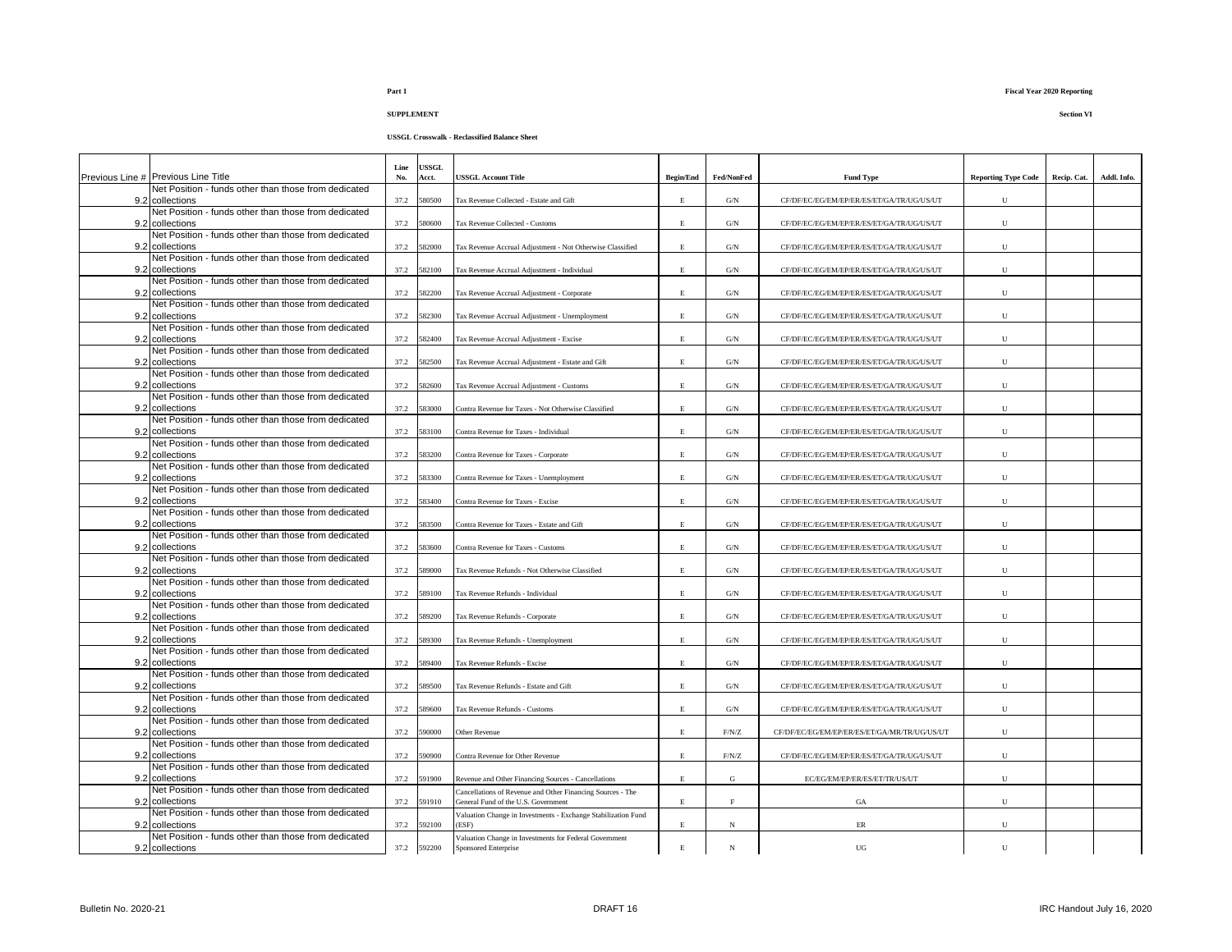**SUPPLEMENT Section VI**

|     |                                                                         | Line | <b>JSSGL</b> |                                                                        |                  |                |                                              |                            |             |             |
|-----|-------------------------------------------------------------------------|------|--------------|------------------------------------------------------------------------|------------------|----------------|----------------------------------------------|----------------------------|-------------|-------------|
|     | Previous Line # Previous Line Title                                     | No.  | Acct.        | USSGL Account Title                                                    | <b>Begin/End</b> | Fed/NonFed     | <b>Fund Type</b>                             | <b>Reporting Type Code</b> | Recip. Cat. | Addl. Info. |
|     | Net Position - funds other than those from dedicated                    |      |              |                                                                        |                  |                |                                              |                            |             |             |
| 9.2 | collections<br>Net Position - funds other than those from dedicated     | 37.2 | 580500       | Tax Revenue Collected - Estate and Gift                                | $\,$ E           | $\mathrm{G/N}$ | CF/DF/EC/EG/EM/EP/ER/ES/ET/GA/TR/UG/US/UT    | ${\bf U}$                  |             |             |
| 9.2 | collections                                                             | 37.2 | 580600       | <b>Tax Revenue Collected - Customs</b>                                 | $\,$ E           | $\mathrm{G/N}$ | CF/DF/EC/EG/EM/EP/ER/ES/ET/GA/TR/UG/US/UT    | ${\bf U}$                  |             |             |
|     | Net Position - funds other than those from dedicated                    |      |              |                                                                        |                  |                |                                              |                            |             |             |
|     | 9.2 collections                                                         | 37.2 | 582000       | Tax Revenue Accrual Adjustment - Not Otherwise Classified              | $\,$ E           | G/N            | CF/DF/EC/EG/EM/EP/ER/ES/ET/GA/TR/UG/US/UT    | $\mathbf U$                |             |             |
|     | Net Position - funds other than those from dedicated                    | 37.2 | 582100       | Tax Revenue Accrual Adjustment - Individual                            | E                | $\mathrm{G/N}$ | CF/DF/EC/EG/EM/EP/ER/ES/ET/GA/TR/UG/US/UT    | U                          |             |             |
|     | 9.2 collections<br>Net Position - funds other than those from dedicated |      |              |                                                                        |                  |                |                                              |                            |             |             |
|     | 9.2 collections                                                         | 37.2 | 582200       | Tax Revenue Accrual Adjustment - Corporate                             | E.               | G/N            | CF/DF/EC/EG/EM/EP/ER/ES/ET/GA/TR/UG/US/UT    | U                          |             |             |
|     | Net Position - funds other than those from dedicated                    |      |              |                                                                        |                  |                |                                              |                            |             |             |
|     | 9.2 collections                                                         | 37.2 | 582300       | Tax Revenue Accrual Adjustment - Unemployment                          | E                | G/N            | CF/DF/EC/EG/EM/EP/ER/ES/ET/GA/TR/UG/US/UT    | U                          |             |             |
|     | Net Position - funds other than those from dedicated<br>9.2 collections |      | 37.2 582400  | Tax Revenue Accrual Adjustment - Excise                                | E                | G/N            | CF/DF/EC/EG/EM/EP/ER/ES/ET/GA/TR/UG/US/UT    | ${\bf U}$                  |             |             |
|     | Net Position - funds other than those from dedicated                    |      |              |                                                                        |                  |                |                                              |                            |             |             |
|     | 9.2 collections                                                         |      | 37.2 582500  | Tax Revenue Accrual Adjustment - Estate and Gift                       | E                | G/N            | CF/DF/EC/EG/EM/EP/ER/ES/ET/GA/TR/UG/US/UT    | $\mathbf U$                |             |             |
|     | Net Position - funds other than those from dedicated                    |      |              |                                                                        |                  |                |                                              |                            |             |             |
|     | 9.2 collections<br>Net Position - funds other than those from dedicated |      | 37.2 582600  | Tax Revenue Accrual Adjustment - Customs                               | E                | $\mathrm{G/N}$ | CF/DF/EC/EG/EM/EP/ER/ES/ET/GA/TR/UG/US/UT    | $\mathbf{U}$               |             |             |
|     | 9.2 collections                                                         | 37.2 | 583000       | Contra Revenue for Taxes - Not Otherwise Classified                    | $\mathbf E$      | G/N            | CF/DF/EC/EG/EM/EP/ER/ES/ET/GA/TR/UG/US/UT    | $\mathbf{U}$               |             |             |
|     | Net Position - funds other than those from dedicated                    |      |              |                                                                        |                  |                |                                              |                            |             |             |
| 9.2 | collections                                                             | 37.2 | 583100       | Contra Revenue for Taxes - Individual                                  | E                | $\mathrm{G/N}$ | CF/DF/EC/EG/EM/EP/ER/ES/ET/GA/TR/UG/US/UT    | $\mathbf U$                |             |             |
| 9.2 | Net Position - funds other than those from dedicated<br>collections     | 37.2 | 583200       | Contra Revenue for Taxes - Corporate                                   | E.               | $\mathrm{G/N}$ | CF/DF/EC/EG/EM/EP/ER/ES/ET/GA/TR/UG/US/UT    | $\mathbf{U}$               |             |             |
|     | Net Position - funds other than those from dedicated                    |      |              |                                                                        |                  |                |                                              |                            |             |             |
| 9.2 | collections                                                             | 37.2 | 583300       | Contra Revenue for Taxes - Unemployment                                | $\,$ E           | $\mathrm{G/N}$ | CF/DF/EC/EG/EM/EP/ER/ES/ET/GA/TR/UG/US/UT    | ${\bf U}$                  |             |             |
|     | Net Position - funds other than those from dedicated                    |      |              |                                                                        |                  |                |                                              |                            |             |             |
|     | 9.2 collections                                                         |      | 37.2 583400  | Contra Revenue for Taxes - Excise                                      | $\,$ E           | $\mathrm{G/N}$ | CF/DF/EC/EG/EM/EP/ER/ES/ET/GA/TR/UG/US/UT    | U                          |             |             |
|     | Net Position - funds other than those from dedicated<br>9.2 collections | 37.2 | 583500       | Contra Revenue for Taxes - Estate and Gift                             | E                | G/N            | CF/DF/EC/EG/EM/EP/ER/ES/ET/GA/TR/UG/US/UT    | $\mathbf{U}$               |             |             |
|     | Net Position - funds other than those from dedicated                    |      |              |                                                                        |                  |                |                                              |                            |             |             |
|     | 9.2 collections                                                         | 37.2 | 583600       | Contra Revenue for Taxes - Customs                                     | E.               | G/N            | CF/DF/EC/EG/EM/EP/ER/ES/ET/GA/TR/UG/US/UT    | U                          |             |             |
|     | Net Position - funds other than those from dedicated                    |      |              |                                                                        | E.               |                |                                              | U                          |             |             |
|     | 9.2 collections<br>Net Position - funds other than those from dedicated |      | 37.2 589000  | Tax Revenue Refunds - Not Otherwise Classified                         |                  | $\mathrm{G/N}$ | CF/DF/EC/EG/EM/EP/ER/ES/ET/GA/TR/UG/US/UT    |                            |             |             |
|     | 9.2 collections                                                         | 37.2 | 589100       | <b>Tax Revenue Refunds - Individual</b>                                | E                | G/N            | CF/DF/EC/EG/EM/EP/ER/ES/ET/GA/TR/UG/US/UT    | ${\bf U}$                  |             |             |
|     | Net Position - funds other than those from dedicated                    |      |              |                                                                        |                  |                |                                              |                            |             |             |
|     | 9.2 collections                                                         | 37.2 | 589200       | <b>Tax Revenue Refunds - Corporate</b>                                 | $\,$ E           | $\mathrm{G/N}$ | CF/DF/EC/EG/EM/EP/ER/ES/ET/GA/TR/UG/US/UT    | ${\bf U}$                  |             |             |
|     | Net Position - funds other than those from dedicated<br>9.2 collections |      | 37.2 589300  | Tax Revenue Refunds - Unemployment                                     | E                | $\mathrm{G/N}$ | CF/DF/EC/EG/EM/EP/ER/ES/ET/GA/TR/UG/US/UT    | $\mathbf{U}$               |             |             |
|     | Net Position - funds other than those from dedicated                    |      |              |                                                                        |                  |                |                                              |                            |             |             |
|     | 9.2 collections                                                         | 37.2 | 589400       | <b>Tax Revenue Refunds - Excise</b>                                    | E.               | G/N            | CF/DF/EC/EG/EM/EP/ER/ES/ET/GA/TR/UG/US/UT    | $\mathbf{U}$               |             |             |
|     | Net Position - funds other than those from dedicated                    |      |              |                                                                        |                  |                |                                              |                            |             |             |
| 9.2 | collections<br>Net Position - funds other than those from dedicated     | 37.2 | 589500       | Tax Revenue Refunds - Estate and Gift                                  | E.               | G/N            | CF/DF/EC/EG/EM/EP/ER/ES/ET/GA/TR/UG/US/UT    | $\mathbf{U}$               |             |             |
|     | 9.2 collections                                                         | 37.2 | 589600       | Tax Revenue Refunds - Customs                                          | $\,$ E           | $\mathrm{G/N}$ | CF/DF/EC/EG/EM/EP/ER/ES/ET/GA/TR/UG/US/UT    | ${\bf U}$                  |             |             |
|     | Net Position - funds other than those from dedicated                    |      |              |                                                                        |                  |                |                                              |                            |             |             |
| 9.2 | collections                                                             | 37.2 | 590000       | Other Revenue                                                          | $\,$ E           | F/N/Z          | CF/DF/EC/EG/EM/EP/ER/ES/ET/GA/MR/TR/UG/US/UT | $\mathbf U$                |             |             |
|     | Net Position - funds other than those from dedicated<br>9.2 collections |      | 37.2 590900  | Contra Revenue for Other Revenue                                       | $\,$ E           | F/N/Z          | CF/DF/EC/EG/EM/EP/ER/ES/ET/GA/TR/UG/US/UT    | U                          |             |             |
|     | Net Position - funds other than those from dedicated                    |      |              |                                                                        |                  |                |                                              |                            |             |             |
|     | 9.2 collections                                                         |      | 37.2 591900  | Revenue and Other Financing Sources - Cancellations                    | $\,$ E           | G              | EC/EG/EM/EP/ER/ES/ET/TR/US/UT                | U                          |             |             |
|     | Net Position - funds other than those from dedicated                    |      |              | Cancellations of Revenue and Other Financing Sources - The             |                  |                |                                              |                            |             |             |
|     | 9.2 collections<br>Net Position - funds other than those from dedicated | 37.2 | 591910       | General Fund of the U.S. Government                                    | E.               | $\rm F$        | GA                                           | ${\bf U}$                  |             |             |
|     | 9.2 collections                                                         |      | 37.2 592100  | Valuation Change in Investments - Exchange Stabilization Fund<br>(ESF) | $\mathbf E$      | $_{\rm N}$     | $\rm ER$                                     | U                          |             |             |
|     | Net Position - funds other than those from dedicated                    |      |              | Valuation Change in Investments for Federal Government                 |                  |                |                                              |                            |             |             |
|     | 9.2 collections                                                         |      | 37.2 592200  | Sponsored Enterprise                                                   | $\,$ E           | N              | UG                                           | $\mathbf{U}$               |             |             |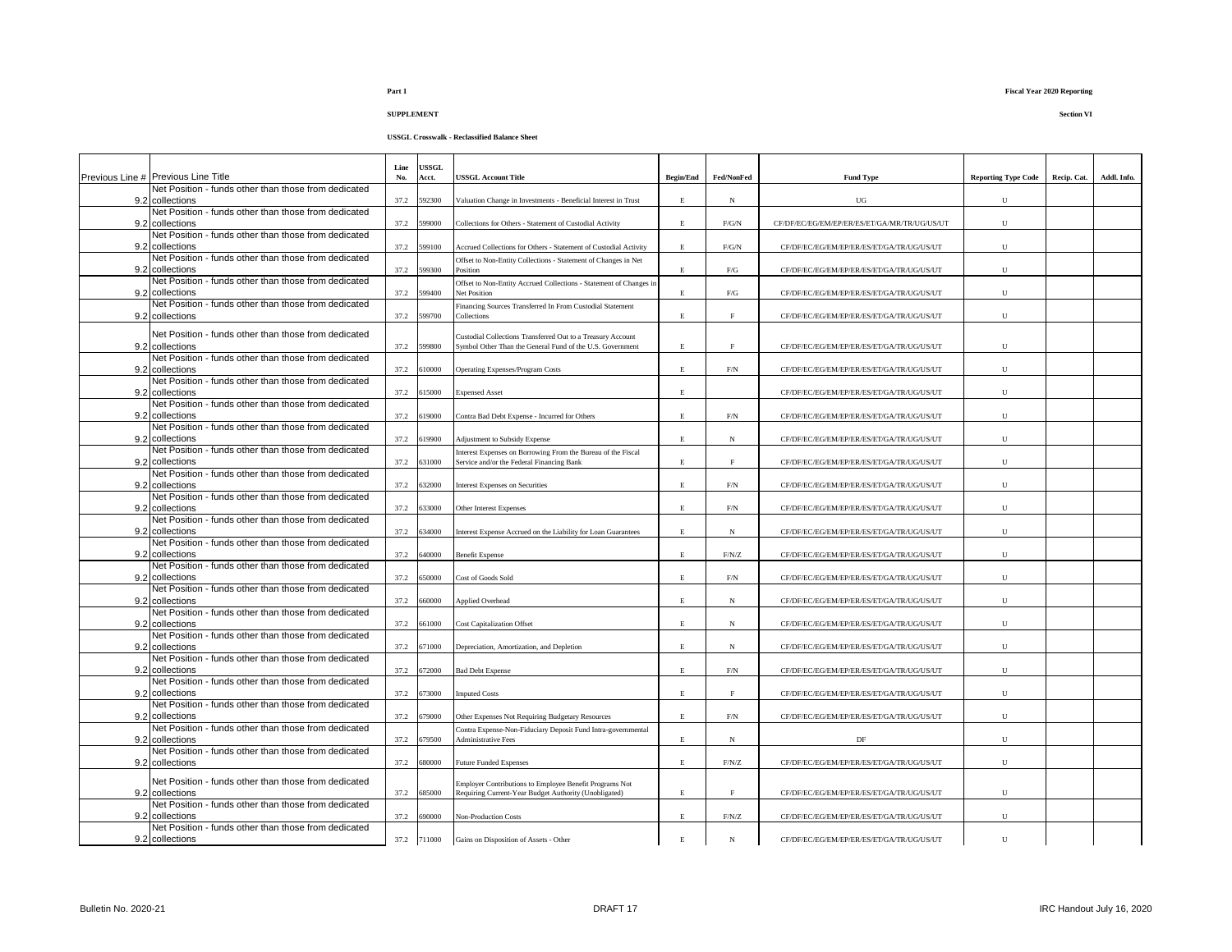**USSGL Crosswalk - Reclassified Balance Sheet**

|                                                                         | Line | USSGL       |                                                                                                           |                  |             |                                              |                            |             |             |
|-------------------------------------------------------------------------|------|-------------|-----------------------------------------------------------------------------------------------------------|------------------|-------------|----------------------------------------------|----------------------------|-------------|-------------|
| Previous Line # Previous Line Title                                     | No.  | Acct.       | <b>USSGL Account Title</b>                                                                                | <b>Begin/End</b> | Fed/NonFed  | <b>Fund Type</b>                             | <b>Reporting Type Code</b> | Recip. Cat. | Addl. Info. |
| Net Position - funds other than those from dedicated<br>9.2 collections | 37.2 | 592300      | Valuation Change in Investments - Beneficial Interest in Trust                                            | E.               | $_{\rm N}$  | UG                                           | U                          |             |             |
| Net Position - funds other than those from dedicated                    |      |             |                                                                                                           |                  |             |                                              |                            |             |             |
| 9.2 collections                                                         | 37.2 | 599000      | Collections for Others - Statement of Custodial Activity                                                  | E.               | F/G/N       | CF/DF/EC/EG/EM/EP/ER/ES/ET/GA/MR/TR/UG/US/UT | U                          |             |             |
| Net Position - funds other than those from dedicated                    |      |             |                                                                                                           |                  |             |                                              |                            |             |             |
| 9.2 collections                                                         | 37.2 | 599100      | Accrued Collections for Others - Statement of Custodial Activity                                          | E                | F/G/N       | CF/DF/EC/EG/EM/EP/ER/ES/ET/GA/TR/UG/US/UT    | U                          |             |             |
| Net Position - funds other than those from dedicated<br>9.2 collections | 37.2 | 599300      | Offset to Non-Entity Collections - Statement of Changes in Net<br>Position                                | E.               | ${\rm F/G}$ | CF/DF/EC/EG/EM/EP/ER/ES/ET/GA/TR/UG/US/UT    | U                          |             |             |
| Net Position - funds other than those from dedicated                    |      |             | Offset to Non-Entity Accrued Collections - Statement of Changes in                                        |                  |             |                                              |                            |             |             |
| 9.2 collections                                                         | 37.2 | 599400      | Net Position                                                                                              | E                | ${\rm F/G}$ | CF/DF/EC/EG/EM/EP/ER/ES/ET/GA/TR/UG/US/UT    | U                          |             |             |
| Net Position - funds other than those from dedicated                    |      |             | Financing Sources Transferred In From Custodial Statement                                                 |                  |             |                                              |                            |             |             |
| 9.2 collections                                                         | 37.2 | 599700      | Collections                                                                                               | E                | $\mathbf F$ | CF/DF/EC/EG/EM/EP/ER/ES/ET/GA/TR/UG/US/UT    | U                          |             |             |
| Net Position - funds other than those from dedicated                    |      |             | Custodial Collections Transferred Out to a Treasury Account                                               |                  |             |                                              |                            |             |             |
| 9.2 collections                                                         | 37.2 | 599800      | Symbol Other Than the General Fund of the U.S. Government                                                 | E                | $\rm F$     | CF/DF/EC/EG/EM/EP/ER/ES/ET/GA/TR/UG/US/UT    | U                          |             |             |
| Net Position - funds other than those from dedicated                    |      |             |                                                                                                           |                  |             |                                              |                            |             |             |
| 9.2 collections<br>Net Position - funds other than those from dedicated | 37.2 | 610000      | <b>Operating Expenses/Program Costs</b>                                                                   | E                | F/N         | CF/DF/EC/EG/EM/EP/ER/ES/ET/GA/TR/UG/US/UT    | $\mathbf U$                |             |             |
| 9.2 collections                                                         | 37.2 | 515000      | <b>Expensed Asset</b>                                                                                     | E                |             | CF/DF/EC/EG/EM/EP/ER/ES/ET/GA/TR/UG/US/UT    | U                          |             |             |
| Net Position - funds other than those from dedicated                    |      |             |                                                                                                           |                  |             |                                              |                            |             |             |
| 9.2 collections                                                         | 37.2 | 619000      | Contra Bad Debt Expense - Incurred for Others                                                             | E                | F/N         | CF/DF/EC/EG/EM/EP/ER/ES/ET/GA/TR/UG/US/UT    | U                          |             |             |
| Net Position - funds other than those from dedicated                    |      | 619900      |                                                                                                           | E.               |             |                                              |                            |             |             |
| 9.2 collections<br>Net Position - funds other than those from dedicated | 37.2 |             | Adjustment to Subsidy Expense                                                                             |                  | $_{\rm N}$  | CF/DF/EC/EG/EM/EP/ER/ES/ET/GA/TR/UG/US/UT    | $\mathbf U$                |             |             |
| 9.2 collections                                                         | 37.2 | 631000      | Interest Expenses on Borrowing From the Bureau of the Fiscal<br>Service and/or the Federal Financing Bank | E                | $\mathbf F$ | CF/DF/EC/EG/EM/EP/ER/ES/ET/GA/TR/UG/US/UT    | ${\bf U}$                  |             |             |
| Net Position - funds other than those from dedicated                    |      |             |                                                                                                           |                  |             |                                              |                            |             |             |
| 9.2 collections                                                         | 37.2 | 632000      | <b>Interest Expenses on Securities</b>                                                                    | E                | $\rm{F/N}$  | CF/DF/EC/EG/EM/EP/ER/ES/ET/GA/TR/UG/US/UT    | ${\bf U}$                  |             |             |
| Net Position - funds other than those from dedicated<br>9.2 collections | 37.2 | 633000      | <b>Other Interest Expenses</b>                                                                            | E                | $\rm{F/N}$  | CF/DF/EC/EG/EM/EP/ER/ES/ET/GA/TR/UG/US/UT    | U                          |             |             |
| Net Position - funds other than those from dedicated                    |      |             |                                                                                                           |                  |             |                                              |                            |             |             |
| 9.2 collections                                                         | 37.2 | 634000      | Interest Expense Accrued on the Liability for Loan Guarantees                                             | E.               | $_{\rm N}$  | CF/DF/EC/EG/EM/EP/ER/ES/ET/GA/TR/UG/US/UT    | U                          |             |             |
| Net Position - funds other than those from dedicated                    |      |             |                                                                                                           |                  |             |                                              |                            |             |             |
| 9.2 collections                                                         | 37.2 | 640000      | <b>Benefit Expense</b>                                                                                    | E.               | F/N/Z       | CF/DF/EC/EG/EM/EP/ER/ES/ET/GA/TR/UG/US/UT    | U                          |             |             |
| Net Position - funds other than those from dedicated<br>9.2 collections | 37.2 | 650000      | Cost of Goods Sold                                                                                        | E.               | $\rm{F/N}$  | CF/DF/EC/EG/EM/EP/ER/ES/ET/GA/TR/UG/US/UT    | U                          |             |             |
| Net Position - funds other than those from dedicated                    |      |             |                                                                                                           |                  |             |                                              |                            |             |             |
| 9.2 collections                                                         | 37.2 | 660000      | Applied Overhead                                                                                          | E                | N           | CF/DF/EC/EG/EM/EP/ER/ES/ET/GA/TR/UG/US/UT    | U                          |             |             |
| Net Position - funds other than those from dedicated                    |      |             |                                                                                                           |                  |             |                                              |                            |             |             |
| 9.2 collections<br>Net Position - funds other than those from dedicated | 37.2 | 661000      | <b>Cost Capitalization Offset</b>                                                                         | E.               | $_{\rm N}$  | CF/DF/EC/EG/EM/EP/ER/ES/ET/GA/TR/UG/US/UT    | U                          |             |             |
| 9.2 collections                                                         | 37.2 | 671000      | Depreciation, Amortization, and Depletion                                                                 | E                | N           | CF/DF/EC/EG/EM/EP/ER/ES/ET/GA/TR/UG/US/UT    | U                          |             |             |
| Net Position - funds other than those from dedicated                    |      |             |                                                                                                           |                  |             |                                              |                            |             |             |
| 9.2 collections                                                         | 37.2 | 672000      | <b>Bad Debt Expense</b>                                                                                   | E.               | $\rm F/N$   | CF/DF/EC/EG/EM/EP/ER/ES/ET/GA/TR/UG/US/UT    | U                          |             |             |
| Net Position - funds other than those from dedicated                    |      |             |                                                                                                           |                  |             |                                              |                            |             |             |
| 9.2 collections<br>Net Position - funds other than those from dedicated | 37.2 | 673000      | <b>Imputed Costs</b>                                                                                      | E                | F           | CF/DF/EC/EG/EM/EP/ER/ES/ET/GA/TR/UG/US/UT    | U                          |             |             |
| 9.2 collections                                                         | 37.2 | 679000      | Other Expenses Not Requiring Budgetary Resources                                                          | E                | F/N         | CF/DF/EC/EG/EM/EP/ER/ES/ET/GA/TR/UG/US/UT    | U                          |             |             |
| Net Position - funds other than those from dedicated                    |      |             | Contra Expense-Non-Fiduciary Deposit Fund Intra-governmental                                              |                  |             |                                              |                            |             |             |
| 9.2 collections                                                         | 37.2 | 679500      | <b>Administrative Fees</b>                                                                                | E                | N           | DF                                           | U                          |             |             |
| Net Position - funds other than those from dedicated<br>9.2 collections | 37.2 | 680000      | <b>Future Funded Expenses</b>                                                                             | E                | F/N/Z       | CF/DF/EC/EG/EM/EP/ER/ES/ET/GA/TR/UG/US/UT    | U                          |             |             |
|                                                                         |      |             |                                                                                                           |                  |             |                                              |                            |             |             |
| Net Position - funds other than those from dedicated                    |      |             | Employer Contributions to Employee Benefit Programs Not                                                   |                  |             |                                              |                            |             |             |
| 9.2 collections<br>Net Position - funds other than those from dedicated | 37.2 | 685000      | Requiring Current-Year Budget Authority (Unobligated)                                                     | E                | F           | CF/DF/EC/EG/EM/EP/ER/ES/ET/GA/TR/UG/US/UT    | U                          |             |             |
| 9.2 collections                                                         | 37.2 | 690000      | Non-Production Costs                                                                                      | E                | F/N/Z       | CF/DF/EC/EG/EM/EP/ER/ES/ET/GA/TR/UG/US/UT    | ${\bf U}$                  |             |             |
| Net Position - funds other than those from dedicated                    |      |             |                                                                                                           |                  |             |                                              |                            |             |             |
| 9.2 collections                                                         |      | 37.2 711000 | Gains on Disposition of Assets - Other                                                                    | E.               | $_{\rm N}$  | CF/DF/EC/EG/EM/EP/ER/ES/ET/GA/TR/UG/US/UT    | $\mathbf{U}$               |             |             |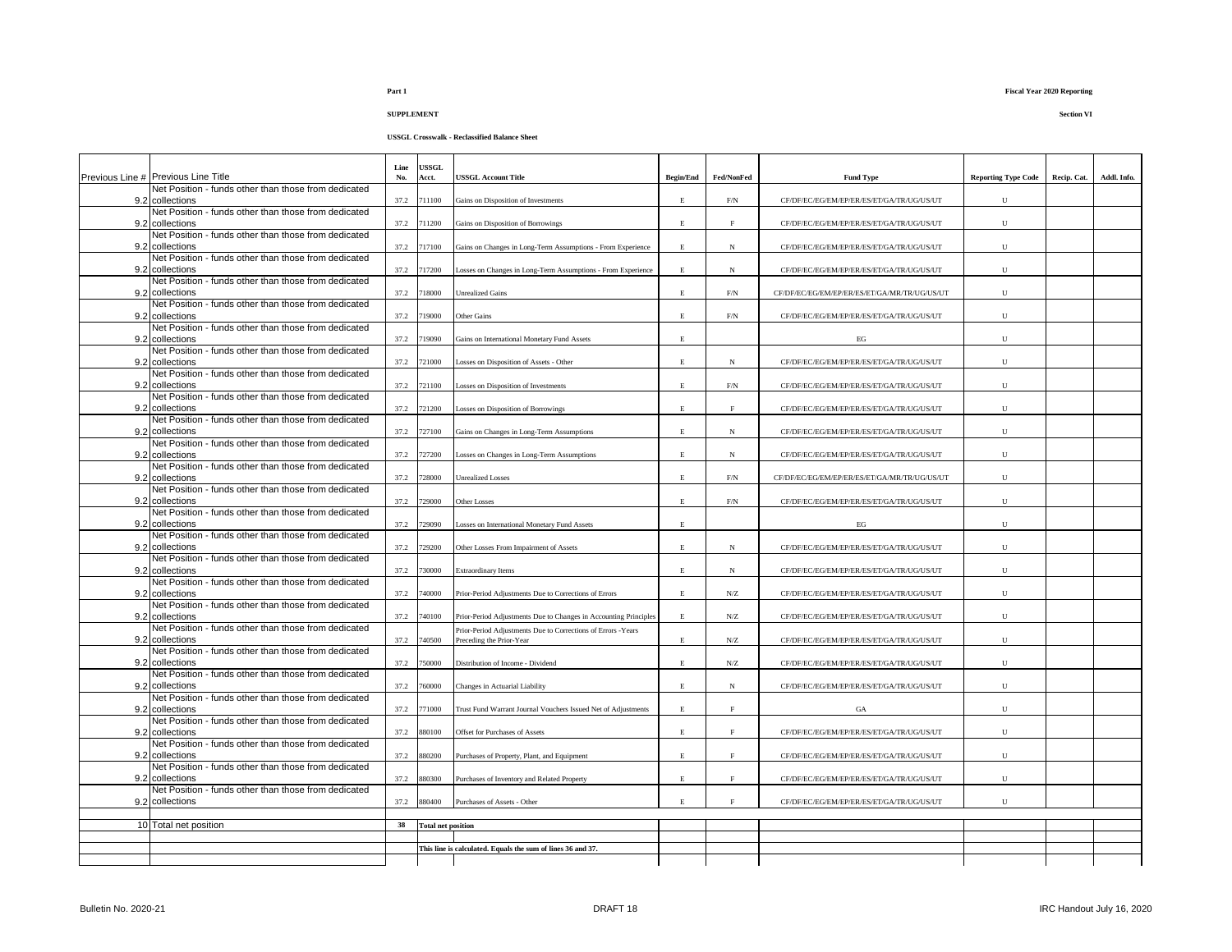| - 31 |  |  |
|------|--|--|
|      |  |  |

**SUPPLEMENT Section VI**

| Previous Line # Previous Line Title                                     | Line<br>No. | <b>USSGL</b><br>Acct.     | USSGL Account Title                                                                                                              | <b>Begin/End</b> | Fed/NonFed  | <b>Fund Type</b>                             | <b>Reporting Type Code</b> | Recip. Cat. | Addl. Info. |
|-------------------------------------------------------------------------|-------------|---------------------------|----------------------------------------------------------------------------------------------------------------------------------|------------------|-------------|----------------------------------------------|----------------------------|-------------|-------------|
| Net Position - funds other than those from dedicated<br>9.2 collections | 37.2        | 711100                    | Gains on Disposition of Investments                                                                                              | E                | F/N         | CF/DF/EC/EG/EM/EP/ER/ES/ET/GA/TR/UG/US/UT    | U                          |             |             |
| Net Position - funds other than those from dedicated<br>9.2 collections | 37.2        | 711200                    | Gains on Disposition of Borrowings                                                                                               | $\mathbf E$      | F           | CF/DF/EC/EG/EM/EP/ER/ES/ET/GA/TR/UG/US/UT    | U                          |             |             |
| Net Position - funds other than those from dedicated<br>9.2 collections | 37.2        | 717100                    | Gains on Changes in Long-Term Assumptions - From Experience                                                                      | E                | N           | CF/DF/EC/EG/EM/EP/ER/ES/ET/GA/TR/UG/US/UT    | U                          |             |             |
| Net Position - funds other than those from dedicated<br>9.2 collections | 37.2        | 717200                    | Losses on Changes in Long-Term Assumptions - From Experience                                                                     | E                | N           | CF/DF/EC/EG/EM/EP/ER/ES/ET/GA/TR/UG/US/UT    | ${\bf U}$                  |             |             |
| Net Position - funds other than those from dedicated<br>9.2 collections |             | 718000                    |                                                                                                                                  |                  |             |                                              | $\mathbf{U}$               |             |             |
| Net Position - funds other than those from dedicated                    | 37.2        |                           | <b>Unrealized Gains</b>                                                                                                          | $\mathbf E$      | F/N         | CF/DF/EC/EG/EM/EP/ER/ES/ET/GA/MR/TR/UG/US/UT |                            |             |             |
| 9.2 collections<br>Net Position - funds other than those from dedicated | 37.2        | 719000                    | Other Gains                                                                                                                      | $\mathbf E$      | $\rm{F/N}$  | CF/DF/EC/EG/EM/EP/ER/ES/ET/GA/TR/UG/US/UT    | U                          |             |             |
| 9.2 collections<br>Net Position - funds other than those from dedicated | 37.2        | 719090                    | Gains on International Monetary Fund Assets                                                                                      | E                |             | EG                                           | U                          |             |             |
| 9.2 collections                                                         | 37.2        | 721000                    | Losses on Disposition of Assets - Other                                                                                          | E                | N           | CF/DF/EC/EG/EM/EP/ER/ES/ET/GA/TR/UG/US/UT    | U                          |             |             |
| Net Position - funds other than those from dedicated<br>9.2 collections | 37.2        | 721100                    | Losses on Disposition of Investments                                                                                             | E                | $\rm{F/N}$  | CF/DF/EC/EG/EM/EP/ER/ES/ET/GA/TR/UG/US/UT    | U                          |             |             |
| Net Position - funds other than those from dedicated<br>9.2 collections | 37.2        | 721200                    | Losses on Disposition of Borrowings                                                                                              | E                | $_{\rm F}$  | CF/DF/EC/EG/EM/EP/ER/ES/ET/GA/TR/UG/US/UT    | U                          |             |             |
| Net Position - funds other than those from dedicated<br>9.2 collections | 37.2        | 727100                    | Gains on Changes in Long-Term Assumptions                                                                                        | $\mathbf{E}$     | $_{\rm N}$  | CF/DF/EC/EG/EM/EP/ER/ES/ET/GA/TR/UG/US/UT    | U                          |             |             |
| Net Position - funds other than those from dedicated<br>9.2 collections | 37.2        | 727200                    | Losses on Changes in Long-Term Assumptions                                                                                       | E                | $_{\rm N}$  | CF/DF/EC/EG/EM/EP/ER/ES/ET/GA/TR/UG/US/UT    | U                          |             |             |
| Net Position - funds other than those from dedicated<br>9.2 collections | 37.2        | 728000                    | <b>Unrealized Losses</b>                                                                                                         | E                | F/N         | CF/DF/EC/EG/EM/EP/ER/ES/ET/GA/MR/TR/UG/US/UT | U                          |             |             |
| Net Position - funds other than those from dedicated<br>9.2 collections | 37.2        | 729000                    | Other Losses                                                                                                                     | $\mathbf E$      | $\rm F/N$   | CF/DF/EC/EG/EM/EP/ER/ES/ET/GA/TR/UG/US/UT    | U                          |             |             |
| Net Position - funds other than those from dedicated<br>9.2 collections | 37.2        | 729090                    | Losses on International Monetary Fund Assets                                                                                     | E                |             | EG                                           | U                          |             |             |
| Net Position - funds other than those from dedicated<br>9.2 collections | 37.2        | 729200                    | Other Losses From Impairment of Assets                                                                                           | E                | $_{\rm N}$  | CF/DF/EC/EG/EM/EP/ER/ES/ET/GA/TR/UG/US/UT    | U                          |             |             |
| Net Position - funds other than those from dedicated<br>9.2 collections | 37.2        | 730000                    | <b>Extraordinary Items</b>                                                                                                       | E                | $_{\rm N}$  | CF/DF/EC/EG/EM/EP/ER/ES/ET/GA/TR/UG/US/UT    | $\mathbf{U}$               |             |             |
| Net Position - funds other than those from dedicated                    | 37.2        | 740000                    | Prior-Period Adiustments Due to Corrections of Errors                                                                            | E                | N/Z         |                                              | U                          |             |             |
| 9.2 collections<br>Net Position - funds other than those from dedicated |             |                           |                                                                                                                                  |                  |             | CF/DF/EC/EG/EM/EP/ER/ES/ET/GA/TR/UG/US/UT    |                            |             |             |
| 9.2 collections<br>Net Position - funds other than those from dedicated | 37.2        | 740100                    | Prior-Period Adjustments Due to Changes in Accounting Principles<br>Prior-Period Adjustments Due to Corrections of Errors -Years | E                | N/Z         | CF/DF/EC/EG/EM/EP/ER/ES/ET/GA/TR/UG/US/UT    | U                          |             |             |
| 9.2 collections<br>Net Position - funds other than those from dedicated | 37.2        | 740500                    | Preceding the Prior-Year                                                                                                         | $\mathbf E$      | N/Z         | CF/DF/EC/EG/EM/EP/ER/ES/ET/GA/TR/UG/US/UT    | U                          |             |             |
| 9.2 collections                                                         | 37.2        | 750000                    | Distribution of Income - Dividend                                                                                                | E                | N/Z         | CF/DF/EC/EG/EM/EP/ER/ES/ET/GA/TR/UG/US/UT    | U                          |             |             |
| Net Position - funds other than those from dedicated<br>9.2 collections | 37.2        | 760000                    | Changes in Actuarial Liability                                                                                                   | $\mathbf E$      | $_{\rm N}$  | CF/DF/EC/EG/EM/EP/ER/ES/ET/GA/TR/UG/US/UT    | U                          |             |             |
| Net Position - funds other than those from dedicated<br>9.2 collections | 37.2        | 771000                    | Trust Fund Warrant Journal Vouchers Issued Net of Adjustments                                                                    | $\mathbf E$      | $\rm F$     | $_{\mathrm{GA}}$                             | ${\bf U}$                  |             |             |
| Net Position - funds other than those from dedicated<br>9.2 collections | 37.2        | 880100                    | Offset for Purchases of Assets                                                                                                   | $\mathbf E$      | $\mathbf F$ | CF/DF/EC/EG/EM/EP/ER/ES/ET/GA/TR/UG/US/UT    | ${\bf U}$                  |             |             |
| Net Position - funds other than those from dedicated<br>9.2 collections | 37.2        | 880200                    | Purchases of Property, Plant, and Equipment                                                                                      | E                | F           | CF/DF/EC/EG/EM/EP/ER/ES/ET/GA/TR/UG/US/UT    | U                          |             |             |
| Net Position - funds other than those from dedicated<br>9.2 collections | 37.2        | 880300                    | Purchases of Inventory and Related Property                                                                                      | $\mathbf E$      | $\mathbf F$ | CF/DF/EC/EG/EM/EP/ER/ES/ET/GA/TR/UG/US/UT    | ${\bf U}$                  |             |             |
| Net Position - funds other than those from dedicated<br>9.2 collections | 37.2        | 880400                    | Purchases of Assets - Other                                                                                                      | $\mathbf E$      | $\mathbf F$ | CF/DF/EC/EG/EM/EP/ER/ES/ET/GA/TR/UG/US/UT    | ${\bf U}$                  |             |             |
|                                                                         |             |                           |                                                                                                                                  |                  |             |                                              |                            |             |             |
| 10 Total net position                                                   | 38          | <b>Total net position</b> |                                                                                                                                  |                  |             |                                              |                            |             |             |
|                                                                         |             |                           | This line is calculated. Equals the sum of lines 36 and 37.                                                                      |                  |             |                                              |                            |             |             |
|                                                                         |             |                           |                                                                                                                                  |                  |             |                                              |                            |             |             |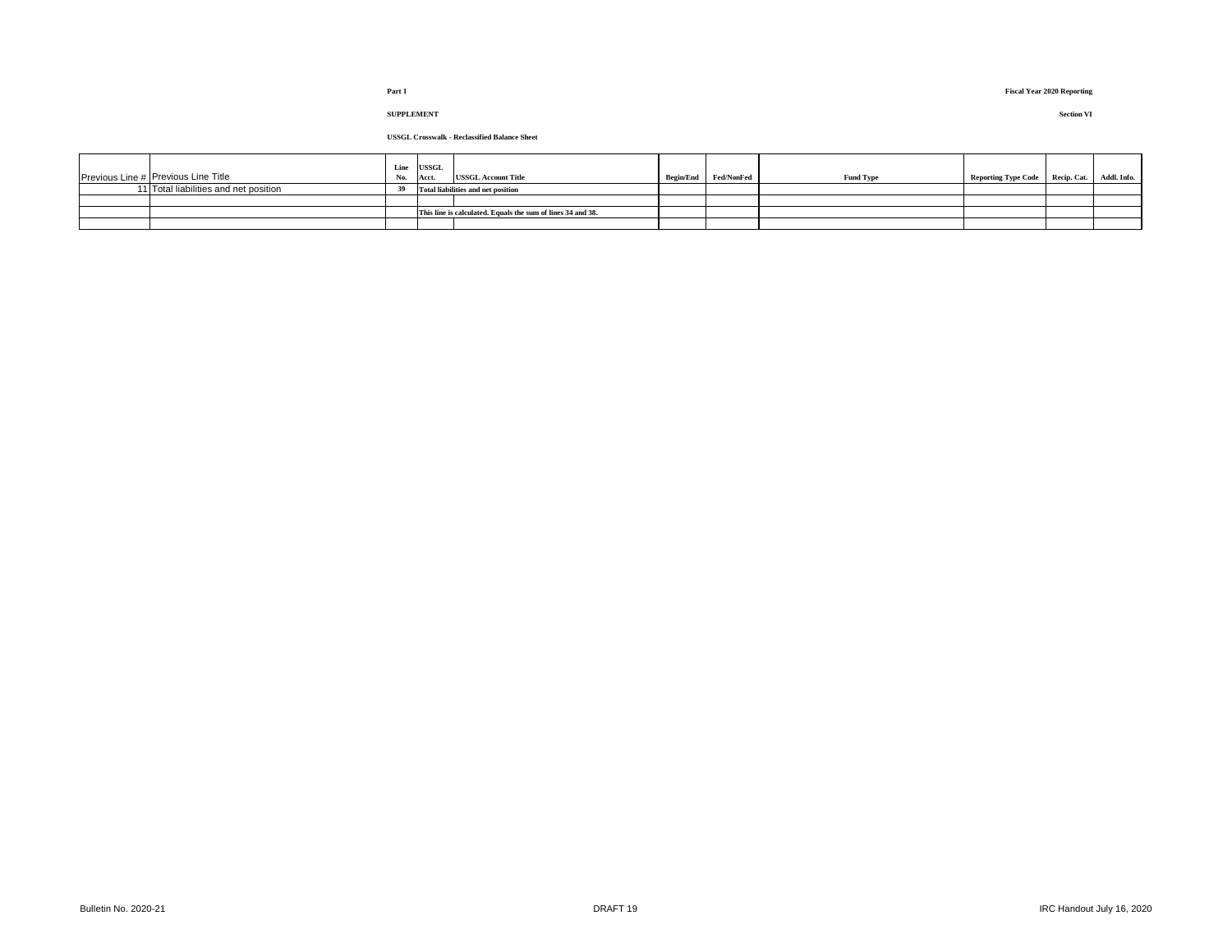| Previous Line # Previous Line Title   | Line<br>No. | <b>USSGL</b><br>Acct. | <b>USSGL Account Title</b>                                  | Begin/End Fed/NonFed | <b>Fund Type</b> | Reporting Type Code Recip. Cat. | Addl. Info. |
|---------------------------------------|-------------|-----------------------|-------------------------------------------------------------|----------------------|------------------|---------------------------------|-------------|
| 11 Total liabilities and net position | 39          |                       | Total liabilities and net position                          |                      |                  |                                 |             |
|                                       |             |                       |                                                             |                      |                  |                                 |             |
|                                       |             |                       | This line is calculated. Equals the sum of lines 34 and 38. |                      |                  |                                 |             |
|                                       |             |                       |                                                             |                      |                  |                                 |             |

# **SUPPLEMENT Section VI**